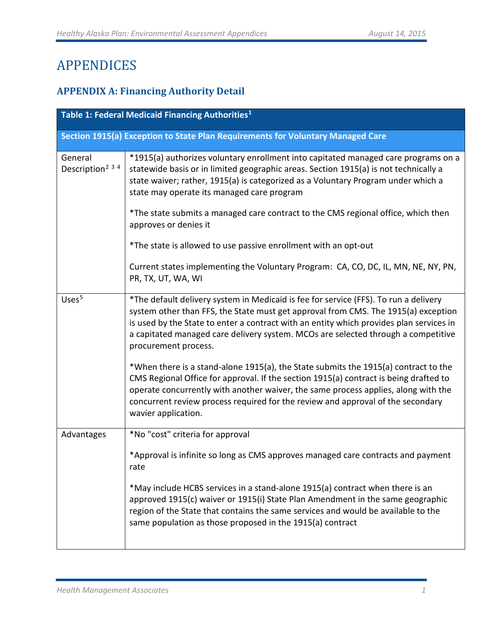# APPENDICES

# **APPENDIX A: Financing Authority Detail**

| Table 1: Federal Medicaid Financing Authorities <sup>1</sup> |                                                                                                                                                                                                                                                                                                                                                                                    |
|--------------------------------------------------------------|------------------------------------------------------------------------------------------------------------------------------------------------------------------------------------------------------------------------------------------------------------------------------------------------------------------------------------------------------------------------------------|
|                                                              | Section 1915(a) Exception to State Plan Requirements for Voluntary Managed Care                                                                                                                                                                                                                                                                                                    |
| General<br>Description <sup>2 3 4</sup>                      | *1915(a) authorizes voluntary enrollment into capitated managed care programs on a<br>statewide basis or in limited geographic areas. Section 1915(a) is not technically a<br>state waiver; rather, 1915(a) is categorized as a Voluntary Program under which a<br>state may operate its managed care program                                                                      |
|                                                              | *The state submits a managed care contract to the CMS regional office, which then<br>approves or denies it                                                                                                                                                                                                                                                                         |
|                                                              | *The state is allowed to use passive enrollment with an opt-out                                                                                                                                                                                                                                                                                                                    |
|                                                              | Current states implementing the Voluntary Program: CA, CO, DC, IL, MN, NE, NY, PN,<br>PR, TX, UT, WA, WI                                                                                                                                                                                                                                                                           |
| Uses <sup>5</sup>                                            | *The default delivery system in Medicaid is fee for service (FFS). To run a delivery<br>system other than FFS, the State must get approval from CMS. The 1915(a) exception<br>is used by the State to enter a contract with an entity which provides plan services in<br>a capitated managed care delivery system. MCOs are selected through a competitive<br>procurement process. |
|                                                              | *When there is a stand-alone 1915(a), the State submits the 1915(a) contract to the<br>CMS Regional Office for approval. If the section 1915(a) contract is being drafted to<br>operate concurrently with another waiver, the same process applies, along with the<br>concurrent review process required for the review and approval of the secondary<br>wavier application.       |
| Advantages                                                   | *No "cost" criteria for approval                                                                                                                                                                                                                                                                                                                                                   |
|                                                              | *Approval is infinite so long as CMS approves managed care contracts and payment<br>rate                                                                                                                                                                                                                                                                                           |
|                                                              | *May include HCBS services in a stand-alone 1915(a) contract when there is an<br>approved 1915(c) waiver or 1915(i) State Plan Amendment in the same geographic<br>region of the State that contains the same services and would be available to the<br>same population as those proposed in the 1915(a) contract                                                                  |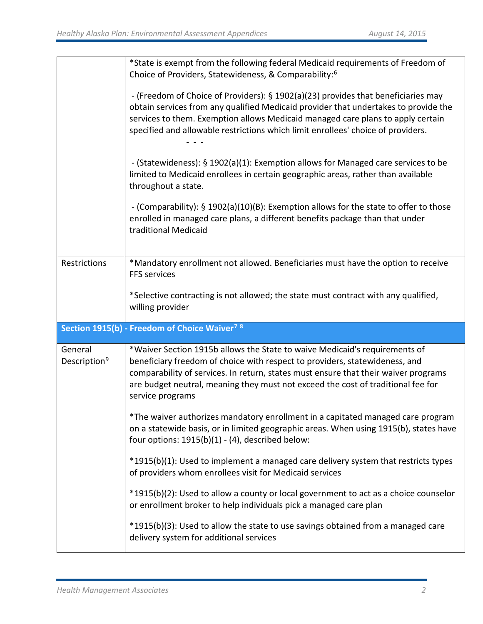|                                     | *State is exempt from the following federal Medicaid requirements of Freedom of<br>Choice of Providers, Statewideness, & Comparability: <sup>6</sup>                                                                                                                                                                                                     |
|-------------------------------------|----------------------------------------------------------------------------------------------------------------------------------------------------------------------------------------------------------------------------------------------------------------------------------------------------------------------------------------------------------|
|                                     | - (Freedom of Choice of Providers): § 1902(a)(23) provides that beneficiaries may<br>obtain services from any qualified Medicaid provider that undertakes to provide the<br>services to them. Exemption allows Medicaid managed care plans to apply certain<br>specified and allowable restrictions which limit enrollees' choice of providers.          |
|                                     | - (Statewideness): § 1902(a)(1): Exemption allows for Managed care services to be<br>limited to Medicaid enrollees in certain geographic areas, rather than available<br>throughout a state.                                                                                                                                                             |
|                                     | - (Comparability): § 1902(a)(10)(B): Exemption allows for the state to offer to those<br>enrolled in managed care plans, a different benefits package than that under<br>traditional Medicaid                                                                                                                                                            |
| Restrictions                        | *Mandatory enrollment not allowed. Beneficiaries must have the option to receive<br>FFS services                                                                                                                                                                                                                                                         |
|                                     | *Selective contracting is not allowed; the state must contract with any qualified,                                                                                                                                                                                                                                                                       |
|                                     | willing provider                                                                                                                                                                                                                                                                                                                                         |
|                                     | Section 1915(b) - Freedom of Choice Waiver <sup>78</sup>                                                                                                                                                                                                                                                                                                 |
| General<br>Description <sup>9</sup> | *Waiver Section 1915b allows the State to waive Medicaid's requirements of<br>beneficiary freedom of choice with respect to providers, statewideness, and<br>comparability of services. In return, states must ensure that their waiver programs<br>are budget neutral, meaning they must not exceed the cost of traditional fee for<br>service programs |
|                                     | *The waiver authorizes mandatory enrollment in a capitated managed care program<br>on a statewide basis, or in limited geographic areas. When using 1915(b), states have<br>four options: $1915(b)(1) - (4)$ , described below:                                                                                                                          |
|                                     | *1915(b)(1): Used to implement a managed care delivery system that restricts types<br>of providers whom enrollees visit for Medicaid services                                                                                                                                                                                                            |
|                                     | *1915(b)(2): Used to allow a county or local government to act as a choice counselor<br>or enrollment broker to help individuals pick a managed care plan                                                                                                                                                                                                |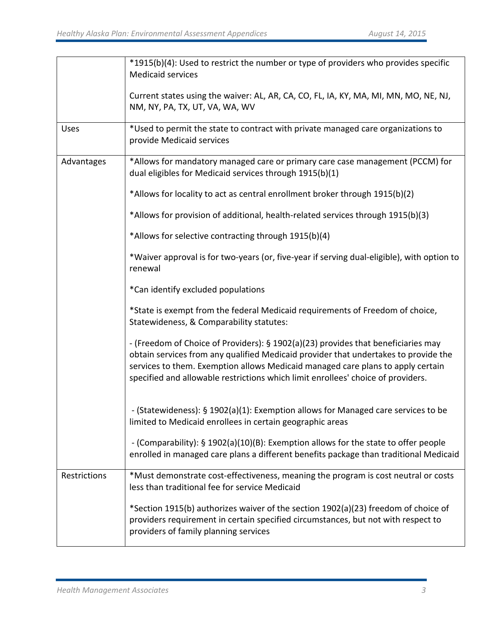|              | *1915(b)(4): Used to restrict the number or type of providers who provides specific<br><b>Medicaid services</b>                                                                                                                                                                                                                                 |
|--------------|-------------------------------------------------------------------------------------------------------------------------------------------------------------------------------------------------------------------------------------------------------------------------------------------------------------------------------------------------|
|              | Current states using the waiver: AL, AR, CA, CO, FL, IA, KY, MA, MI, MN, MO, NE, NJ,<br>NM, NY, PA, TX, UT, VA, WA, WV                                                                                                                                                                                                                          |
| Uses         | *Used to permit the state to contract with private managed care organizations to<br>provide Medicaid services                                                                                                                                                                                                                                   |
| Advantages   | *Allows for mandatory managed care or primary care case management (PCCM) for<br>dual eligibles for Medicaid services through 1915(b)(1)                                                                                                                                                                                                        |
|              | *Allows for locality to act as central enrollment broker through 1915(b)(2)                                                                                                                                                                                                                                                                     |
|              | *Allows for provision of additional, health-related services through 1915(b)(3)                                                                                                                                                                                                                                                                 |
|              | *Allows for selective contracting through 1915(b)(4)                                                                                                                                                                                                                                                                                            |
|              | *Waiver approval is for two-years (or, five-year if serving dual-eligible), with option to<br>renewal                                                                                                                                                                                                                                           |
|              | *Can identify excluded populations                                                                                                                                                                                                                                                                                                              |
|              | *State is exempt from the federal Medicaid requirements of Freedom of choice,<br>Statewideness, & Comparability statutes:                                                                                                                                                                                                                       |
|              | - (Freedom of Choice of Providers): § 1902(a)(23) provides that beneficiaries may<br>obtain services from any qualified Medicaid provider that undertakes to provide the<br>services to them. Exemption allows Medicaid managed care plans to apply certain<br>specified and allowable restrictions which limit enrollees' choice of providers. |
|              | - (Statewideness): § 1902(a)(1): Exemption allows for Managed care services to be<br>limited to Medicaid enrollees in certain geographic areas                                                                                                                                                                                                  |
|              | - (Comparability): § 1902(a)(10)(B): Exemption allows for the state to offer people<br>enrolled in managed care plans a different benefits package than traditional Medicaid                                                                                                                                                                    |
| Restrictions | *Must demonstrate cost-effectiveness, meaning the program is cost neutral or costs<br>less than traditional fee for service Medicaid                                                                                                                                                                                                            |
|              | *Section 1915(b) authorizes waiver of the section 1902(a)(23) freedom of choice of<br>providers requirement in certain specified circumstances, but not with respect to<br>providers of family planning services                                                                                                                                |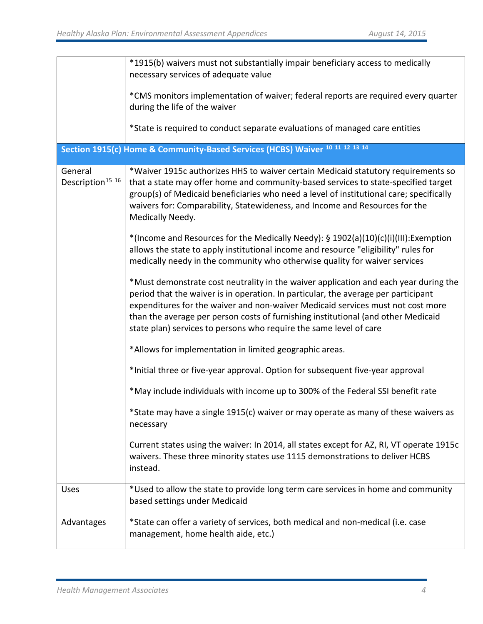|                                         | *1915(b) waivers must not substantially impair beneficiary access to medically<br>necessary services of adequate value                                                                                                                                                                                                                                                                                                   |
|-----------------------------------------|--------------------------------------------------------------------------------------------------------------------------------------------------------------------------------------------------------------------------------------------------------------------------------------------------------------------------------------------------------------------------------------------------------------------------|
|                                         | *CMS monitors implementation of waiver; federal reports are required every quarter<br>during the life of the waiver                                                                                                                                                                                                                                                                                                      |
|                                         | *State is required to conduct separate evaluations of managed care entities                                                                                                                                                                                                                                                                                                                                              |
|                                         | Section 1915(c) Home & Community-Based Services (HCBS) Waiver 10 11 12 13 14                                                                                                                                                                                                                                                                                                                                             |
| General<br>Description <sup>15</sup> 16 | *Waiver 1915c authorizes HHS to waiver certain Medicaid statutory requirements so<br>that a state may offer home and community-based services to state-specified target<br>group(s) of Medicaid beneficiaries who need a level of institutional care; specifically<br>waivers for: Comparability, Statewideness, and Income and Resources for the<br>Medically Needy.                                                    |
|                                         | *(Income and Resources for the Medically Needy): § 1902(a)(10)(c)(i)(III):Exemption<br>allows the state to apply institutional income and resource "eligibility" rules for<br>medically needy in the community who otherwise quality for waiver services                                                                                                                                                                 |
|                                         | *Must demonstrate cost neutrality in the waiver application and each year during the<br>period that the waiver is in operation. In particular, the average per participant<br>expenditures for the waiver and non-waiver Medicaid services must not cost more<br>than the average per person costs of furnishing institutional (and other Medicaid<br>state plan) services to persons who require the same level of care |
|                                         | *Allows for implementation in limited geographic areas.                                                                                                                                                                                                                                                                                                                                                                  |
|                                         | *Initial three or five-year approval. Option for subsequent five-year approval                                                                                                                                                                                                                                                                                                                                           |
|                                         | *May include individuals with income up to 300% of the Federal SSI benefit rate                                                                                                                                                                                                                                                                                                                                          |
|                                         | *State may have a single 1915(c) waiver or may operate as many of these waivers as<br>necessary                                                                                                                                                                                                                                                                                                                          |
|                                         | Current states using the waiver: In 2014, all states except for AZ, RI, VT operate 1915c<br>waivers. These three minority states use 1115 demonstrations to deliver HCBS<br>instead.                                                                                                                                                                                                                                     |
| <b>Uses</b>                             | *Used to allow the state to provide long term care services in home and community<br>based settings under Medicaid                                                                                                                                                                                                                                                                                                       |
| Advantages                              | *State can offer a variety of services, both medical and non-medical (i.e. case<br>management, home health aide, etc.)                                                                                                                                                                                                                                                                                                   |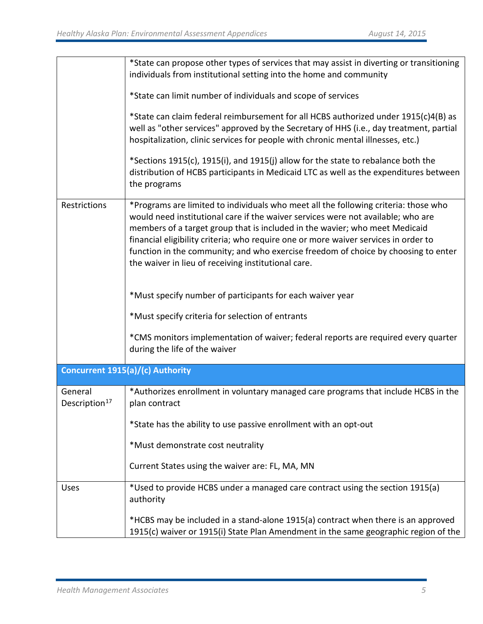|                                      | *State can propose other types of services that may assist in diverting or transitioning<br>individuals from institutional setting into the home and community                                                                                                                                                                                                                                                                                                                             |
|--------------------------------------|--------------------------------------------------------------------------------------------------------------------------------------------------------------------------------------------------------------------------------------------------------------------------------------------------------------------------------------------------------------------------------------------------------------------------------------------------------------------------------------------|
|                                      | *State can limit number of individuals and scope of services                                                                                                                                                                                                                                                                                                                                                                                                                               |
|                                      | *State can claim federal reimbursement for all HCBS authorized under 1915(c)4(B) as<br>well as "other services" approved by the Secretary of HHS (i.e., day treatment, partial<br>hospitalization, clinic services for people with chronic mental illnesses, etc.)                                                                                                                                                                                                                         |
|                                      | *Sections 1915(c), 1915(i), and 1915(j) allow for the state to rebalance both the<br>distribution of HCBS participants in Medicaid LTC as well as the expenditures between<br>the programs                                                                                                                                                                                                                                                                                                 |
| Restrictions                         | *Programs are limited to individuals who meet all the following criteria: those who<br>would need institutional care if the waiver services were not available; who are<br>members of a target group that is included in the wavier; who meet Medicaid<br>financial eligibility criteria; who require one or more waiver services in order to<br>function in the community; and who exercise freedom of choice by choosing to enter<br>the waiver in lieu of receiving institutional care. |
|                                      | *Must specify number of participants for each waiver year                                                                                                                                                                                                                                                                                                                                                                                                                                  |
|                                      | *Must specify criteria for selection of entrants                                                                                                                                                                                                                                                                                                                                                                                                                                           |
|                                      | *CMS monitors implementation of waiver; federal reports are required every quarter<br>during the life of the waiver                                                                                                                                                                                                                                                                                                                                                                        |
|                                      | Concurrent 1915(a)/(c) Authority                                                                                                                                                                                                                                                                                                                                                                                                                                                           |
| General<br>Description <sup>17</sup> | *Authorizes enrollment in voluntary managed care programs that include HCBS in the<br>plan contract                                                                                                                                                                                                                                                                                                                                                                                        |
|                                      | *State has the ability to use passive enrollment with an opt-out                                                                                                                                                                                                                                                                                                                                                                                                                           |
|                                      | *Must demonstrate cost neutrality                                                                                                                                                                                                                                                                                                                                                                                                                                                          |
|                                      | Current States using the waiver are: FL, MA, MN                                                                                                                                                                                                                                                                                                                                                                                                                                            |
| <b>Uses</b>                          | *Used to provide HCBS under a managed care contract using the section 1915(a)<br>authority                                                                                                                                                                                                                                                                                                                                                                                                 |
|                                      | *HCBS may be included in a stand-alone 1915(a) contract when there is an approved<br>1915(c) waiver or 1915(i) State Plan Amendment in the same geographic region of the                                                                                                                                                                                                                                                                                                                   |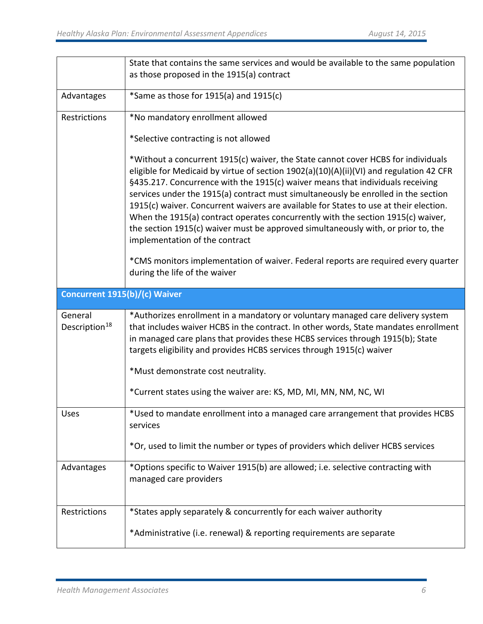|                                      | State that contains the same services and would be available to the same population<br>as those proposed in the 1915(a) contract                                                                                                                                                                                                                                                                                                                                                                                                                                                                                                                         |
|--------------------------------------|----------------------------------------------------------------------------------------------------------------------------------------------------------------------------------------------------------------------------------------------------------------------------------------------------------------------------------------------------------------------------------------------------------------------------------------------------------------------------------------------------------------------------------------------------------------------------------------------------------------------------------------------------------|
| Advantages                           | *Same as those for 1915(a) and 1915(c)                                                                                                                                                                                                                                                                                                                                                                                                                                                                                                                                                                                                                   |
| Restrictions                         | *No mandatory enrollment allowed                                                                                                                                                                                                                                                                                                                                                                                                                                                                                                                                                                                                                         |
|                                      | *Selective contracting is not allowed                                                                                                                                                                                                                                                                                                                                                                                                                                                                                                                                                                                                                    |
|                                      | *Without a concurrent 1915(c) waiver, the State cannot cover HCBS for individuals<br>eligible for Medicaid by virtue of section 1902(a)(10)(A)(ii)(VI) and regulation 42 CFR<br>§435.217. Concurrence with the 1915(c) waiver means that individuals receiving<br>services under the 1915(a) contract must simultaneously be enrolled in the section<br>1915(c) waiver. Concurrent waivers are available for States to use at their election.<br>When the 1915(a) contract operates concurrently with the section 1915(c) waiver,<br>the section 1915(c) waiver must be approved simultaneously with, or prior to, the<br>implementation of the contract |
|                                      | *CMS monitors implementation of waiver. Federal reports are required every quarter<br>during the life of the waiver                                                                                                                                                                                                                                                                                                                                                                                                                                                                                                                                      |
| Concurrent 1915(b)/(c) Waiver        |                                                                                                                                                                                                                                                                                                                                                                                                                                                                                                                                                                                                                                                          |
|                                      |                                                                                                                                                                                                                                                                                                                                                                                                                                                                                                                                                                                                                                                          |
| General<br>Description <sup>18</sup> | *Authorizes enrollment in a mandatory or voluntary managed care delivery system<br>that includes waiver HCBS in the contract. In other words, State mandates enrollment<br>in managed care plans that provides these HCBS services through 1915(b); State<br>targets eligibility and provides HCBS services through 1915(c) waiver                                                                                                                                                                                                                                                                                                                       |
|                                      | *Must demonstrate cost neutrality.                                                                                                                                                                                                                                                                                                                                                                                                                                                                                                                                                                                                                       |
|                                      | *Current states using the waiver are: KS, MD, MI, MN, NM, NC, WI                                                                                                                                                                                                                                                                                                                                                                                                                                                                                                                                                                                         |
| Uses                                 | *Used to mandate enrollment into a managed care arrangement that provides HCBS<br>services                                                                                                                                                                                                                                                                                                                                                                                                                                                                                                                                                               |
|                                      | *Or, used to limit the number or types of providers which deliver HCBS services                                                                                                                                                                                                                                                                                                                                                                                                                                                                                                                                                                          |
| Advantages                           | *Options specific to Waiver 1915(b) are allowed; i.e. selective contracting with<br>managed care providers                                                                                                                                                                                                                                                                                                                                                                                                                                                                                                                                               |
| Restrictions                         | *States apply separately & concurrently for each waiver authority                                                                                                                                                                                                                                                                                                                                                                                                                                                                                                                                                                                        |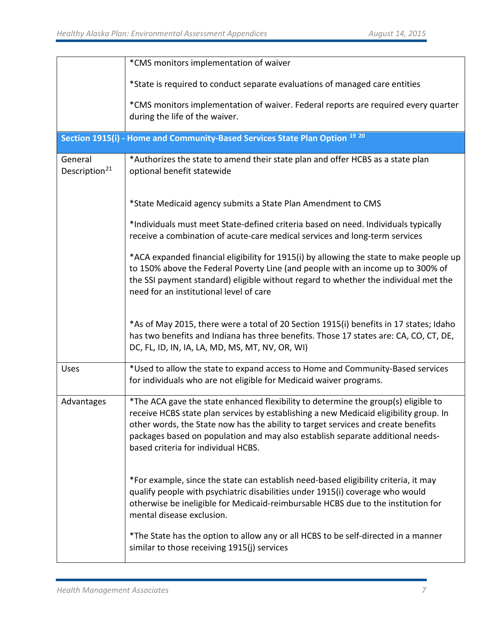|                                      | *CMS monitors implementation of waiver                                                                                                                                                                                                                                                                                                                                                    |
|--------------------------------------|-------------------------------------------------------------------------------------------------------------------------------------------------------------------------------------------------------------------------------------------------------------------------------------------------------------------------------------------------------------------------------------------|
|                                      | *State is required to conduct separate evaluations of managed care entities                                                                                                                                                                                                                                                                                                               |
|                                      | *CMS monitors implementation of waiver. Federal reports are required every quarter<br>during the life of the waiver.                                                                                                                                                                                                                                                                      |
|                                      | Section 1915(i) - Home and Community-Based Services State Plan Option 19 20                                                                                                                                                                                                                                                                                                               |
| General<br>Description <sup>21</sup> | *Authorizes the state to amend their state plan and offer HCBS as a state plan<br>optional benefit statewide                                                                                                                                                                                                                                                                              |
|                                      | *State Medicaid agency submits a State Plan Amendment to CMS                                                                                                                                                                                                                                                                                                                              |
|                                      | *Individuals must meet State-defined criteria based on need. Individuals typically<br>receive a combination of acute-care medical services and long-term services                                                                                                                                                                                                                         |
|                                      | *ACA expanded financial eligibility for 1915(i) by allowing the state to make people up<br>to 150% above the Federal Poverty Line (and people with an income up to 300% of<br>the SSI payment standard) eligible without regard to whether the individual met the<br>need for an institutional level of care                                                                              |
|                                      | *As of May 2015, there were a total of 20 Section 1915(i) benefits in 17 states; Idaho<br>has two benefits and Indiana has three benefits. Those 17 states are: CA, CO, CT, DE,<br>DC, FL, ID, IN, IA, LA, MD, MS, MT, NV, OR, WI)                                                                                                                                                        |
| Uses                                 | *Used to allow the state to expand access to Home and Community-Based services<br>for individuals who are not eligible for Medicaid waiver programs.                                                                                                                                                                                                                                      |
| Advantages                           | *The ACA gave the state enhanced flexibility to determine the group(s) eligible to<br>receive HCBS state plan services by establishing a new Medicaid eligibility group. In<br>other words, the State now has the ability to target services and create benefits<br>packages based on population and may also establish separate additional needs-<br>based criteria for individual HCBS. |
|                                      | *For example, since the state can establish need-based eligibility criteria, it may<br>qualify people with psychiatric disabilities under 1915(i) coverage who would<br>otherwise be ineligible for Medicaid-reimbursable HCBS due to the institution for<br>mental disease exclusion.                                                                                                    |
|                                      | *The State has the option to allow any or all HCBS to be self-directed in a manner<br>similar to those receiving 1915(j) services                                                                                                                                                                                                                                                         |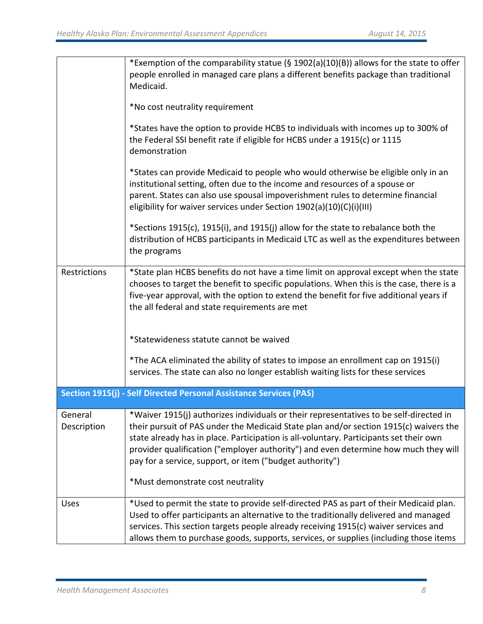|                        | *Exemption of the comparability statue (§ 1902(a)(10)(B)) allows for the state to offer<br>people enrolled in managed care plans a different benefits package than traditional<br>Medicaid.                                                                                                                                                                                                                                  |
|------------------------|------------------------------------------------------------------------------------------------------------------------------------------------------------------------------------------------------------------------------------------------------------------------------------------------------------------------------------------------------------------------------------------------------------------------------|
|                        | *No cost neutrality requirement                                                                                                                                                                                                                                                                                                                                                                                              |
|                        | *States have the option to provide HCBS to individuals with incomes up to 300% of<br>the Federal SSI benefit rate if eligible for HCBS under a 1915(c) or 1115<br>demonstration                                                                                                                                                                                                                                              |
|                        | *States can provide Medicaid to people who would otherwise be eligible only in an<br>institutional setting, often due to the income and resources of a spouse or<br>parent. States can also use spousal impoverishment rules to determine financial<br>eligibility for waiver services under Section 1902(a)(10)(C)(i)(III)                                                                                                  |
|                        | *Sections 1915(c), 1915(i), and 1915(j) allow for the state to rebalance both the<br>distribution of HCBS participants in Medicaid LTC as well as the expenditures between<br>the programs                                                                                                                                                                                                                                   |
| Restrictions           | *State plan HCBS benefits do not have a time limit on approval except when the state<br>chooses to target the benefit to specific populations. When this is the case, there is a<br>five-year approval, with the option to extend the benefit for five additional years if<br>the all federal and state requirements are met                                                                                                 |
|                        | *Statewideness statute cannot be waived                                                                                                                                                                                                                                                                                                                                                                                      |
|                        | *The ACA eliminated the ability of states to impose an enrollment cap on 1915(i)<br>services. The state can also no longer establish waiting lists for these services                                                                                                                                                                                                                                                        |
|                        | Section 1915(j) - Self Directed Personal Assistance Services (PAS)                                                                                                                                                                                                                                                                                                                                                           |
| General<br>Description | *Waiver 1915(j) authorizes individuals or their representatives to be self-directed in<br>their pursuit of PAS under the Medicaid State plan and/or section 1915(c) waivers the<br>state already has in place. Participation is all-voluntary. Participants set their own<br>provider qualification ("employer authority") and even determine how much they will<br>pay for a service, support, or item ("budget authority") |
|                        | *Must demonstrate cost neutrality                                                                                                                                                                                                                                                                                                                                                                                            |
| <b>Uses</b>            | *Used to permit the state to provide self-directed PAS as part of their Medicaid plan.<br>Used to offer participants an alternative to the traditionally delivered and managed<br>services. This section targets people already receiving 1915(c) waiver services and<br>allows them to purchase goods, supports, services, or supplies (including those items                                                               |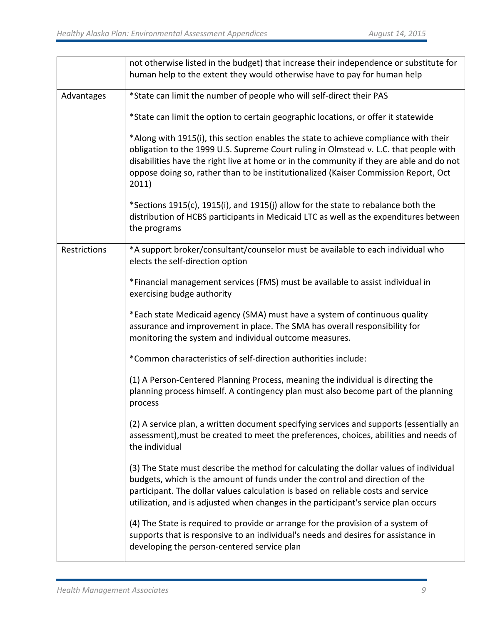|              | not otherwise listed in the budget) that increase their independence or substitute for<br>human help to the extent they would otherwise have to pay for human help                                                                                                                                                                                                        |
|--------------|---------------------------------------------------------------------------------------------------------------------------------------------------------------------------------------------------------------------------------------------------------------------------------------------------------------------------------------------------------------------------|
| Advantages   | *State can limit the number of people who will self-direct their PAS                                                                                                                                                                                                                                                                                                      |
|              | *State can limit the option to certain geographic locations, or offer it statewide                                                                                                                                                                                                                                                                                        |
|              | *Along with 1915(i), this section enables the state to achieve compliance with their<br>obligation to the 1999 U.S. Supreme Court ruling in Olmstead v. L.C. that people with<br>disabilities have the right live at home or in the community if they are able and do not<br>oppose doing so, rather than to be institutionalized (Kaiser Commission Report, Oct<br>2011) |
|              | *Sections 1915(c), 1915(i), and 1915(j) allow for the state to rebalance both the<br>distribution of HCBS participants in Medicaid LTC as well as the expenditures between<br>the programs                                                                                                                                                                                |
| Restrictions | *A support broker/consultant/counselor must be available to each individual who<br>elects the self-direction option                                                                                                                                                                                                                                                       |
|              | *Financial management services (FMS) must be available to assist individual in<br>exercising budge authority                                                                                                                                                                                                                                                              |
|              | *Each state Medicaid agency (SMA) must have a system of continuous quality<br>assurance and improvement in place. The SMA has overall responsibility for<br>monitoring the system and individual outcome measures.                                                                                                                                                        |
|              | *Common characteristics of self-direction authorities include:                                                                                                                                                                                                                                                                                                            |
|              | (1) A Person-Centered Planning Process, meaning the individual is directing the<br>planning process himself. A contingency plan must also become part of the planning<br>process                                                                                                                                                                                          |
|              | (2) A service plan, a written document specifying services and supports (essentially an<br>assessment), must be created to meet the preferences, choices, abilities and needs of<br>the individual                                                                                                                                                                        |
|              | (3) The State must describe the method for calculating the dollar values of individual<br>budgets, which is the amount of funds under the control and direction of the<br>participant. The dollar values calculation is based on reliable costs and service<br>utilization, and is adjusted when changes in the participant's service plan occurs                         |
|              | (4) The State is required to provide or arrange for the provision of a system of<br>supports that is responsive to an individual's needs and desires for assistance in<br>developing the person-centered service plan                                                                                                                                                     |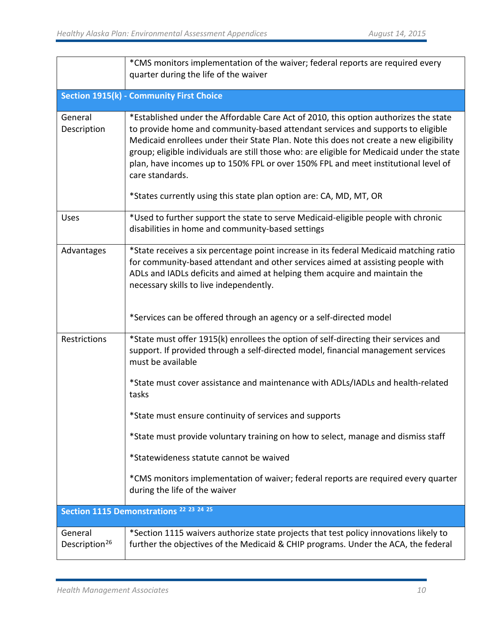|                                      | *CMS monitors implementation of the waiver; federal reports are required every<br>quarter during the life of the waiver                                                                                                                                                                                                                                                                                                                                                                                                                        |
|--------------------------------------|------------------------------------------------------------------------------------------------------------------------------------------------------------------------------------------------------------------------------------------------------------------------------------------------------------------------------------------------------------------------------------------------------------------------------------------------------------------------------------------------------------------------------------------------|
|                                      | <b>Section 1915(k) - Community First Choice</b>                                                                                                                                                                                                                                                                                                                                                                                                                                                                                                |
| General<br>Description               | *Established under the Affordable Care Act of 2010, this option authorizes the state<br>to provide home and community-based attendant services and supports to eligible<br>Medicaid enrollees under their State Plan. Note this does not create a new eligibility<br>group; eligible individuals are still those who: are eligible for Medicaid under the state<br>plan, have incomes up to 150% FPL or over 150% FPL and meet institutional level of<br>care standards.<br>*States currently using this state plan option are: CA, MD, MT, OR |
| <b>Uses</b>                          | *Used to further support the state to serve Medicaid-eligible people with chronic<br>disabilities in home and community-based settings                                                                                                                                                                                                                                                                                                                                                                                                         |
| Advantages                           | *State receives a six percentage point increase in its federal Medicaid matching ratio<br>for community-based attendant and other services aimed at assisting people with<br>ADLs and IADLs deficits and aimed at helping them acquire and maintain the<br>necessary skills to live independently.                                                                                                                                                                                                                                             |
|                                      | *Services can be offered through an agency or a self-directed model                                                                                                                                                                                                                                                                                                                                                                                                                                                                            |
| Restrictions                         | *State must offer 1915(k) enrollees the option of self-directing their services and<br>support. If provided through a self-directed model, financial management services<br>must be available                                                                                                                                                                                                                                                                                                                                                  |
|                                      | *State must cover assistance and maintenance with ADLs/IADLs and health-related<br>tasks                                                                                                                                                                                                                                                                                                                                                                                                                                                       |
|                                      | *State must ensure continuity of services and supports                                                                                                                                                                                                                                                                                                                                                                                                                                                                                         |
|                                      | *State must provide voluntary training on how to select, manage and dismiss staff                                                                                                                                                                                                                                                                                                                                                                                                                                                              |
|                                      | *Statewideness statute cannot be waived                                                                                                                                                                                                                                                                                                                                                                                                                                                                                                        |
|                                      | *CMS monitors implementation of waiver; federal reports are required every quarter<br>during the life of the waiver                                                                                                                                                                                                                                                                                                                                                                                                                            |
|                                      | Section 1115 Demonstrations <sup>22</sup> <sup>23</sup> <sup>24</sup> <sup>25</sup>                                                                                                                                                                                                                                                                                                                                                                                                                                                            |
| General<br>Description <sup>26</sup> | *Section 1115 waivers authorize state projects that test policy innovations likely to<br>further the objectives of the Medicaid & CHIP programs. Under the ACA, the federal                                                                                                                                                                                                                                                                                                                                                                    |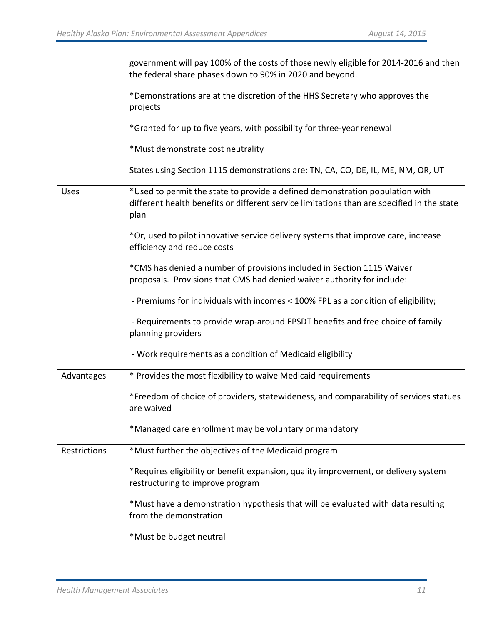|              | government will pay 100% of the costs of those newly eligible for 2014-2016 and then<br>the federal share phases down to 90% in 2020 and beyond.                                   |
|--------------|------------------------------------------------------------------------------------------------------------------------------------------------------------------------------------|
|              | *Demonstrations are at the discretion of the HHS Secretary who approves the<br>projects                                                                                            |
|              | *Granted for up to five years, with possibility for three-year renewal                                                                                                             |
|              | *Must demonstrate cost neutrality                                                                                                                                                  |
|              | States using Section 1115 demonstrations are: TN, CA, CO, DE, IL, ME, NM, OR, UT                                                                                                   |
| <b>Uses</b>  | *Used to permit the state to provide a defined demonstration population with<br>different health benefits or different service limitations than are specified in the state<br>plan |
|              | *Or, used to pilot innovative service delivery systems that improve care, increase<br>efficiency and reduce costs                                                                  |
|              | *CMS has denied a number of provisions included in Section 1115 Waiver<br>proposals. Provisions that CMS had denied waiver authority for include:                                  |
|              | - Premiums for individuals with incomes < 100% FPL as a condition of eligibility;                                                                                                  |
|              | - Requirements to provide wrap-around EPSDT benefits and free choice of family<br>planning providers                                                                               |
|              | - Work requirements as a condition of Medicaid eligibility                                                                                                                         |
| Advantages   | * Provides the most flexibility to waive Medicaid requirements                                                                                                                     |
|              | *Freedom of choice of providers, statewideness, and comparability of services statues<br>are waived                                                                                |
|              | *Managed care enrollment may be voluntary or mandatory                                                                                                                             |
| Restrictions | *Must further the objectives of the Medicaid program                                                                                                                               |
|              | *Requires eligibility or benefit expansion, quality improvement, or delivery system<br>restructuring to improve program                                                            |
|              | *Must have a demonstration hypothesis that will be evaluated with data resulting<br>from the demonstration                                                                         |
|              | *Must be budget neutral                                                                                                                                                            |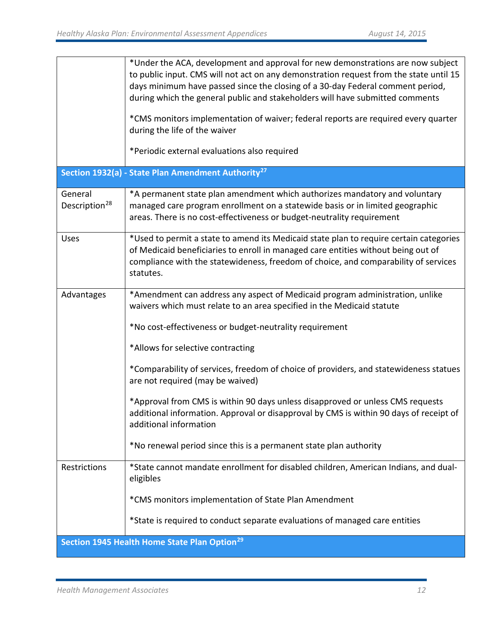|                                      | *Under the ACA, development and approval for new demonstrations are now subject<br>to public input. CMS will not act on any demonstration request from the state until 15<br>days minimum have passed since the closing of a 30-day Federal comment period,<br>during which the general public and stakeholders will have submitted comments<br>*CMS monitors implementation of waiver; federal reports are required every quarter<br>during the life of the waiver<br>*Periodic external evaluations also required                                                                                                                                                                                                                                   |
|--------------------------------------|-------------------------------------------------------------------------------------------------------------------------------------------------------------------------------------------------------------------------------------------------------------------------------------------------------------------------------------------------------------------------------------------------------------------------------------------------------------------------------------------------------------------------------------------------------------------------------------------------------------------------------------------------------------------------------------------------------------------------------------------------------|
|                                      | Section 1932(a) - State Plan Amendment Authority <sup>27</sup>                                                                                                                                                                                                                                                                                                                                                                                                                                                                                                                                                                                                                                                                                        |
| General<br>Description <sup>28</sup> | *A permanent state plan amendment which authorizes mandatory and voluntary<br>managed care program enrollment on a statewide basis or in limited geographic<br>areas. There is no cost-effectiveness or budget-neutrality requirement                                                                                                                                                                                                                                                                                                                                                                                                                                                                                                                 |
| <b>Uses</b>                          | *Used to permit a state to amend its Medicaid state plan to require certain categories<br>of Medicaid beneficiaries to enroll in managed care entities without being out of<br>compliance with the statewideness, freedom of choice, and comparability of services<br>statutes.                                                                                                                                                                                                                                                                                                                                                                                                                                                                       |
| Advantages<br>Restrictions           | *Amendment can address any aspect of Medicaid program administration, unlike<br>waivers which must relate to an area specified in the Medicaid statute<br>*No cost-effectiveness or budget-neutrality requirement<br>*Allows for selective contracting<br>*Comparability of services, freedom of choice of providers, and statewideness statues<br>are not required (may be waived)<br>*Approval from CMS is within 90 days unless disapproved or unless CMS requests<br>additional information. Approval or disapproval by CMS is within 90 days of receipt of<br>additional information<br>*No renewal period since this is a permanent state plan authority<br>*State cannot mandate enrollment for disabled children, American Indians, and dual- |
|                                      | eligibles<br>*CMS monitors implementation of State Plan Amendment                                                                                                                                                                                                                                                                                                                                                                                                                                                                                                                                                                                                                                                                                     |
|                                      | *State is required to conduct separate evaluations of managed care entities                                                                                                                                                                                                                                                                                                                                                                                                                                                                                                                                                                                                                                                                           |
|                                      | Section 1945 Health Home State Plan Option <sup>29</sup>                                                                                                                                                                                                                                                                                                                                                                                                                                                                                                                                                                                                                                                                                              |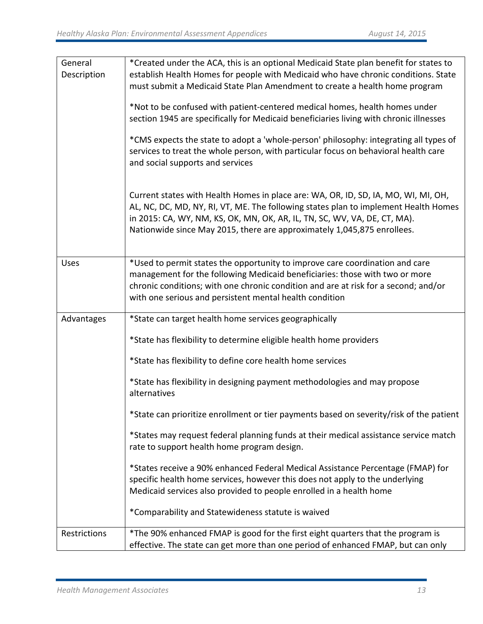| General<br>Description | *Created under the ACA, this is an optional Medicaid State plan benefit for states to<br>establish Health Homes for people with Medicaid who have chronic conditions. State<br>must submit a Medicaid State Plan Amendment to create a health home program                                                                        |  |  |  |  |  |
|------------------------|-----------------------------------------------------------------------------------------------------------------------------------------------------------------------------------------------------------------------------------------------------------------------------------------------------------------------------------|--|--|--|--|--|
|                        | *Not to be confused with patient-centered medical homes, health homes under<br>section 1945 are specifically for Medicaid beneficiaries living with chronic illnesses                                                                                                                                                             |  |  |  |  |  |
|                        | *CMS expects the state to adopt a 'whole-person' philosophy: integrating all types of<br>services to treat the whole person, with particular focus on behavioral health care<br>and social supports and services                                                                                                                  |  |  |  |  |  |
|                        | Current states with Health Homes in place are: WA, OR, ID, SD, IA, MO, WI, MI, OH,<br>AL, NC, DC, MD, NY, RI, VT, ME. The following states plan to implement Health Homes<br>in 2015: CA, WY, NM, KS, OK, MN, OK, AR, IL, TN, SC, WV, VA, DE, CT, MA).<br>Nationwide since May 2015, there are approximately 1,045,875 enrollees. |  |  |  |  |  |
| <b>Uses</b>            | *Used to permit states the opportunity to improve care coordination and care<br>management for the following Medicaid beneficiaries: those with two or more<br>chronic conditions; with one chronic condition and are at risk for a second; and/or<br>with one serious and persistent mental health condition                     |  |  |  |  |  |
| Advantages             | *State can target health home services geographically                                                                                                                                                                                                                                                                             |  |  |  |  |  |
|                        | *State has flexibility to determine eligible health home providers                                                                                                                                                                                                                                                                |  |  |  |  |  |
|                        | *State has flexibility to define core health home services                                                                                                                                                                                                                                                                        |  |  |  |  |  |
|                        | *State has flexibility in designing payment methodologies and may propose<br>alternatives                                                                                                                                                                                                                                         |  |  |  |  |  |
|                        | *State can prioritize enrollment or tier payments based on severity/risk of the patient                                                                                                                                                                                                                                           |  |  |  |  |  |
|                        | *States may request federal planning funds at their medical assistance service match<br>rate to support health home program design.                                                                                                                                                                                               |  |  |  |  |  |
|                        | *States receive a 90% enhanced Federal Medical Assistance Percentage (FMAP) for<br>specific health home services, however this does not apply to the underlying<br>Medicaid services also provided to people enrolled in a health home                                                                                            |  |  |  |  |  |
|                        | *Comparability and Statewideness statute is waived                                                                                                                                                                                                                                                                                |  |  |  |  |  |
| Restrictions           | *The 90% enhanced FMAP is good for the first eight quarters that the program is<br>effective. The state can get more than one period of enhanced FMAP, but can only                                                                                                                                                               |  |  |  |  |  |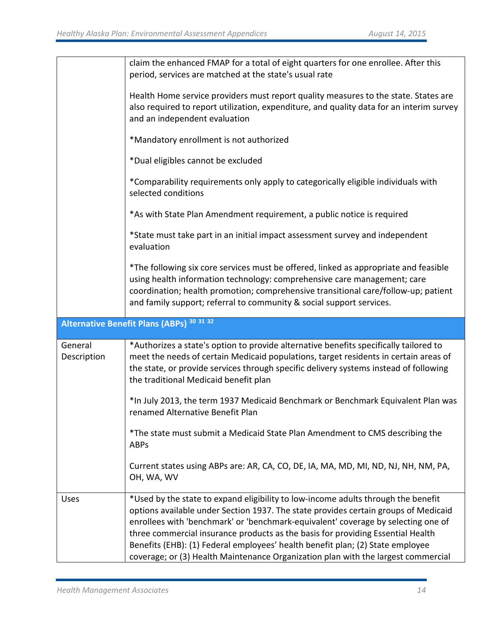|                        | claim the enhanced FMAP for a total of eight quarters for one enrollee. After this<br>period, services are matched at the state's usual rate                                                                                                                                                                                                                                                                                                                                                                            |
|------------------------|-------------------------------------------------------------------------------------------------------------------------------------------------------------------------------------------------------------------------------------------------------------------------------------------------------------------------------------------------------------------------------------------------------------------------------------------------------------------------------------------------------------------------|
|                        | Health Home service providers must report quality measures to the state. States are<br>also required to report utilization, expenditure, and quality data for an interim survey<br>and an independent evaluation                                                                                                                                                                                                                                                                                                        |
|                        | *Mandatory enrollment is not authorized                                                                                                                                                                                                                                                                                                                                                                                                                                                                                 |
|                        | *Dual eligibles cannot be excluded                                                                                                                                                                                                                                                                                                                                                                                                                                                                                      |
|                        | *Comparability requirements only apply to categorically eligible individuals with<br>selected conditions                                                                                                                                                                                                                                                                                                                                                                                                                |
|                        | *As with State Plan Amendment requirement, a public notice is required                                                                                                                                                                                                                                                                                                                                                                                                                                                  |
|                        | *State must take part in an initial impact assessment survey and independent<br>evaluation                                                                                                                                                                                                                                                                                                                                                                                                                              |
|                        | *The following six core services must be offered, linked as appropriate and feasible<br>using health information technology: comprehensive care management; care<br>coordination; health promotion; comprehensive transitional care/follow-up; patient<br>and family support; referral to community & social support services.                                                                                                                                                                                          |
|                        | Alternative Benefit Plans (ABPs) 30 31 32                                                                                                                                                                                                                                                                                                                                                                                                                                                                               |
| General<br>Description | *Authorizes a state's option to provide alternative benefits specifically tailored to<br>meet the needs of certain Medicaid populations, target residents in certain areas of<br>the state, or provide services through specific delivery systems instead of following<br>the traditional Medicaid benefit plan                                                                                                                                                                                                         |
|                        | *In July 2013, the term 1937 Medicaid Benchmark or Benchmark Equivalent Plan was<br>renamed Alternative Benefit Plan                                                                                                                                                                                                                                                                                                                                                                                                    |
|                        | *The state must submit a Medicaid State Plan Amendment to CMS describing the<br><b>ABPs</b>                                                                                                                                                                                                                                                                                                                                                                                                                             |
|                        | Current states using ABPs are: AR, CA, CO, DE, IA, MA, MD, MI, ND, NJ, NH, NM, PA,<br>OH, WA, WV                                                                                                                                                                                                                                                                                                                                                                                                                        |
| Uses                   | *Used by the state to expand eligibility to low-income adults through the benefit<br>options available under Section 1937. The state provides certain groups of Medicaid<br>enrollees with 'benchmark' or 'benchmark-equivalent' coverage by selecting one of<br>three commercial insurance products as the basis for providing Essential Health<br>Benefits (EHB): (1) Federal employees' health benefit plan; (2) State employee<br>coverage; or (3) Health Maintenance Organization plan with the largest commercial |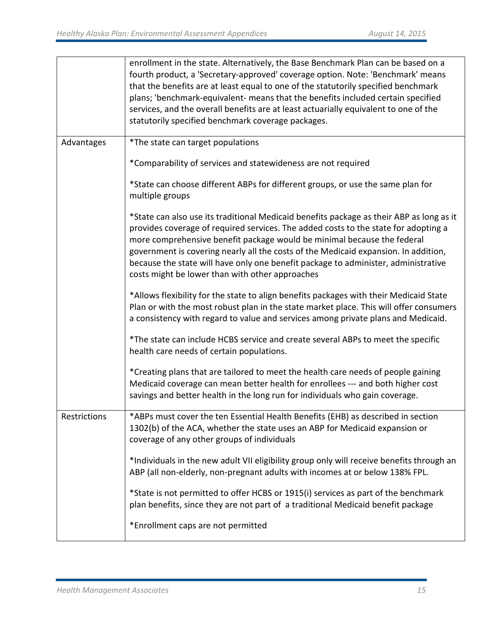|              | enrollment in the state. Alternatively, the Base Benchmark Plan can be based on a<br>fourth product, a 'Secretary-approved' coverage option. Note: 'Benchmark' means<br>that the benefits are at least equal to one of the statutorily specified benchmark<br>plans; 'benchmark-equivalent- means that the benefits included certain specified<br>services, and the overall benefits are at least actuarially equivalent to one of the<br>statutorily specified benchmark coverage packages. |
|--------------|----------------------------------------------------------------------------------------------------------------------------------------------------------------------------------------------------------------------------------------------------------------------------------------------------------------------------------------------------------------------------------------------------------------------------------------------------------------------------------------------|
| Advantages   | *The state can target populations                                                                                                                                                                                                                                                                                                                                                                                                                                                            |
|              | *Comparability of services and statewideness are not required                                                                                                                                                                                                                                                                                                                                                                                                                                |
|              | *State can choose different ABPs for different groups, or use the same plan for<br>multiple groups                                                                                                                                                                                                                                                                                                                                                                                           |
|              | *State can also use its traditional Medicaid benefits package as their ABP as long as it<br>provides coverage of required services. The added costs to the state for adopting a<br>more comprehensive benefit package would be minimal because the federal<br>government is covering nearly all the costs of the Medicaid expansion. In addition,<br>because the state will have only one benefit package to administer, administrative<br>costs might be lower than with other approaches   |
|              | *Allows flexibility for the state to align benefits packages with their Medicaid State<br>Plan or with the most robust plan in the state market place. This will offer consumers<br>a consistency with regard to value and services among private plans and Medicaid.                                                                                                                                                                                                                        |
|              | *The state can include HCBS service and create several ABPs to meet the specific<br>health care needs of certain populations.                                                                                                                                                                                                                                                                                                                                                                |
|              | *Creating plans that are tailored to meet the health care needs of people gaining<br>Medicaid coverage can mean better health for enrollees --- and both higher cost<br>savings and better health in the long run for individuals who gain coverage.                                                                                                                                                                                                                                         |
| Restrictions | *ABPs must cover the ten Essential Health Benefits (EHB) as described in section<br>1302(b) of the ACA, whether the state uses an ABP for Medicaid expansion or<br>coverage of any other groups of individuals                                                                                                                                                                                                                                                                               |
|              | *Individuals in the new adult VII eligibility group only will receive benefits through an<br>ABP (all non-elderly, non-pregnant adults with incomes at or below 138% FPL.                                                                                                                                                                                                                                                                                                                    |
|              | *State is not permitted to offer HCBS or 1915(i) services as part of the benchmark<br>plan benefits, since they are not part of a traditional Medicaid benefit package                                                                                                                                                                                                                                                                                                                       |
|              | *Enrollment caps are not permitted                                                                                                                                                                                                                                                                                                                                                                                                                                                           |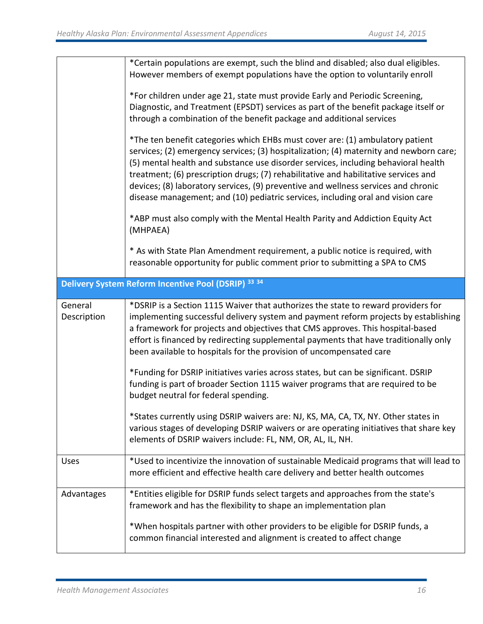|                        | *Certain populations are exempt, such the blind and disabled; also dual eligibles.<br>However members of exempt populations have the option to voluntarily enroll<br>*For children under age 21, state must provide Early and Periodic Screening,<br>Diagnostic, and Treatment (EPSDT) services as part of the benefit package itself or<br>through a combination of the benefit package and additional services<br>*The ten benefit categories which EHBs must cover are: (1) ambulatory patient<br>services; (2) emergency services; (3) hospitalization; (4) maternity and newborn care;<br>(5) mental health and substance use disorder services, including behavioral health<br>treatment; (6) prescription drugs; (7) rehabilitative and habilitative services and<br>devices; (8) laboratory services, (9) preventive and wellness services and chronic<br>disease management; and (10) pediatric services, including oral and vision care<br>*ABP must also comply with the Mental Health Parity and Addiction Equity Act<br>(MHPAEA) |
|------------------------|-----------------------------------------------------------------------------------------------------------------------------------------------------------------------------------------------------------------------------------------------------------------------------------------------------------------------------------------------------------------------------------------------------------------------------------------------------------------------------------------------------------------------------------------------------------------------------------------------------------------------------------------------------------------------------------------------------------------------------------------------------------------------------------------------------------------------------------------------------------------------------------------------------------------------------------------------------------------------------------------------------------------------------------------------|
|                        | * As with State Plan Amendment requirement, a public notice is required, with<br>reasonable opportunity for public comment prior to submitting a SPA to CMS                                                                                                                                                                                                                                                                                                                                                                                                                                                                                                                                                                                                                                                                                                                                                                                                                                                                                   |
|                        | Delivery System Reform Incentive Pool (DSRIP) 33 34                                                                                                                                                                                                                                                                                                                                                                                                                                                                                                                                                                                                                                                                                                                                                                                                                                                                                                                                                                                           |
| General<br>Description | *DSRIP is a Section 1115 Waiver that authorizes the state to reward providers for<br>implementing successful delivery system and payment reform projects by establishing<br>a framework for projects and objectives that CMS approves. This hospital-based<br>effort is financed by redirecting supplemental payments that have traditionally only<br>been available to hospitals for the provision of uncompensated care                                                                                                                                                                                                                                                                                                                                                                                                                                                                                                                                                                                                                     |
|                        | *Funding for DSRIP initiatives varies across states, but can be significant. DSRIP<br>funding is part of broader Section 1115 waiver programs that are required to be<br>budget neutral for federal spending.                                                                                                                                                                                                                                                                                                                                                                                                                                                                                                                                                                                                                                                                                                                                                                                                                                 |
|                        | *States currently using DSRIP waivers are: NJ, KS, MA, CA, TX, NY. Other states in<br>various stages of developing DSRIP waivers or are operating initiatives that share key<br>elements of DSRIP waivers include: FL, NM, OR, AL, IL, NH.                                                                                                                                                                                                                                                                                                                                                                                                                                                                                                                                                                                                                                                                                                                                                                                                    |
| <b>Uses</b>            | *Used to incentivize the innovation of sustainable Medicaid programs that will lead to<br>more efficient and effective health care delivery and better health outcomes                                                                                                                                                                                                                                                                                                                                                                                                                                                                                                                                                                                                                                                                                                                                                                                                                                                                        |
| Advantages             | *Entities eligible for DSRIP funds select targets and approaches from the state's<br>framework and has the flexibility to shape an implementation plan                                                                                                                                                                                                                                                                                                                                                                                                                                                                                                                                                                                                                                                                                                                                                                                                                                                                                        |
|                        | *When hospitals partner with other providers to be eligible for DSRIP funds, a<br>common financial interested and alignment is created to affect change                                                                                                                                                                                                                                                                                                                                                                                                                                                                                                                                                                                                                                                                                                                                                                                                                                                                                       |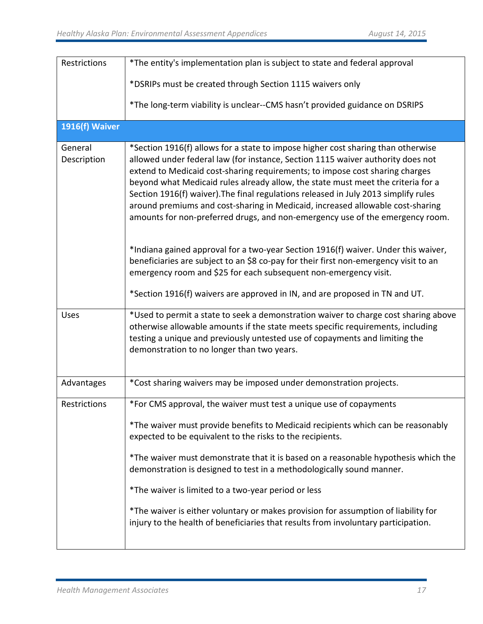| Restrictions           | *The entity's implementation plan is subject to state and federal approval                                                                                                                                                                                                                                                                                                                                                                                                                                                                                                                                                                                                                                                                                                                                                                                                                                                         |
|------------------------|------------------------------------------------------------------------------------------------------------------------------------------------------------------------------------------------------------------------------------------------------------------------------------------------------------------------------------------------------------------------------------------------------------------------------------------------------------------------------------------------------------------------------------------------------------------------------------------------------------------------------------------------------------------------------------------------------------------------------------------------------------------------------------------------------------------------------------------------------------------------------------------------------------------------------------|
|                        |                                                                                                                                                                                                                                                                                                                                                                                                                                                                                                                                                                                                                                                                                                                                                                                                                                                                                                                                    |
|                        | *DSRIPs must be created through Section 1115 waivers only                                                                                                                                                                                                                                                                                                                                                                                                                                                                                                                                                                                                                                                                                                                                                                                                                                                                          |
|                        | *The long-term viability is unclear--CMS hasn't provided guidance on DSRIPS                                                                                                                                                                                                                                                                                                                                                                                                                                                                                                                                                                                                                                                                                                                                                                                                                                                        |
| 1916(f) Waiver         |                                                                                                                                                                                                                                                                                                                                                                                                                                                                                                                                                                                                                                                                                                                                                                                                                                                                                                                                    |
| General<br>Description | *Section 1916(f) allows for a state to impose higher cost sharing than otherwise<br>allowed under federal law (for instance, Section 1115 waiver authority does not<br>extend to Medicaid cost-sharing requirements; to impose cost sharing charges<br>beyond what Medicaid rules already allow, the state must meet the criteria for a<br>Section 1916(f) waiver). The final regulations released in July 2013 simplify rules<br>around premiums and cost-sharing in Medicaid, increased allowable cost-sharing<br>amounts for non-preferred drugs, and non-emergency use of the emergency room.<br>*Indiana gained approval for a two-year Section 1916(f) waiver. Under this waiver,<br>beneficiaries are subject to an \$8 co-pay for their first non-emergency visit to an<br>emergency room and \$25 for each subsequent non-emergency visit.<br>*Section 1916(f) waivers are approved in IN, and are proposed in TN and UT. |
| Uses                   | *Used to permit a state to seek a demonstration waiver to charge cost sharing above<br>otherwise allowable amounts if the state meets specific requirements, including<br>testing a unique and previously untested use of copayments and limiting the<br>demonstration to no longer than two years.                                                                                                                                                                                                                                                                                                                                                                                                                                                                                                                                                                                                                                |
| Advantages             | *Cost sharing waivers may be imposed under demonstration projects.                                                                                                                                                                                                                                                                                                                                                                                                                                                                                                                                                                                                                                                                                                                                                                                                                                                                 |
| Restrictions           | *For CMS approval, the waiver must test a unique use of copayments                                                                                                                                                                                                                                                                                                                                                                                                                                                                                                                                                                                                                                                                                                                                                                                                                                                                 |
|                        | *The waiver must provide benefits to Medicaid recipients which can be reasonably<br>expected to be equivalent to the risks to the recipients.                                                                                                                                                                                                                                                                                                                                                                                                                                                                                                                                                                                                                                                                                                                                                                                      |
|                        | *The waiver must demonstrate that it is based on a reasonable hypothesis which the<br>demonstration is designed to test in a methodologically sound manner.                                                                                                                                                                                                                                                                                                                                                                                                                                                                                                                                                                                                                                                                                                                                                                        |
|                        | *The waiver is limited to a two-year period or less                                                                                                                                                                                                                                                                                                                                                                                                                                                                                                                                                                                                                                                                                                                                                                                                                                                                                |
|                        | *The waiver is either voluntary or makes provision for assumption of liability for<br>injury to the health of beneficiaries that results from involuntary participation.                                                                                                                                                                                                                                                                                                                                                                                                                                                                                                                                                                                                                                                                                                                                                           |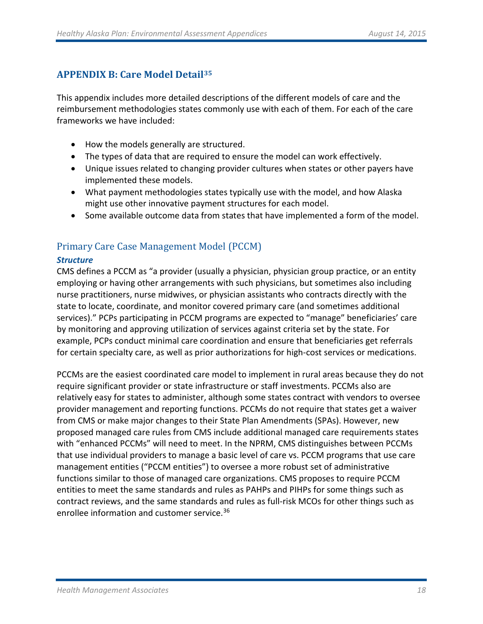# **APPENDIX B: Care Model Detail[35](#page-56-17)**

This appendix includes more detailed descriptions of the different models of care and the reimbursement methodologies states commonly use with each of them. For each of the care frameworks we have included:

- How the models generally are structured.
- The types of data that are required to ensure the model can work effectively.
- Unique issues related to changing provider cultures when states or other payers have implemented these models.
- What payment methodologies states typically use with the model, and how Alaska might use other innovative payment structures for each model.
- Some available outcome data from states that have implemented a form of the model.

# Primary Care Case Management Model (PCCM)

# *Structure*

CMS defines a PCCM as "a provider (usually a physician, physician group practice, or an entity employing or having other arrangements with such physicians, but sometimes also including nurse practitioners, nurse midwives, or physician assistants who contracts directly with the state to locate, coordinate, and monitor covered primary care (and sometimes additional services)." PCPs participating in PCCM programs are expected to "manage" beneficiaries' care by monitoring and approving utilization of services against criteria set by the state. For example, PCPs conduct minimal care coordination and ensure that beneficiaries get referrals for certain specialty care, as well as prior authorizations for high-cost services or medications.

PCCMs are the easiest coordinated care model to implement in rural areas because they do not require significant provider or state infrastructure or staff investments. PCCMs also are relatively easy for states to administer, although some states contract with vendors to oversee provider management and reporting functions. PCCMs do not require that states get a waiver from CMS or make major changes to their State Plan Amendments (SPAs). However, new proposed managed care rules from CMS include additional managed care requirements states with "enhanced PCCMs" will need to meet. In the NPRM, CMS distinguishes between PCCMs that use individual providers to manage a basic level of care vs. PCCM programs that use care management entities ("PCCM entities") to oversee a more robust set of administrative functions similar to those of managed care organizations. CMS proposes to require PCCM entities to meet the same standards and rules as PAHPs and PIHPs for some things such as contract reviews, and the same standards and rules as full-risk MCOs for other things such as enrollee information and customer service.<sup>[36](#page-56-18)</sup>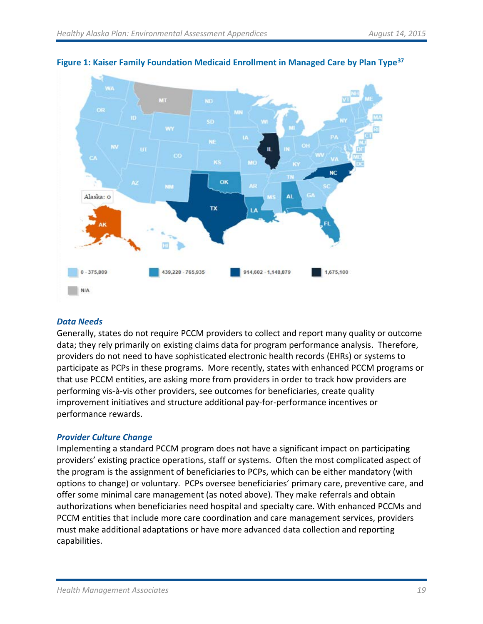

**Figure 1: Kaiser Family Foundation Medicaid Enrollment in Managed Care by Plan Type[37](#page-56-19)**

# *Data Needs*

Generally, states do not require PCCM providers to collect and report many quality or outcome data; they rely primarily on existing claims data for program performance analysis. Therefore, providers do not need to have sophisticated electronic health records (EHRs) or systems to participate as PCPs in these programs. More recently, states with enhanced PCCM programs or that use PCCM entities, are asking more from providers in order to track how providers are performing vis-à-vis other providers, see outcomes for beneficiaries, create quality improvement initiatives and structure additional pay-for-performance incentives or performance rewards.

# *Provider Culture Change*

Implementing a standard PCCM program does not have a significant impact on participating providers' existing practice operations, staff or systems. Often the most complicated aspect of the program is the assignment of beneficiaries to PCPs, which can be either mandatory (with options to change) or voluntary. PCPs oversee beneficiaries' primary care, preventive care, and offer some minimal care management (as noted above). They make referrals and obtain authorizations when beneficiaries need hospital and specialty care. With enhanced PCCMs and PCCM entities that include more care coordination and care management services, providers must make additional adaptations or have more advanced data collection and reporting capabilities.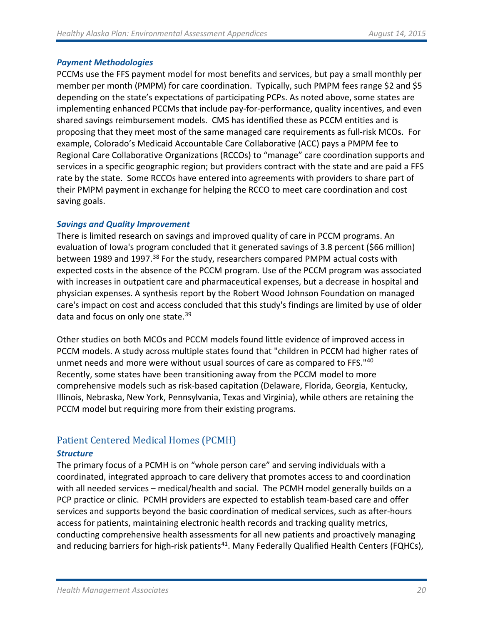#### *Payment Methodologies*

PCCMs use the FFS payment model for most benefits and services, but pay a small monthly per member per month (PMPM) for care coordination. Typically, such PMPM fees range \$2 and \$5 depending on the state's expectations of participating PCPs. As noted above, some states are implementing enhanced PCCMs that include pay-for-performance, quality incentives, and even shared savings reimbursement models. CMS has identified these as PCCM entities and is proposing that they meet most of the same managed care requirements as full-risk MCOs. For example, Colorado's Medicaid Accountable Care Collaborative (ACC) pays a PMPM fee to Regional Care Collaborative Organizations (RCCOs) to "manage" care coordination supports and services in a specific geographic region; but providers contract with the state and are paid a FFS rate by the state. Some RCCOs have entered into agreements with providers to share part of their PMPM payment in exchange for helping the RCCO to meet care coordination and cost saving goals.

#### *Savings and Quality Improvement*

There is limited research on savings and improved quality of care in PCCM programs. An evaluation of Iowa's program concluded that it generated savings of 3.8 percent (\$66 million) between 1989 and 1997.<sup>[38](#page-56-20)</sup> For the study, researchers compared PMPM actual costs with expected costs in the absence of the PCCM program. Use of the PCCM program was associated with increases in outpatient care and pharmaceutical expenses, but a decrease in hospital and physician expenses. A synthesis report by the Robert Wood Johnson Foundation on managed care's impact on cost and access concluded that this study's findings are limited by use of older data and focus on only one state.<sup>[39](#page-56-21)</sup>

Other studies on both MCOs and PCCM models found little evidence of improved access in PCCM models. A study across multiple states found that "children in PCCM had higher rates of unmet needs and more were without usual sources of care as compared to FFS.<sup>["40](#page-56-22)</sup> Recently, some states have been transitioning away from the PCCM model to more comprehensive models such as risk-based capitation (Delaware, Florida, Georgia, Kentucky, Illinois, Nebraska, New York, Pennsylvania, Texas and Virginia), while others are retaining the PCCM model but requiring more from their existing programs.

# Patient Centered Medical Homes (PCMH)

# *Structure*

The primary focus of a PCMH is on "whole person care" and serving individuals with a coordinated, integrated approach to care delivery that promotes access to and coordination with all needed services – medical/health and social. The PCMH model generally builds on a PCP practice or clinic. PCMH providers are expected to establish team-based care and offer services and supports beyond the basic coordination of medical services, such as after-hours access for patients, maintaining electronic health records and tracking quality metrics, conducting comprehensive health assessments for all new patients and proactively managing and reducing barriers for high-risk patients<sup>41</sup>. Many Federally Qualified Health Centers (FQHCs),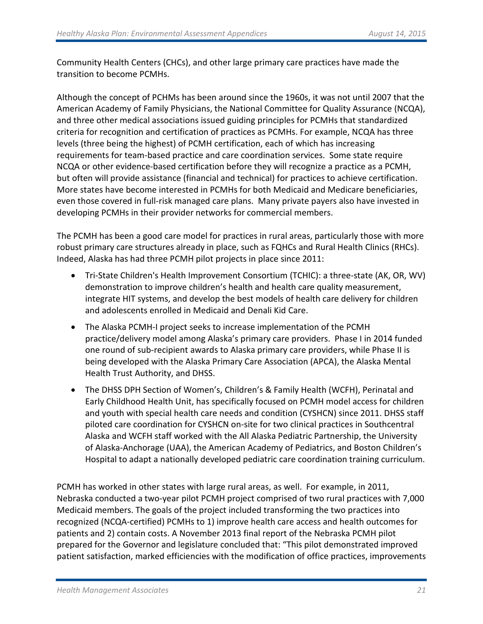Community Health Centers (CHCs), and other large primary care practices have made the transition to become PCMHs.

Although the concept of PCHMs has been around since the 1960s, it was not until 2007 that the American Academy of Family Physicians, the National Committee for Quality Assurance (NCQA), and three other medical associations issued guiding principles for PCMHs that standardized criteria for recognition and certification of practices as PCMHs. For example, NCQA has three levels (three being the highest) of PCMH certification, each of which has increasing requirements for team-based practice and care coordination services. Some state require NCQA or other evidence-based certification before they will recognize a practice as a PCMH, but often will provide assistance (financial and technical) for practices to achieve certification. More states have become interested in PCMHs for both Medicaid and Medicare beneficiaries, even those covered in full-risk managed care plans. Many private payers also have invested in developing PCMHs in their provider networks for commercial members.

The PCMH has been a good care model for practices in rural areas, particularly those with more robust primary care structures already in place, such as FQHCs and Rural Health Clinics (RHCs). Indeed, Alaska has had three PCMH pilot projects in place since 2011:

- Tri-State Children's Health Improvement Consortium (TCHIC): a three-state (AK, OR, WV) demonstration to improve children's health and health care quality measurement, integrate HIT systems, and develop the best models of health care delivery for children and adolescents enrolled in Medicaid and Denali Kid Care.
- The Alaska PCMH-I project seeks to increase implementation of the PCMH practice/delivery model among Alaska's primary care providers. Phase I in 2014 funded one round of sub-recipient awards to Alaska primary care providers, while Phase II is being developed with the Alaska Primary Care Association (APCA), the Alaska Mental Health Trust Authority, and DHSS.
- The DHSS DPH Section of Women's, Children's & Family Health (WCFH), Perinatal and Early Childhood Health Unit, has specifically focused on PCMH model access for children and youth with special health care needs and condition (CYSHCN) since 2011. DHSS staff piloted care coordination for CYSHCN on-site for two clinical practices in Southcentral Alaska and WCFH staff worked with the All Alaska Pediatric Partnership, the University of Alaska-Anchorage (UAA), the American Academy of Pediatrics, and Boston Children's Hospital to adapt a nationally developed pediatric care coordination training curriculum.

PCMH has worked in other states with large rural areas, as well. For example, in 2011, Nebraska conducted a two-year pilot PCMH project comprised of two rural practices with 7,000 Medicaid members. The goals of the project included transforming the two practices into recognized (NCQA-certified) PCMHs to 1) improve health care access and health outcomes for patients and 2) contain costs. A November 2013 final report of the Nebraska PCMH pilot prepared for the Governor and legislature concluded that: "This pilot demonstrated improved patient satisfaction, marked efficiencies with the modification of office practices, improvements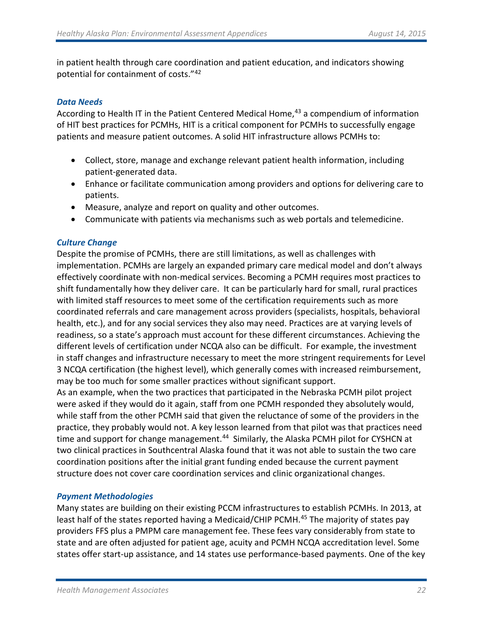in patient health through care coordination and patient education, and indicators showing potential for containment of costs."[42](#page-56-24)

#### *Data Needs*

According to Health IT in the Patient Centered Medical Home,<sup>[43](#page-56-25)</sup> a compendium of information of HIT best practices for PCMHs, HIT is a critical component for PCMHs to successfully engage patients and measure patient outcomes. A solid HIT infrastructure allows PCMHs to:

- Collect, store, manage and exchange relevant patient health information, including patient-generated data.
- Enhance or facilitate communication among providers and options for delivering care to patients.
- Measure, analyze and report on quality and other outcomes.
- Communicate with patients via mechanisms such as web portals and telemedicine.

# *Culture Change*

Despite the promise of PCMHs, there are still limitations, as well as challenges with implementation. PCMHs are largely an expanded primary care medical model and don't always effectively coordinate with non-medical services. Becoming a PCMH requires most practices to shift fundamentally how they deliver care. It can be particularly hard for small, rural practices with limited staff resources to meet some of the certification requirements such as more coordinated referrals and care management across providers (specialists, hospitals, behavioral health, etc.), and for any social services they also may need. Practices are at varying levels of readiness, so a state's approach must account for these different circumstances. Achieving the different levels of certification under NCQA also can be difficult. For example, the investment in staff changes and infrastructure necessary to meet the more stringent requirements for Level 3 NCQA certification (the highest level), which generally comes with increased reimbursement, may be too much for some smaller practices without significant support.

As an example, when the two practices that participated in the Nebraska PCMH pilot project were asked if they would do it again, staff from one PCMH responded they absolutely would, while staff from the other PCMH said that given the reluctance of some of the providers in the practice, they probably would not. A key lesson learned from that pilot was that practices need time and support for change management.<sup>[44](#page-56-26)</sup> Similarly, the Alaska PCMH pilot for CYSHCN at two clinical practices in Southcentral Alaska found that it was not able to sustain the two care coordination positions after the initial grant funding ended because the current payment structure does not cover care coordination services and clinic organizational changes.

# *Payment Methodologies*

Many states are building on their existing PCCM infrastructures to establish PCMHs. In 2013, at least half of the states reported having a Medicaid/CHIP PCMH.<sup>[45](#page-56-27)</sup> The majority of states pay providers FFS plus a PMPM care management fee. These fees vary considerably from state to state and are often adjusted for patient age, acuity and PCMH NCQA accreditation level. Some states offer start-up assistance, and 14 states use performance-based payments. One of the key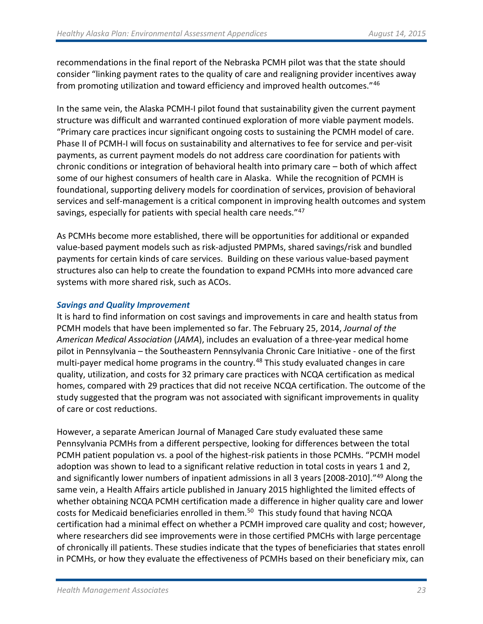recommendations in the final report of the Nebraska PCMH pilot was that the state should consider "linking payment rates to the quality of care and realigning provider incentives away from promoting utilization and toward efficiency and improved health outcomes."[46](#page-56-28)

In the same vein, the Alaska PCMH-I pilot found that sustainability given the current payment structure was difficult and warranted continued exploration of more viable payment models. "Primary care practices incur significant ongoing costs to sustaining the PCMH model of care. Phase II of PCMH-I will focus on sustainability and alternatives to fee for service and per-visit payments, as current payment models do not address care coordination for patients with chronic conditions or integration of behavioral health into primary care – both of which affect some of our highest consumers of health care in Alaska. While the recognition of PCMH is foundational, supporting delivery models for coordination of services, provision of behavioral services and self-management is a critical component in improving health outcomes and system savings, especially for patients with special health care needs."[47](#page-56-29)

As PCMHs become more established, there will be opportunities for additional or expanded value-based payment models such as risk-adjusted PMPMs, shared savings/risk and bundled payments for certain kinds of care services. Building on these various value-based payment structures also can help to create the foundation to expand PCMHs into more advanced care systems with more shared risk, such as ACOs.

#### *Savings and Quality Improvement*

It is hard to find information on cost savings and improvements in care and health status from PCMH models that have been implemented so far. The February 25, 2014, *Journal of the American Medical Association* (*JAMA*), includes an evaluation of a three-year medical home pilot in Pennsylvania – the Southeastern Pennsylvania Chronic Care Initiative - one of the first multi-payer medical home programs in the country.<sup>[48](#page-56-30)</sup> This study evaluated changes in care quality, utilization, and costs for 32 primary care practices with NCQA certification as medical homes, compared with 29 practices that did not receive NCQA certification. The outcome of the study suggested that the program was not associated with significant improvements in quality of care or cost reductions.

However, a separate American Journal of Managed Care study evaluated these same Pennsylvania PCMHs from a different perspective, looking for differences between the total PCMH patient population vs. a pool of the highest-risk patients in those PCMHs. "PCMH model adoption was shown to lead to a significant relative reduction in total costs in years 1 and 2, and significantly lower numbers of inpatient admissions in all 3 years [2008-2010]."<sup>[49](#page-56-31)</sup> Along the same vein, a Health Affairs article published in January 2015 highlighted the limited effects of whether obtaining NCQA PCMH certification made a difference in higher quality care and lower costs for Medicaid beneficiaries enrolled in them.<sup>50</sup> This study found that having NCQA certification had a minimal effect on whether a PCMH improved care quality and cost; however, where researchers did see improvements were in those certified PMCHs with large percentage of chronically ill patients. These studies indicate that the types of beneficiaries that states enroll in PCMHs, or how they evaluate the effectiveness of PCMHs based on their beneficiary mix, can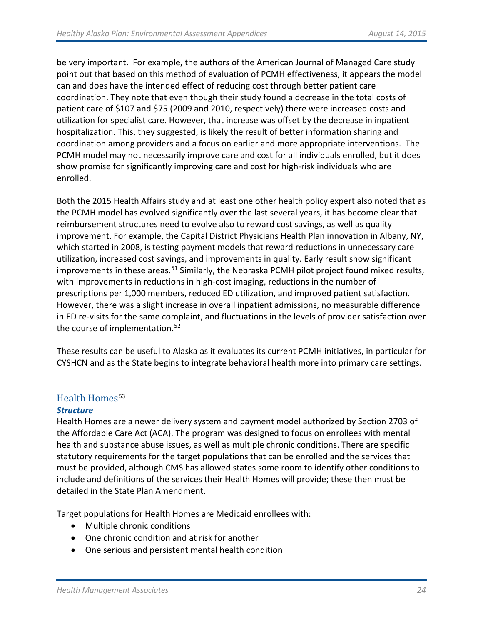be very important. For example, the authors of the American Journal of Managed Care study point out that based on this method of evaluation of PCMH effectiveness, it appears the model can and does have the intended effect of reducing cost through better patient care coordination. They note that even though their study found a decrease in the total costs of patient care of \$107 and \$75 (2009 and 2010, respectively) there were increased costs and utilization for specialist care. However, that increase was offset by the decrease in inpatient hospitalization. This, they suggested, is likely the result of better information sharing and coordination among providers and a focus on earlier and more appropriate interventions. The PCMH model may not necessarily improve care and cost for all individuals enrolled, but it does show promise for significantly improving care and cost for high-risk individuals who are enrolled.

Both the 2015 Health Affairs study and at least one other health policy expert also noted that as the PCMH model has evolved significantly over the last several years, it has become clear that reimbursement structures need to evolve also to reward cost savings, as well as quality improvement. For example, the [Capital District Physicians Health Plan](http://content.healthaffairs.org/content/30/3/397.full.pdf+html?sid=3ace3ea2-7ddf-4dbf-adb5-0f2d41543ea1) innovation in Albany, NY, which started in 2008, is testing payment models that reward reductions in unnecessary care utilization, increased cost savings, and improvements in quality. Early result show significant improvements in these areas.<sup>[51](#page-56-33)</sup> Similarly, the Nebraska PCMH pilot project found mixed results, with improvements in reductions in high-cost imaging, reductions in the number of prescriptions per 1,000 members, reduced ED utilization, and improved patient satisfaction. However, there was a slight increase in overall inpatient admissions, no measurable difference in ED re-visits for the same complaint, and fluctuations in the levels of provider satisfaction over the course of implementation.<sup>[52](#page-56-34)</sup>

These results can be useful to Alaska as it evaluates its current PCMH initiatives, in particular for CYSHCN and as the State begins to integrate behavioral health more into primary care settings.

# Health Homes<sup>[53](#page-56-35)</sup> *Structure*

Health Homes are a newer delivery system and payment model authorized by Section 2703 of the Affordable Care Act (ACA). The program was designed to focus on enrollees with mental health and substance abuse issues, as well as multiple chronic conditions. There are specific statutory requirements for the target populations that can be enrolled and the services that must be provided, although CMS has allowed states some room to identify other conditions to include and definitions of the services their Health Homes will provide; these then must be detailed in the State Plan Amendment.

Target populations for Health Homes are Medicaid enrollees with:

- Multiple chronic conditions
- One chronic condition and at risk for another
- One serious and persistent mental health condition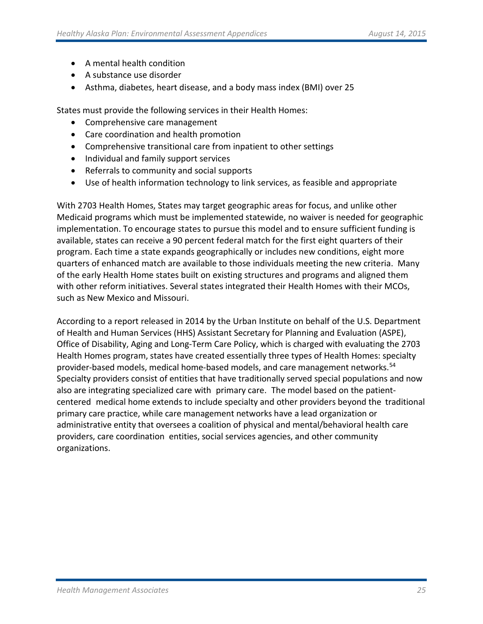- A mental health condition
- A substance use disorder
- Asthma, diabetes, heart disease, and a body mass index (BMI) over 25

States must provide the following services in their Health Homes:

- Comprehensive care management
- Care coordination and health promotion
- Comprehensive transitional care from inpatient to other settings
- Individual and family support services
- Referrals to community and social supports
- Use of health information technology to link services, as feasible and appropriate

With 2703 Health Homes, States may target geographic areas for focus, and unlike other Medicaid programs which must be implemented statewide, no waiver is needed for geographic implementation. To encourage states to pursue this model and to ensure sufficient funding is available, states can receive a 90 percent federal match for the first eight quarters of their program. Each time a state expands geographically or includes new conditions, eight more quarters of enhanced match are available to those individuals meeting the new criteria. Many of the early Health Home states built on existing structures and programs and aligned them with other reform initiatives. Several states integrated their Health Homes with their MCOs, such as New Mexico and Missouri.

According to a report released in 2014 by the Urban Institute on behalf of the U.S. Department of Health and Human Services (HHS) Assistant Secretary for Planning and Evaluation (ASPE), Office of Disability, Aging and Long-Term Care Policy, which is charged with evaluating the 2703 Health Homes program, states have created essentially three types of Health Homes: specialty provider-based models, medical home-based models, and care management networks.[54](#page-56-36) Specialty providers consist of entities that have traditionally served special populations and now also are integrating specialized care with primary care. The model based on the patientcentered medical home extends to include specialty and other providers beyond the traditional primary care practice, while care management networks have a lead organization or administrative entity that oversees a coalition of physical and mental/behavioral health care providers, care coordination entities, social services agencies, and other community organizations.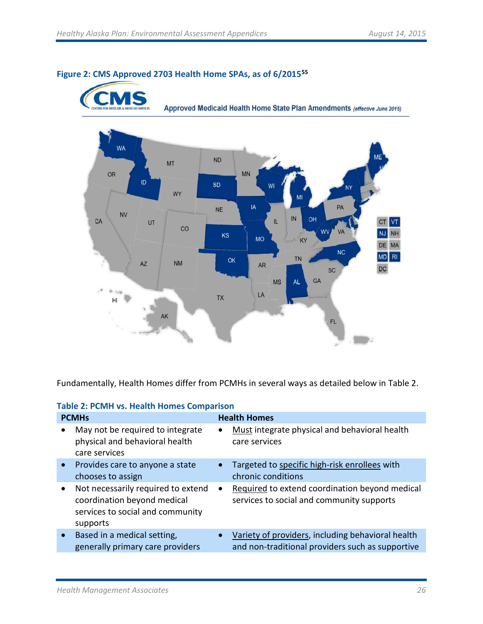S



# **Figure 2: CMS Approved 2703 Health Home SPAs, as of 6/201[555](#page-56-37)**

Fundamentally, Health Homes differ from PCMHs in several ways as detailed below in Table 2.

|  |  |  | <b>Table 2: PCMH vs. Health Homes Comparison</b> |  |
|--|--|--|--------------------------------------------------|--|
|--|--|--|--------------------------------------------------|--|

|           | <b>PCMHs</b>                                                                                                      |           | <b>Health Homes</b>                                                                                   |
|-----------|-------------------------------------------------------------------------------------------------------------------|-----------|-------------------------------------------------------------------------------------------------------|
|           | May not be required to integrate<br>physical and behavioral health<br>care services                               | $\bullet$ | Must integrate physical and behavioral health<br>care services                                        |
| $\bullet$ | Provides care to anyone a state<br>chooses to assign                                                              | $\bullet$ | Targeted to specific high-risk enrollees with<br>chronic conditions                                   |
| $\bullet$ | Not necessarily required to extend<br>coordination beyond medical<br>services to social and community<br>supports | ٠         | Required to extend coordination beyond medical<br>services to social and community supports           |
| $\bullet$ | Based in a medical setting,<br>generally primary care providers                                                   |           | Variety of providers, including behavioral health<br>and non-traditional providers such as supportive |
|           |                                                                                                                   |           |                                                                                                       |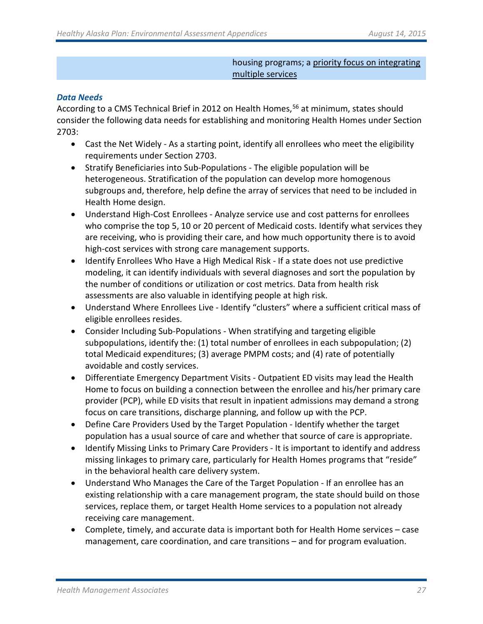#### housing programs; a priority focus on integrating multiple services

# *Data Needs*

According to a CMS Technical Brief in 2012 on Health Homes,<sup>[56](#page-56-38)</sup> at minimum, states should consider the following data needs for establishing and monitoring Health Homes under Section 2703:

- Cast the Net Widely As a starting point, identify all enrollees who meet the eligibility requirements under Section 2703.
- Stratify Beneficiaries into Sub-Populations The eligible population will be heterogeneous. Stratification of the population can develop more homogenous subgroups and, therefore, help define the array of services that need to be included in Health Home design.
- Understand High-Cost Enrollees Analyze service use and cost patterns for enrollees who comprise the top 5, 10 or 20 percent of Medicaid costs. Identify what services they are receiving, who is providing their care, and how much opportunity there is to avoid high-cost services with strong care management supports.
- Identify Enrollees Who Have a High Medical Risk If a state does not use predictive modeling, it can identify individuals with several diagnoses and sort the population by the number of conditions or utilization or cost metrics. Data from health risk assessments are also valuable in identifying people at high risk.
- Understand Where Enrollees Live Identify "clusters" where a sufficient critical mass of eligible enrollees resides.
- Consider Including Sub-Populations When stratifying and targeting eligible subpopulations, identify the: (1) total number of enrollees in each subpopulation; (2) total Medicaid expenditures; (3) average PMPM costs; and (4) rate of potentially avoidable and costly services.
- Differentiate Emergency Department Visits Outpatient ED visits may lead the Health Home to focus on building a connection between the enrollee and his/her primary care provider (PCP), while ED visits that result in inpatient admissions may demand a strong focus on care transitions, discharge planning, and follow up with the PCP.
- Define Care Providers Used by the Target Population Identify whether the target population has a usual source of care and whether that source of care is appropriate.
- Identify Missing Links to Primary Care Providers It is important to identify and address missing linkages to primary care, particularly for Health Homes programs that "reside" in the behavioral health care delivery system.
- Understand Who Manages the Care of the Target Population If an enrollee has an existing relationship with a care management program, the state should build on those services, replace them, or target Health Home services to a population not already receiving care management.
- Complete, timely, and accurate data is important both for Health Home services case management, care coordination, and care transitions – and for program evaluation.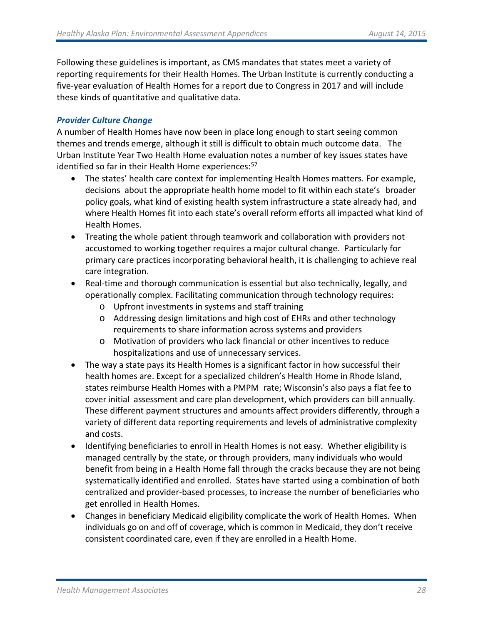Following these guidelines is important, as CMS mandates that states meet a variety of reporting requirements for their Health Homes. The Urban Institute is currently conducting a five-year evaluation of Health Homes for a report due to Congress in 2017 and will include these kinds of quantitative and qualitative data.

# *Provider Culture Change*

A number of Health Homes have now been in place long enough to start seeing common themes and trends emerge, although it still is difficult to obtain much outcome data. The Urban Institute Year Two Health Home evaluation notes a number of key issues states have identified so far in their Health Home experiences:<sup>[57](#page-56-39)</sup>

- The states' health care context for implementing Health Homes matters. For example, decisions about the appropriate health home model to fit within each state's broader policy goals, what kind of existing health system infrastructure a state already had, and where Health Homes fit into each state's overall reform efforts all impacted what kind of Health Homes.
- Treating the whole patient through teamwork and collaboration with providers not accustomed to working together requires a major cultural change. Particularly for primary care practices incorporating behavioral health, it is challenging to achieve real care integration.
- Real-time and thorough communication is essential but also technically, legally, and operationally complex. Facilitating communication through technology requires:
	- o Upfront investments in systems and staff training
	- o Addressing design limitations and high cost of EHRs and other technology requirements to share information across systems and providers
	- o Motivation of providers who lack financial or other incentives to reduce hospitalizations and use of unnecessary services.
- The way a state pays its Health Homes is a significant factor in how successful their health homes are. Except for a specialized children's Health Home in Rhode Island, states reimburse Health Homes with a PMPM rate; Wisconsin's also pays a flat fee to cover initial assessment and care plan development, which providers can bill annually. These different payment structures and amounts affect providers differently, through a variety of different data reporting requirements and levels of administrative complexity and costs.
- Identifying beneficiaries to enroll in Health Homes is not easy. Whether eligibility is managed centrally by the state, or through providers, many individuals who would benefit from being in a Health Home fall through the cracks because they are not being systematically identified and enrolled. States have started using a combination of both centralized and provider-based processes, to increase the number of beneficiaries who get enrolled in Health Homes.
- Changes in beneficiary Medicaid eligibility complicate the work of Health Homes. When individuals go on and off of coverage, which is common in Medicaid, they don't receive consistent coordinated care, even if they are enrolled in a Health Home.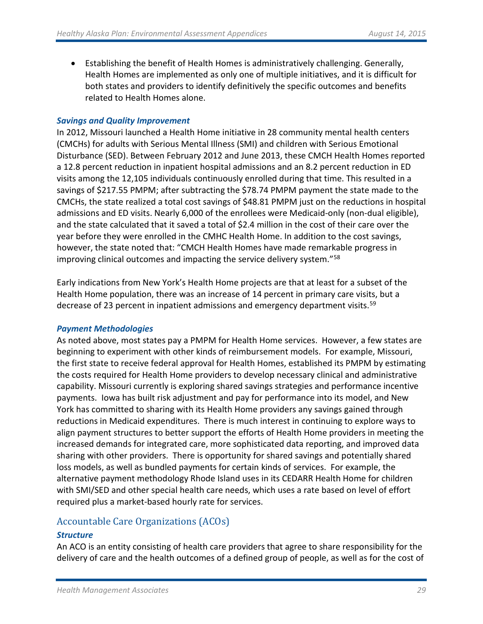• Establishing the benefit of Health Homes is administratively challenging. Generally, Health Homes are implemented as only one of multiple initiatives, and it is difficult for both states and providers to identify definitively the specific outcomes and benefits related to Health Homes alone.

#### *Savings and Quality Improvement*

In 2012, Missouri launched a Health Home initiative in 28 community mental health centers (CMCHs) for adults with Serious Mental Illness (SMI) and children with Serious Emotional Disturbance (SED). Between February 2012 and June 2013, these CMCH Health Homes reported a 12.8 percent reduction in inpatient hospital admissions and an 8.2 percent reduction in ED visits among the 12,105 individuals continuously enrolled during that time. This resulted in a savings of \$217.55 PMPM; after subtracting the \$78.74 PMPM payment the state made to the CMCHs, the state realized a total cost savings of \$48.81 PMPM just on the reductions in hospital admissions and ED visits. Nearly 6,000 of the enrollees were Medicaid-only (non-dual eligible), and the state calculated that it saved a total of \$2.4 million in the cost of their care over the year before they were enrolled in the CMHC Health Home. In addition to the cost savings, however, the state noted that: "CMCH Health Homes have made remarkable progress in improving clinical outcomes and impacting the service delivery system."[58](#page-56-40)

Early indications from New York's Health Home projects are that at least for a subset of the Health Home population, there was an increase of 14 percent in primary care visits, but a decrease of 23 percent in inpatient admissions and emergency department visits.<sup>[59](#page-56-41)</sup>

# *Payment Methodologies*

As noted above, most states pay a PMPM for Health Home services. However, a few states are beginning to experiment with other kinds of reimbursement models. For example, Missouri, the first state to receive federal approval for Health Homes, established its PMPM by estimating the costs required for Health Home providers to develop necessary clinical and administrative capability. Missouri currently is exploring shared savings strategies and performance incentive payments. Iowa has built risk adjustment and pay for performance into its model, and New York has committed to sharing with its Health Home providers any savings gained through reductions in Medicaid expenditures. There is much interest in continuing to explore ways to align payment structures to better support the efforts of Health Home providers in meeting the increased demands for integrated care, more sophisticated data reporting, and improved data sharing with other providers. There is opportunity for shared savings and potentially shared loss models, as well as bundled payments for certain kinds of services. For example, the alternative payment methodology Rhode Island uses in its CEDARR Health Home for children with SMI/SED and other special health care needs, which uses a rate based on level of effort required plus a market-based hourly rate for services.

# Accountable Care Organizations (ACOs)

# *Structure*

An ACO is an entity consisting of health care providers that agree to share responsibility for the delivery of care and the health outcomes of a defined group of people, as well as for the cost of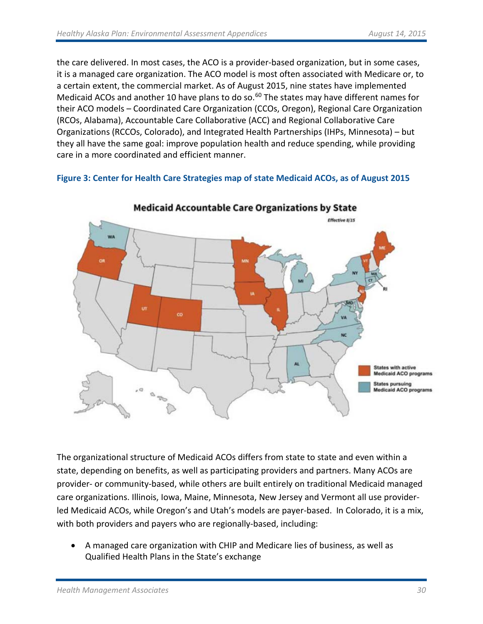the care delivered. In most cases, the ACO is a provider-based organization, but in some cases, it is a managed care organization. The ACO model is most often associated with Medicare or, to a certain extent, the commercial market. As of August 2015, nine states have implemented Medicaid ACOs and another 10 have plans to do so.<sup>[60](#page-56-42)</sup> The states may have different names for their ACO models – Coordinated Care Organization (CCOs, Oregon), Regional Care Organization (RCOs, Alabama), Accountable Care Collaborative (ACC) and Regional Collaborative Care Organizations (RCCOs, Colorado), and Integrated Health Partnerships (IHPs, Minnesota) – but they all have the same goal: improve population health and reduce spending, while providing care in a more coordinated and efficient manner.

# **Figure 3: Center for Health Care Strategies map of state Medicaid ACOs, as of August 2015**



**Medicaid Accountable Care Organizations by State** 

The organizational structure of Medicaid ACOs differs from state to state and even within a state, depending on benefits, as well as participating providers and partners. Many ACOs are provider- or community-based, while others are built entirely on traditional Medicaid managed care organizations. Illinois, Iowa, Maine, Minnesota, New Jersey and Vermont all use providerled Medicaid ACOs, while Oregon's and Utah's models are payer-based. In Colorado, it is a mix, with both providers and payers who are regionally-based, including:

• A managed care organization with CHIP and Medicare lies of business, as well as Qualified Health Plans in the State's exchange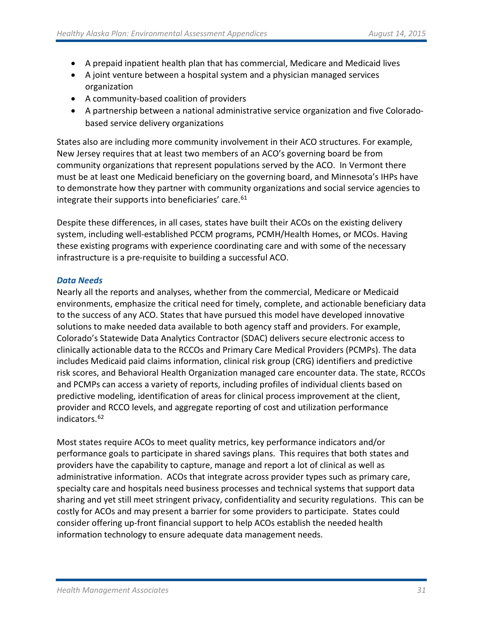- A prepaid inpatient health plan that has commercial, Medicare and Medicaid lives
- A joint venture between a hospital system and a physician managed services organization
- A community-based coalition of providers
- A partnership between a national administrative service organization and five Coloradobased service delivery organizations

States also are including more community involvement in their ACO structures. For example, New Jersey requires that at least two members of an ACO's governing board be from community organizations that represent populations served by the ACO. In Vermont there must be at least one Medicaid beneficiary on the governing board, and Minnesota's IHPs have to demonstrate how they partner with community organizations and social service agencies to integrate their supports into beneficiaries' care.<sup>[61](#page-56-43)</sup>

Despite these differences, in all cases, states have built their ACOs on the existing delivery system, including well-established PCCM programs, PCMH/Health Homes, or MCOs. Having these existing programs with experience coordinating care and with some of the necessary infrastructure is a pre-requisite to building a successful ACO.

# *Data Needs*

Nearly all the reports and analyses, whether from the commercial, Medicare or Medicaid environments, emphasize the critical need for timely, complete, and actionable beneficiary data to the success of any ACO. States that have pursued this model have developed innovative solutions to make needed data available to both agency staff and providers. For example, Colorado's Statewide Data Analytics Contractor (SDAC) delivers secure electronic access to clinically actionable data to the RCCOs and Primary Care Medical Providers (PCMPs). The data includes Medicaid paid claims information, clinical risk group (CRG) identifiers and predictive risk scores, and Behavioral Health Organization managed care encounter data. The state, RCCOs and PCMPs can access a variety of reports, including profiles of individual clients based on predictive modeling, identification of areas for clinical process improvement at the client, provider and RCCO levels, and aggregate reporting of cost and utilization performance indicators.[62](#page-56-44)

Most states require ACOs to meet quality metrics, key performance indicators and/or performance goals to participate in shared savings plans. This requires that both states and providers have the capability to capture, manage and report a lot of clinical as well as administrative information. ACOs that integrate across provider types such as primary care, specialty care and hospitals need business processes and technical systems that support data sharing and yet still meet stringent privacy, confidentiality and security regulations. This can be costly for ACOs and may present a barrier for some providers to participate. States could consider offering up-front financial support to help ACOs establish the needed health information technology to ensure adequate data management needs.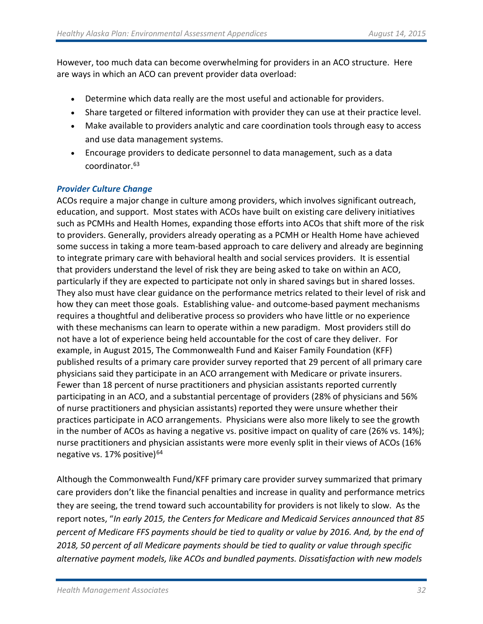However, too much data can become overwhelming for providers in an ACO structure. Here are ways in which an ACO can prevent provider data overload:

- Determine which data really are the most useful and actionable for providers.
- Share targeted or filtered information with provider they can use at their practice level.
- Make available to providers analytic and care coordination tools through easy to access and use data management systems.
- Encourage providers to dedicate personnel to data management, such as a data coordinator.[63](#page-56-45)

# *Provider Culture Change*

ACOs require a major change in culture among providers, which involves significant outreach, education, and support. Most states with ACOs have built on existing care delivery initiatives such as PCMHs and Health Homes, expanding those efforts into ACOs that shift more of the risk to providers. Generally, providers already operating as a PCMH or Health Home have achieved some success in taking a more team-based approach to care delivery and already are beginning to integrate primary care with behavioral health and social services providers. It is essential that providers understand the level of risk they are being asked to take on within an ACO, particularly if they are expected to participate not only in shared savings but in shared losses. They also must have clear guidance on the performance metrics related to their level of risk and how they can meet those goals. Establishing value- and outcome-based payment mechanisms requires a thoughtful and deliberative process so providers who have little or no experience with these mechanisms can learn to operate within a new paradigm. Most providers still do not have a lot of experience being held accountable for the cost of care they deliver. For example, in August 2015, The Commonwealth Fund and Kaiser Family Foundation (KFF) published results of a primary care provider survey reported that 29 percent of all primary care physicians said they participate in an ACO arrangement with Medicare or private insurers. Fewer than 18 percent of nurse practitioners and physician assistants reported currently participating in an ACO, and a substantial percentage of providers (28% of physicians and 56% of nurse practitioners and physician assistants) reported they were unsure whether their practices participate in ACO arrangements. Physicians were also more likely to see the growth in the number of ACOs as having a negative vs. positive impact on quality of care (26% vs. 14%); nurse practitioners and physician assistants were more evenly split in their views of ACOs (16% negative vs. 17% positive)<sup>64</sup>

Although the Commonwealth Fund/KFF primary care provider survey summarized that primary care providers don't like the financial penalties and increase in quality and performance metrics they are seeing, the trend toward such accountability for providers is not likely to slow. As the report notes, "*In early 2015, the Centers for Medicare and Medicaid Services announced that 85 percent of Medicare FFS payments should be tied to quality or value by 2016. And, by the end of 2018, 50 percent of all Medicare payments should be tied to quality or value through specific alternative payment models, like ACOs and bundled payments. Dissatisfaction with new models*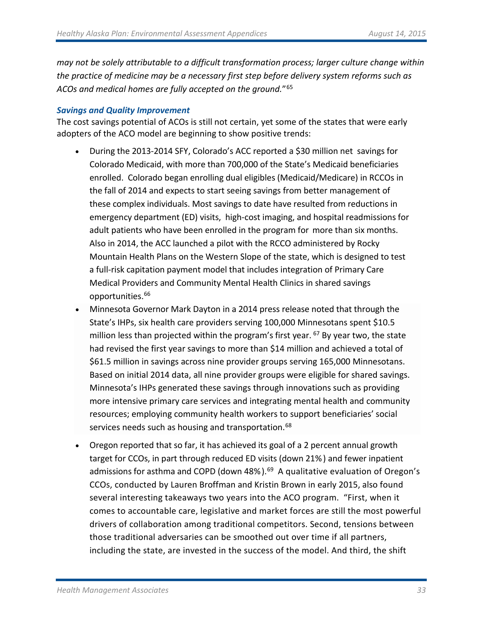*may not be solely attributable to a difficult transformation process; larger culture change within the practice of medicine may be a necessary first step before delivery system reforms such as ACOs and medical homes are fully accepted on the ground.*"[65](#page-56-47)

#### *Savings and Quality Improvement*

The cost savings potential of ACOs is still not certain, yet some of the states that were early adopters of the ACO model are beginning to show positive trends:

- During the 2013-2014 SFY, Colorado's ACC reported a \$30 million net savings for Colorado Medicaid, with more than 700,000 of the State's Medicaid beneficiaries enrolled. Colorado began enrolling dual eligibles (Medicaid/Medicare) in RCCOs in the fall of 2014 and expects to start seeing savings from better management of these complex individuals. Most savings to date have resulted from reductions in emergency department (ED) visits, high-cost imaging, and hospital readmissions for adult patients who have been enrolled in the program for more than six months. Also in 2014, the ACC launched a pilot with the RCCO administered by Rocky Mountain Health Plans on the Western Slope of the state, which is designed to test a full-risk capitation payment model that includes integration of Primary Care Medical Providers and Community Mental Health Clinics in shared savings opportunities.<sup>[66](#page-56-48)</sup>
- Minnesota Governor Mark Dayton in a 2014 press release noted that through the State's IHPs, six health care providers serving 100,000 Minnesotans spent \$10.5 million less than projected within the program's first year.  $^{67}$  $^{67}$  $^{67}$  By year two, the state had revised the first year savings to more than \$14 million and achieved a total of \$61.5 million in savings across nine provider groups serving 165,000 Minnesotans. Based on initial 2014 data, all nine provider groups were eligible for shared savings. Minnesota's IHPs generated these savings through innovations such as providing more intensive primary care services and integrating mental health and community resources; employing community health workers to support beneficiaries' social services needs such as housing and transportation.<sup>[68](#page-56-50)</sup>
- Oregon reported that so far, it has achieved its goal of a 2 percent annual growth target for CCOs, in part through reduced ED visits (down 21%) and fewer inpatient admissions for asthma and COPD (down 48%). [69](#page-56-51) A qualitative evaluation of Oregon's CCOs, conducted by Lauren [Broffman](http://healthaffairs.org/blog/author/broffman/) and Kristin [Brown](http://healthaffairs.org/blog/author/kbrown/) in early 2015, also found several interesting takeaways two years into the ACO program. "First, when it comes to accountable care, legislative and market forces are still the most powerful drivers of collaboration among traditional competitors. Second, tensions between those traditional adversaries can be smoothed out over time if all partners, including the state, are invested in the success of the model. And third, the shift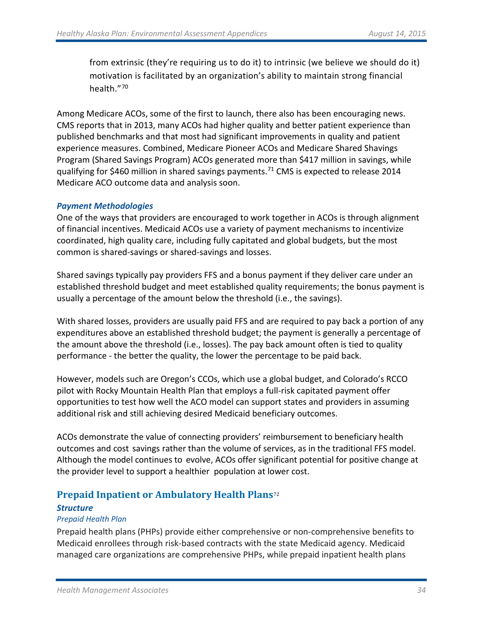from extrinsic (they're requiring us to do it) to intrinsic (we believe we should do it) motivation is facilitated by an organization's ability to maintain strong financial health."[70](#page-56-52)

Among Medicare ACOs, some of the first to launch, there also has been encouraging news. CMS reports that in 2013, many ACOs had higher quality and better patient experience than published benchmarks and that most had significant improvements in quality and patient experience measures. Combined, Medicare Pioneer ACOs and Medicare Shared Shavings Program (Shared Savings Program) ACOs generated more than \$417 million in savings, while qualifying for \$460 million in shared savings payments. [71](#page-56-53) CMS is expected to release 2014 Medicare ACO outcome data and analysis soon.

#### *Payment Methodologies*

One of the ways that providers are encouraged to work together in ACOs is through alignment of financial incentives. Medicaid ACOs use a variety of payment mechanisms to incentivize coordinated, high quality care, including fully capitated and global budgets, but the most common is shared-savings or shared-savings and losses.

Shared savings typically pay providers FFS and a bonus payment if they deliver care under an established threshold budget and meet established quality requirements; the bonus payment is usually a percentage of the amount below the threshold (i.e., the savings).

With shared losses, providers are usually paid FFS and are required to pay back a portion of any expenditures above an established threshold budget; the payment is generally a percentage of the amount above the threshold (i.e., losses). The pay back amount often is tied to quality performance - the better the quality, the lower the percentage to be paid back.

However, models such are Oregon's CCOs, which use a global budget, and Colorado's RCCO pilot with Rocky Mountain Health Plan that employs a full-risk capitated payment offer opportunities to test how well the ACO model can support states and providers in assuming additional risk and still achieving desired Medicaid beneficiary outcomes.

ACOs demonstrate the value of connecting providers' reimbursement to beneficiary health outcomes and cost savings rather than the volume of services, as in the traditional FFS model. Although the model continues to evolve, ACOs offer significant potential for positive change at the provider level to support a healthier population at lower cost.

# **Prepaid Inpatient or Ambulatory Health Plans**[72](#page-56-54)

#### *Structure*

#### *Prepaid Health Plan*

Prepaid health plans (PHPs) provide either comprehensive or non-comprehensive benefits to Medicaid enrollees through risk-based contracts with the state Medicaid agency. Medicaid managed care organizations are comprehensive PHPs, while prepaid inpatient health plans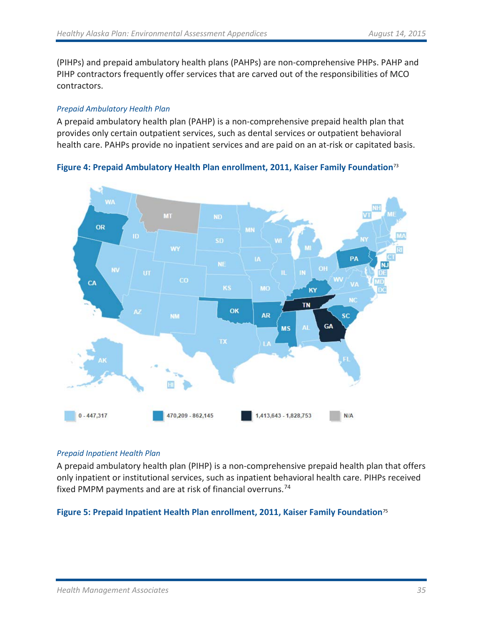(PIHPs) and prepaid ambulatory health plans (PAHPs) are non-comprehensive PHPs. PAHP and PIHP contractors frequently offer services that are carved out of the responsibilities of MCO contractors.

#### *Prepaid Ambulatory Health Plan*

A prepaid ambulatory health plan (PAHP) is a non-comprehensive prepaid health plan that provides only certain outpatient services, such as dental services or outpatient behavioral health care. PAHPs provide no inpatient services and are paid on an at-risk or capitated basis.

**Figure 4: Prepaid Ambulatory Health Plan enrollment, 2011, Kaiser Family Foundation**[73](#page-56-55)



#### *Prepaid Inpatient Health Plan*

A prepaid ambulatory health plan (PIHP) is a non-comprehensive prepaid health plan that offers only inpatient or institutional services, such as inpatient behavioral health care. PIHPs received fixed PMPM payments and are at risk of financial overruns[.74](#page-56-56)

#### **Figure 5: Prepaid Inpatient Health Plan enrollment, 2011, Kaiser Family Foundation**[75](#page-56-57)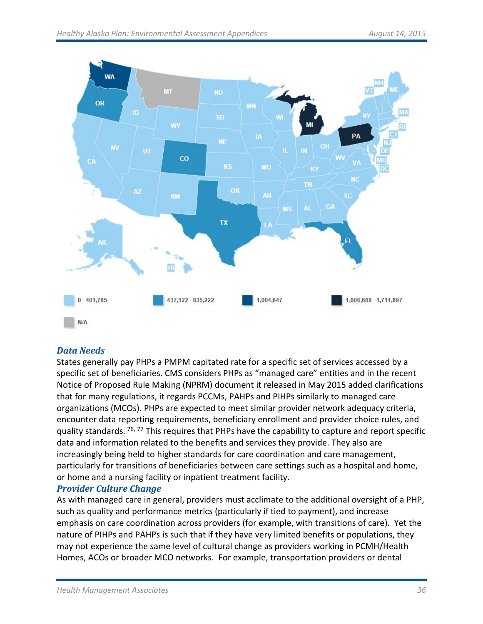

# *Data Needs*

States generally pay PHPs a PMPM capitated rate for a specific set of services accessed by a specific set of beneficiaries. CMS considers PHPs as "managed care" entities and in the recent Notice of Proposed Rule Making (NPRM) document it released in May 2015 added clarifications that for many regulations, it regards PCCMs, PAHPs and PIHPs similarly to managed care organizations (MCOs). PHPs are expected to meet similar provider network adequacy criteria, encounter data reporting requirements, beneficiary enrollment and provider choice rules, and quality standards. <sup>[76,](#page-56-58) [77](#page-56-59)</sup> This requires that PHPs have the capability to capture and report specific data and information related to the benefits and services they provide. They also are increasingly being held to higher standards for care coordination and care management, particularly for transitions of beneficiaries between care settings such as a hospital and home, or home and a nursing facility or inpatient treatment facility.

# *Provider Culture Change*

As with managed care in general, providers must acclimate to the additional oversight of a PHP, such as quality and performance metrics (particularly if tied to payment), and increase emphasis on care coordination across providers (for example, with transitions of care). Yet the nature of PIHPs and PAHPs is such that if they have very limited benefits or populations, they may not experience the same level of cultural change as providers working in PCMH/Health Homes, ACOs or broader MCO networks. For example, transportation providers or dental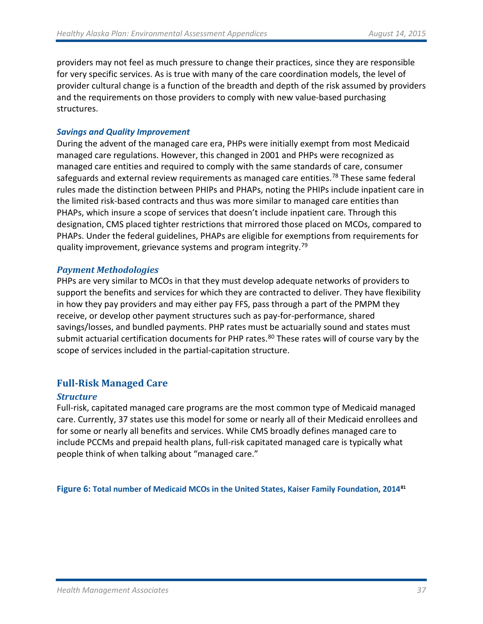providers may not feel as much pressure to change their practices, since they are responsible for very specific services. As is true with many of the care coordination models, the level of provider cultural change is a function of the breadth and depth of the risk assumed by providers and the requirements on those providers to comply with new value-based purchasing structures.

#### *Savings and Quality Improvement*

During the advent of the managed care era, PHPs were initially exempt from most Medicaid managed care regulations. However, this changed in 2001 and PHPs were recognized as managed care entities and required to comply with the same standards of care, consumer safeguards and external review requirements as managed care entities.<sup>[78](#page-56-24)</sup> These same federal rules made the distinction between PHIPs and PHAPs, noting the PHIPs include inpatient care in the limited risk-based contracts and thus was more similar to managed care entities than PHAPs, which insure a scope of services that doesn't include inpatient care. Through this designation, CMS placed tighter restrictions that mirrored those placed on MCOs, compared to PHAPs. Under the federal guidelines, PHAPs are eligible for exemptions from requirements for quality improvement, grievance systems and program integrity.<sup>[79](#page-56-60)</sup>

#### *Payment Methodologies*

PHPs are very similar to MCOs in that they must develop adequate networks of providers to support the benefits and services for which they are contracted to deliver. They have flexibility in how they pay providers and may either pay FFS, pass through a part of the PMPM they receive, or develop other payment structures such as pay-for-performance, shared savings/losses, and bundled payments. PHP rates must be actuarially sound and states must submit actuarial certification documents for PHP rates.<sup>[80](#page-56-61)</sup> These rates will of course vary by the scope of services included in the partial-capitation structure.

# **Full-Risk Managed Care**

# *Structure*

Full-risk, capitated managed care programs are the most common type of Medicaid managed care. Currently, 37 states use this model for some or nearly all of their Medicaid enrollees and for some or nearly all benefits and services. While CMS broadly defines managed care to include PCCMs and prepaid health plans, full-risk capitated managed care is typically what people think of when talking about "managed care."

**Figure 6: Total number of Medicaid MCOs in the United States, Kaiser Family Foundation, 2014[81](#page-56-25)**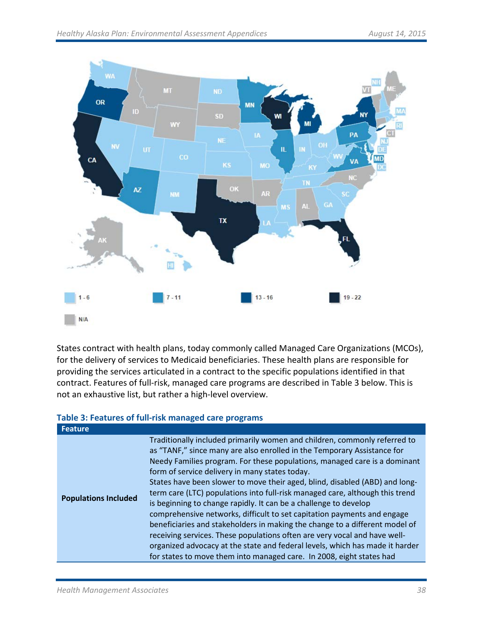

States contract with health plans, today commonly called Managed Care Organizations (MCOs), for the delivery of services to Medicaid beneficiaries. These health plans are responsible for providing the services articulated in a contract to the specific populations identified in that contract. Features of full-risk, managed care programs are described in Table 3 below. This is not an exhaustive list, but rather a high-level overview.

# **Table 3: Features of full-risk managed care programs**

| <b>Feature</b>              |                                                                                                                                                                                                                                                                                                                                                                                                                                                                                                                                                                                                                                                                                                                                                                                                                                                                                                                       |
|-----------------------------|-----------------------------------------------------------------------------------------------------------------------------------------------------------------------------------------------------------------------------------------------------------------------------------------------------------------------------------------------------------------------------------------------------------------------------------------------------------------------------------------------------------------------------------------------------------------------------------------------------------------------------------------------------------------------------------------------------------------------------------------------------------------------------------------------------------------------------------------------------------------------------------------------------------------------|
| <b>Populations Included</b> | Traditionally included primarily women and children, commonly referred to<br>as "TANF," since many are also enrolled in the Temporary Assistance for<br>Needy Families program. For these populations, managed care is a dominant<br>form of service delivery in many states today.<br>States have been slower to move their aged, blind, disabled (ABD) and long-<br>term care (LTC) populations into full-risk managed care, although this trend<br>is beginning to change rapidly. It can be a challenge to develop<br>comprehensive networks, difficult to set capitation payments and engage<br>beneficiaries and stakeholders in making the change to a different model of<br>receiving services. These populations often are very vocal and have well-<br>organized advocacy at the state and federal levels, which has made it harder<br>for states to move them into managed care. In 2008, eight states had |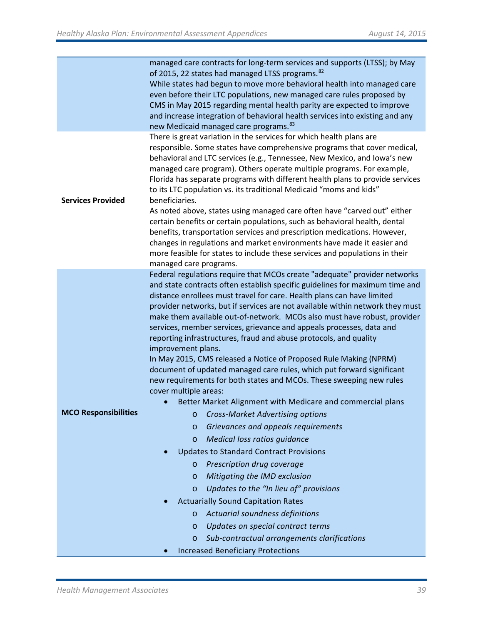|                             | managed care contracts for long-term services and supports (LTSS); by May<br>of 2015, 22 states had managed LTSS programs. <sup>82</sup>                  |  |  |  |  |  |
|-----------------------------|-----------------------------------------------------------------------------------------------------------------------------------------------------------|--|--|--|--|--|
|                             | While states had begun to move more behavioral health into managed care                                                                                   |  |  |  |  |  |
|                             | even before their LTC populations, new managed care rules proposed by                                                                                     |  |  |  |  |  |
|                             | CMS in May 2015 regarding mental health parity are expected to improve                                                                                    |  |  |  |  |  |
|                             | and increase integration of behavioral health services into existing and any                                                                              |  |  |  |  |  |
|                             | new Medicaid managed care programs. <sup>83</sup>                                                                                                         |  |  |  |  |  |
|                             | There is great variation in the services for which health plans are                                                                                       |  |  |  |  |  |
|                             | responsible. Some states have comprehensive programs that cover medical,                                                                                  |  |  |  |  |  |
|                             | behavioral and LTC services (e.g., Tennessee, New Mexico, and Iowa's new                                                                                  |  |  |  |  |  |
|                             | managed care program). Others operate multiple programs. For example,                                                                                     |  |  |  |  |  |
|                             | Florida has separate programs with different health plans to provide services                                                                             |  |  |  |  |  |
| <b>Services Provided</b>    | to its LTC population vs. its traditional Medicaid "moms and kids"<br>beneficiaries.                                                                      |  |  |  |  |  |
|                             | As noted above, states using managed care often have "carved out" either                                                                                  |  |  |  |  |  |
|                             | certain benefits or certain populations, such as behavioral health, dental                                                                                |  |  |  |  |  |
|                             | benefits, transportation services and prescription medications. However,                                                                                  |  |  |  |  |  |
|                             | changes in regulations and market environments have made it easier and                                                                                    |  |  |  |  |  |
|                             | more feasible for states to include these services and populations in their                                                                               |  |  |  |  |  |
|                             | managed care programs.                                                                                                                                    |  |  |  |  |  |
|                             | Federal regulations require that MCOs create "adequate" provider networks<br>and state contracts often establish specific guidelines for maximum time and |  |  |  |  |  |
|                             | distance enrollees must travel for care. Health plans can have limited                                                                                    |  |  |  |  |  |
|                             | provider networks, but if services are not available within network they must                                                                             |  |  |  |  |  |
|                             | make them available out-of-network. MCOs also must have robust, provider                                                                                  |  |  |  |  |  |
|                             | services, member services, grievance and appeals processes, data and                                                                                      |  |  |  |  |  |
|                             | reporting infrastructures, fraud and abuse protocols, and quality                                                                                         |  |  |  |  |  |
|                             | improvement plans.                                                                                                                                        |  |  |  |  |  |
|                             | In May 2015, CMS released a Notice of Proposed Rule Making (NPRM)                                                                                         |  |  |  |  |  |
|                             | document of updated managed care rules, which put forward significant<br>new requirements for both states and MCOs. These sweeping new rules              |  |  |  |  |  |
|                             | cover multiple areas:                                                                                                                                     |  |  |  |  |  |
|                             | Better Market Alignment with Medicare and commercial plans                                                                                                |  |  |  |  |  |
| <b>MCO Responsibilities</b> | <b>Cross-Market Advertising options</b><br>$\circ$                                                                                                        |  |  |  |  |  |
|                             | Grievances and appeals requirements<br>$\circ$                                                                                                            |  |  |  |  |  |
|                             | Medical loss ratios guidance<br>$\circ$                                                                                                                   |  |  |  |  |  |
|                             | <b>Updates to Standard Contract Provisions</b>                                                                                                            |  |  |  |  |  |
|                             | Prescription drug coverage<br>$\circ$                                                                                                                     |  |  |  |  |  |
|                             | Mitigating the IMD exclusion<br>$\circ$                                                                                                                   |  |  |  |  |  |
|                             | Updates to the "In lieu of" provisions<br>$\circ$                                                                                                         |  |  |  |  |  |
|                             | <b>Actuarially Sound Capitation Rates</b>                                                                                                                 |  |  |  |  |  |
|                             | Actuarial soundness definitions<br>$\circ$                                                                                                                |  |  |  |  |  |
|                             | Updates on special contract terms<br>$\circ$                                                                                                              |  |  |  |  |  |
|                             | Sub-contractual arrangements clarifications<br>$\circ$                                                                                                    |  |  |  |  |  |
|                             | <b>Increased Beneficiary Protections</b>                                                                                                                  |  |  |  |  |  |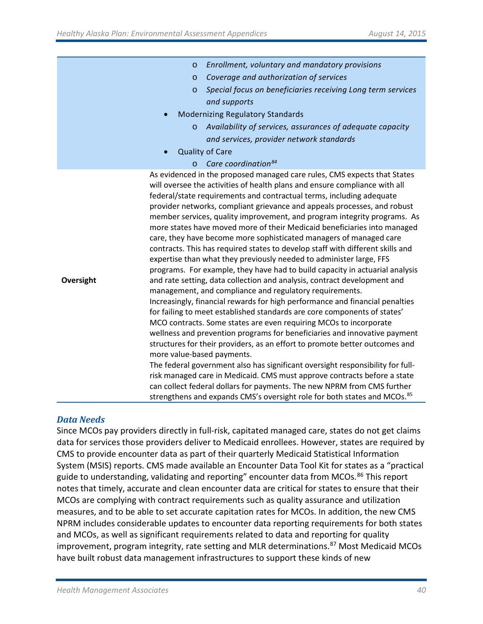|           | Enrollment, voluntary and mandatory provisions<br>$\circ$                                                                                                                                                                                                                                                                                                                                                                                                                                                                                                                                                                                                                                                                                                                                                                                                                                                                                                                                                                                                                                                                                                                                                                                                                                                                                                                                                                                                                                                                                                                                                                                                                            |
|-----------|--------------------------------------------------------------------------------------------------------------------------------------------------------------------------------------------------------------------------------------------------------------------------------------------------------------------------------------------------------------------------------------------------------------------------------------------------------------------------------------------------------------------------------------------------------------------------------------------------------------------------------------------------------------------------------------------------------------------------------------------------------------------------------------------------------------------------------------------------------------------------------------------------------------------------------------------------------------------------------------------------------------------------------------------------------------------------------------------------------------------------------------------------------------------------------------------------------------------------------------------------------------------------------------------------------------------------------------------------------------------------------------------------------------------------------------------------------------------------------------------------------------------------------------------------------------------------------------------------------------------------------------------------------------------------------------|
|           | Coverage and authorization of services<br>$\circ$                                                                                                                                                                                                                                                                                                                                                                                                                                                                                                                                                                                                                                                                                                                                                                                                                                                                                                                                                                                                                                                                                                                                                                                                                                                                                                                                                                                                                                                                                                                                                                                                                                    |
|           | Special focus on beneficiaries receiving Long term services<br>$\circ$                                                                                                                                                                                                                                                                                                                                                                                                                                                                                                                                                                                                                                                                                                                                                                                                                                                                                                                                                                                                                                                                                                                                                                                                                                                                                                                                                                                                                                                                                                                                                                                                               |
|           | and supports                                                                                                                                                                                                                                                                                                                                                                                                                                                                                                                                                                                                                                                                                                                                                                                                                                                                                                                                                                                                                                                                                                                                                                                                                                                                                                                                                                                                                                                                                                                                                                                                                                                                         |
|           | <b>Modernizing Regulatory Standards</b><br>$\bullet$                                                                                                                                                                                                                                                                                                                                                                                                                                                                                                                                                                                                                                                                                                                                                                                                                                                                                                                                                                                                                                                                                                                                                                                                                                                                                                                                                                                                                                                                                                                                                                                                                                 |
|           | Availability of services, assurances of adequate capacity<br>$\circ$                                                                                                                                                                                                                                                                                                                                                                                                                                                                                                                                                                                                                                                                                                                                                                                                                                                                                                                                                                                                                                                                                                                                                                                                                                                                                                                                                                                                                                                                                                                                                                                                                 |
|           | and services, provider network standards                                                                                                                                                                                                                                                                                                                                                                                                                                                                                                                                                                                                                                                                                                                                                                                                                                                                                                                                                                                                                                                                                                                                                                                                                                                                                                                                                                                                                                                                                                                                                                                                                                             |
|           | <b>Quality of Care</b>                                                                                                                                                                                                                                                                                                                                                                                                                                                                                                                                                                                                                                                                                                                                                                                                                                                                                                                                                                                                                                                                                                                                                                                                                                                                                                                                                                                                                                                                                                                                                                                                                                                               |
|           | Care coordination <sup>84</sup><br>$\circ$                                                                                                                                                                                                                                                                                                                                                                                                                                                                                                                                                                                                                                                                                                                                                                                                                                                                                                                                                                                                                                                                                                                                                                                                                                                                                                                                                                                                                                                                                                                                                                                                                                           |
| Oversight | As evidenced in the proposed managed care rules, CMS expects that States<br>will oversee the activities of health plans and ensure compliance with all<br>federal/state requirements and contractual terms, including adequate<br>provider networks, compliant grievance and appeals processes, and robust<br>member services, quality improvement, and program integrity programs. As<br>more states have moved more of their Medicaid beneficiaries into managed<br>care, they have become more sophisticated managers of managed care<br>contracts. This has required states to develop staff with different skills and<br>expertise than what they previously needed to administer large, FFS<br>programs. For example, they have had to build capacity in actuarial analysis<br>and rate setting, data collection and analysis, contract development and<br>management, and compliance and regulatory requirements.<br>Increasingly, financial rewards for high performance and financial penalties<br>for failing to meet established standards are core components of states'<br>MCO contracts. Some states are even requiring MCOs to incorporate<br>wellness and prevention programs for beneficiaries and innovative payment<br>structures for their providers, as an effort to promote better outcomes and<br>more value-based payments.<br>The federal government also has significant oversight responsibility for full-<br>risk managed care in Medicaid. CMS must approve contracts before a state<br>can collect federal dollars for payments. The new NPRM from CMS further<br>strengthens and expands CMS's oversight role for both states and MCOs. <sup>85</sup> |

#### *Data Needs*

Since MCOs pay providers directly in full-risk, capitated managed care, states do not get claims data for services those providers deliver to Medicaid enrollees. However, states are required by CMS to provide encounter data as part of their quarterly Medicaid Statistical Information System (MSIS) reports. CMS made available an Encounter Data Tool Kit for states as a "practical guide to understanding, validating and reporting" encounter data from MCOs.<sup>[86](#page-56-66)</sup> This report notes that timely, accurate and clean encounter data are critical for states to ensure that their MCOs are complying with contract requirements such as quality assurance and utilization measures, and to be able to set accurate capitation rates for MCOs. In addition, the new CMS NPRM includes considerable updates to encounter data reporting requirements for both states and MCOs, as well as significant requirements related to data and reporting for quality improvement, program integrity, rate setting and MLR determinations.<sup>[87](#page-56-29)</sup> Most Medicaid MCOs have built robust data management infrastructures to support these kinds of new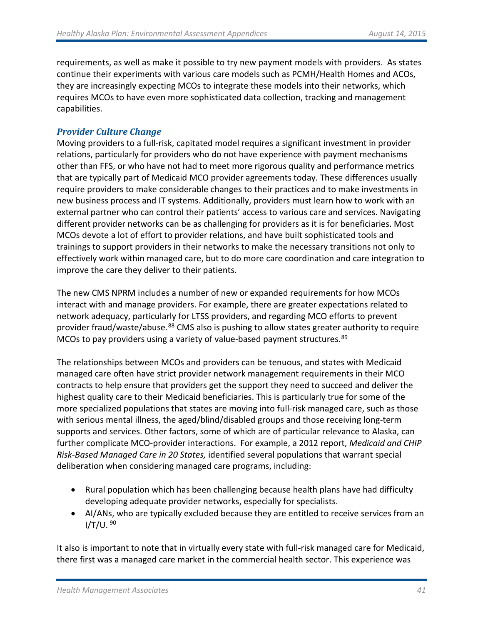requirements, as well as make it possible to try new payment models with providers. As states continue their experiments with various care models such as PCMH/Health Homes and ACOs, they are increasingly expecting MCOs to integrate these models into their networks, which requires MCOs to have even more sophisticated data collection, tracking and management capabilities.

# *Provider Culture Change*

Moving providers to a full-risk, capitated model requires a significant investment in provider relations, particularly for providers who do not have experience with payment mechanisms other than FFS, or who have not had to meet more rigorous quality and performance metrics that are typically part of Medicaid MCO provider agreements today. These differences usually require providers to make considerable changes to their practices and to make investments in new business process and IT systems. Additionally, providers must learn how to work with an external partner who can control their patients' access to various care and services. Navigating different provider networks can be as challenging for providers as it is for beneficiaries. Most MCOs devote a lot of effort to provider relations, and have built sophisticated tools and trainings to support providers in their networks to make the necessary transitions not only to effectively work within managed care, but to do more care coordination and care integration to improve the care they deliver to their patients.

The new CMS NPRM includes a number of new or expanded requirements for how MCOs interact with and manage providers. For example, there are greater expectations related to network adequacy, particularly for LTSS providers, and regarding MCO efforts to prevent provider fraud/waste/abuse.<sup>[88](#page-56-67)</sup> CMS also is pushing to allow states greater authority to require MCOs to pay providers using a variety of value-based payment structures. [89](#page-56-68)

The relationships between MCOs and providers can be tenuous, and states with Medicaid managed care often have strict provider network management requirements in their MCO contracts to help ensure that providers get the support they need to succeed and deliver the highest quality care to their Medicaid beneficiaries. This is particularly true for some of the more specialized populations that states are moving into full-risk managed care, such as those with serious mental illness, the aged/blind/disabled groups and those receiving long-term supports and services. Other factors, some of which are of particular relevance to Alaska, can further complicate MCO-provider interactions. For example, a 2012 report, *Medicaid and CHIP Risk-Based Managed Care in 20 States,* identified several populations that warrant special deliberation when considering managed care programs, including:

- Rural population which has been challenging because health plans have had difficulty developing adequate provider networks, especially for specialists.
- AI/ANs, who are typically excluded because they are entitled to receive services from an  $I/T/U.$ <sup>[90](#page-56-69)</sup>

It also is important to note that in virtually every state with full-risk managed care for Medicaid, there first was a managed care market in the commercial health sector. This experience was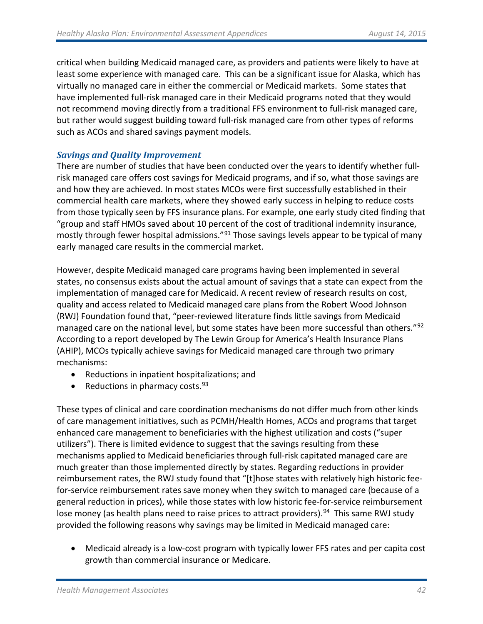critical when building Medicaid managed care, as providers and patients were likely to have at least some experience with managed care. This can be a significant issue for Alaska, which has virtually no managed care in either the commercial or Medicaid markets. Some states that have implemented full-risk managed care in their Medicaid programs noted that they would not recommend moving directly from a traditional FFS environment to full-risk managed care, but rather would suggest building toward full-risk managed care from other types of reforms such as ACOs and shared savings payment models.

# *Savings and Quality Improvement*

There are number of studies that have been conducted over the years to identify whether fullrisk managed care offers cost savings for Medicaid programs, and if so, what those savings are and how they are achieved. In most states MCOs were first successfully established in their commercial health care markets, where they showed early success in helping to reduce costs from those typically seen by FFS insurance plans. For example, one early study cited finding that "group and staff HMOs saved about 10 percent of the cost of traditional indemnity insurance, mostly through fewer hospital admissions."<sup>[91](#page-56-33)</sup> Those savings levels appear to be typical of many early managed care results in the commercial market.

However, despite Medicaid managed care programs having been implemented in several states, no consensus exists about the actual amount of savings that a state can expect from the implementation of managed care for Medicaid. A recent review of research results on cost, quality and access related to Medicaid managed care plans from the Robert Wood Johnson (RWJ) Foundation found that, "peer-reviewed literature finds little savings from Medicaid managed care on the national level, but some states have been more successful than others."<sup>[92](#page-56-34)</sup> According to a report developed by The Lewin Group for America's Health Insurance Plans (AHIP), MCOs typically achieve savings for Medicaid managed care through two primary mechanisms:

- Reductions in inpatient hospitalizations; and
- Reductions in pharmacy costs.  $93$

These types of clinical and care coordination mechanisms do not differ much from other kinds of care management initiatives, such as PCMH/Health Homes, ACOs and programs that target enhanced care management to beneficiaries with the highest utilization and costs ("super utilizers"). There is limited evidence to suggest that the savings resulting from these mechanisms applied to Medicaid beneficiaries through full-risk capitated managed care are much greater than those implemented directly by states. Regarding reductions in provider reimbursement rates, the RWJ study found that "[t]hose states with relatively high historic feefor-service reimbursement rates save money when they switch to managed care (because of a general reduction in prices), while those states with low historic fee-for-service reimbursement lose money (as health plans need to raise prices to attract providers).<sup>[94](#page-56-71)</sup> This same RWJ study provided the following reasons why savings may be limited in Medicaid managed care:

• Medicaid already is a low-cost program with typically lower FFS rates and per capita cost growth than commercial insurance or Medicare.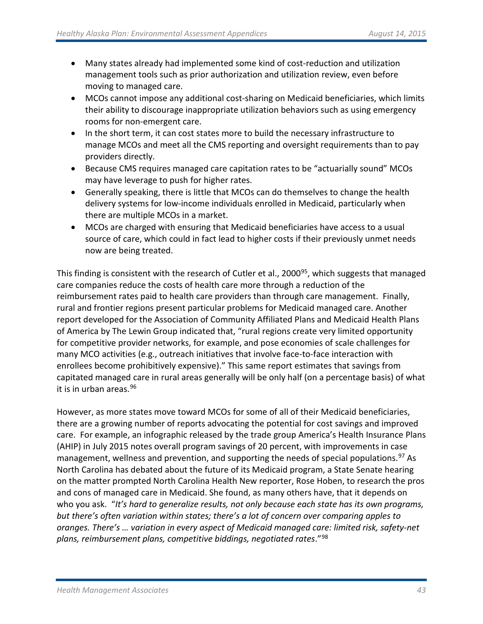- Many states already had implemented some kind of cost-reduction and utilization management tools such as prior authorization and utilization review, even before moving to managed care.
- MCOs cannot impose any additional cost-sharing on Medicaid beneficiaries, which limits their ability to discourage inappropriate utilization behaviors such as using emergency rooms for non-emergent care.
- In the short term, it can cost states more to build the necessary infrastructure to manage MCOs and meet all the CMS reporting and oversight requirements than to pay providers directly.
- Because CMS requires managed care capitation rates to be "actuarially sound" MCOs may have leverage to push for higher rates.
- Generally speaking, there is little that MCOs can do themselves to change the health delivery systems for low-income individuals enrolled in Medicaid, particularly when there are multiple MCOs in a market.
- MCOs are charged with ensuring that Medicaid beneficiaries have access to a usual source of care, which could in fact lead to higher costs if their previously unmet needs now are being treated.

This finding is consistent with the research of Cutler et al., 2000<sup>[95](#page-56-37)</sup>, which suggests that managed care companies reduce the costs of health care more through a reduction of the reimbursement rates paid to health care providers than through care management. Finally, rural and frontier regions present particular problems for Medicaid managed care. Another report developed for the Association of Community Affiliated Plans and Medicaid Health Plans of America by The Lewin Group indicated that, "rural regions create very limited opportunity for competitive provider networks, for example, and pose economies of scale challenges for many MCO activities (e.g., outreach initiatives that involve face-to-face interaction with enrollees become prohibitively expensive)." This same report estimates that savings from capitated managed care in rural areas generally will be only half (on a percentage basis) of what it is in urban areas.[96](#page-56-38)

However, as more states move toward MCOs for some of all of their Medicaid beneficiaries, there are a growing number of reports advocating the potential for cost savings and improved care. For example, an infographic released by the trade group America's Health Insurance Plans (AHIP) in July 2015 notes overall program savings of 20 percent, with improvements in case management, wellness and prevention, and supporting the needs of special populations.<sup>[97](#page-56-40)</sup> As North Carolina has debated about the future of its Medicaid program, a State Senate hearing on the matter prompted North Carolina Health New reporter, Rose Hoben, to research the pros and cons of managed care in Medicaid. She found, as many others have, that it depends on who you ask. "*It's hard to generalize results, not only because each state has its own programs, but there's often variation within states; there's a lot of concern over comparing apples to oranges. There's … variation in every aspect of Medicaid managed care: limited risk, safety-net plans, reimbursement plans, competitive biddings, negotiated rates*."[98](#page-56-72)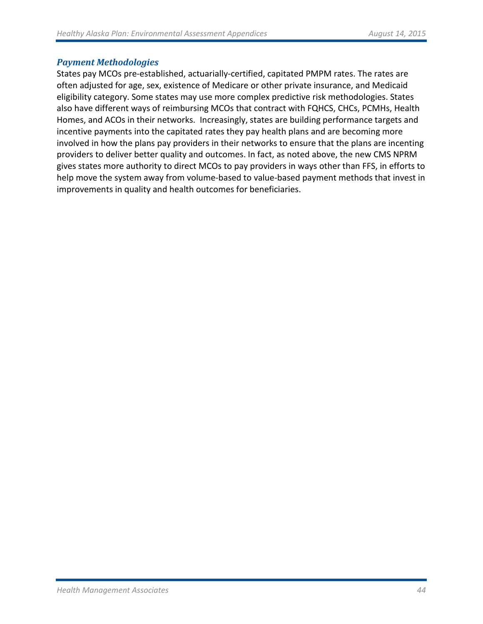#### *Payment Methodologies*

States pay MCOs pre-established, actuarially-certified, capitated PMPM rates. The rates are often adjusted for age, sex, existence of Medicare or other private insurance, and Medicaid eligibility category. Some states may use more complex predictive risk methodologies. States also have different ways of reimbursing MCOs that contract with FQHCS, CHCs, PCMHs, Health Homes, and ACOs in their networks. Increasingly, states are building performance targets and incentive payments into the capitated rates they pay health plans and are becoming more involved in how the plans pay providers in their networks to ensure that the plans are incenting providers to deliver better quality and outcomes. In fact, as noted above, the new CMS NPRM gives states more authority to direct MCOs to pay providers in ways other than FFS, in efforts to help move the system away from volume-based to value-based payment methods that invest in improvements in quality and health outcomes for beneficiaries.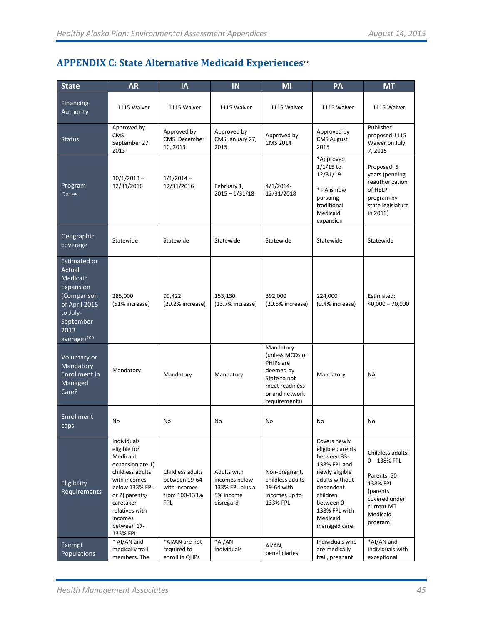# **APPENDIX C: State Alternative Medicaid Experiences**[99](#page-56-41)

| <b>State</b>                                                                                                                                | <b>AR</b>                                                                                                                                                                                                                                                                        | <b>IA</b>                                       | IN                                                                        | MI                                                                                                                          | PA                                                                                                                                                                                       | <b>MT</b>                                                                                                                          |  |
|---------------------------------------------------------------------------------------------------------------------------------------------|----------------------------------------------------------------------------------------------------------------------------------------------------------------------------------------------------------------------------------------------------------------------------------|-------------------------------------------------|---------------------------------------------------------------------------|-----------------------------------------------------------------------------------------------------------------------------|------------------------------------------------------------------------------------------------------------------------------------------------------------------------------------------|------------------------------------------------------------------------------------------------------------------------------------|--|
| <b>Financing</b><br>Authority                                                                                                               | 1115 Waiver                                                                                                                                                                                                                                                                      | 1115 Waiver                                     | 1115 Waiver                                                               | 1115 Waiver                                                                                                                 | 1115 Waiver                                                                                                                                                                              | 1115 Waiver                                                                                                                        |  |
| <b>Status</b>                                                                                                                               | Approved by<br><b>CMS</b><br>September 27,<br>2013                                                                                                                                                                                                                               | Approved by<br>CMS December<br>10, 2013         | Approved by<br>CMS January 27,<br>2015                                    | Approved by<br><b>CMS 2014</b>                                                                                              | Approved by<br><b>CMS August</b><br>2015                                                                                                                                                 | Published<br>proposed 1115<br>Waiver on July<br>7,2015                                                                             |  |
| Program<br><b>Dates</b>                                                                                                                     | $10/1/2013 -$<br>12/31/2016                                                                                                                                                                                                                                                      | $1/1/2014 -$<br>12/31/2016                      | February 1,<br>$2015 - 1/31/18$                                           | $4/1/2014$ -<br>12/31/2018                                                                                                  | *Approved<br>$1/1/15$ to<br>12/31/19<br>* PA is now<br>pursuing<br>traditional<br>Medicaid<br>expansion                                                                                  | Proposed: 5<br>years (pending<br>reauthorization<br>of HELP<br>program by<br>state legislature<br>in 2019)                         |  |
| Geographic<br>coverage                                                                                                                      | Statewide                                                                                                                                                                                                                                                                        | Statewide                                       | Statewide                                                                 | Statewide                                                                                                                   | Statewide                                                                                                                                                                                | Statewide                                                                                                                          |  |
| Estimated or<br>Actual<br>Medicaid<br>Expansion<br>(Comparison<br>of April 2015<br>to July-<br>September<br>2013<br>average) <sup>100</sup> | 285,000<br>(51% increase)                                                                                                                                                                                                                                                        | 99,422<br>(20.2% increase)                      | 153,130<br>(13.7% increase)                                               | 392,000<br>(20.5% increase)                                                                                                 | 224,000<br>(9.4% increase)                                                                                                                                                               | Estimated:<br>$40,000 - 70,000$                                                                                                    |  |
| Voluntary or<br>Mandatory<br>Mandatory<br>Enrollment in<br>Managed<br>Care?                                                                 |                                                                                                                                                                                                                                                                                  | Mandatory                                       | Mandatory                                                                 | Mandatory<br>(unless MCOs or<br>PHIPs are<br>deemed by<br>State to not<br>meet readiness<br>or and network<br>requirements) | Mandatory                                                                                                                                                                                | <b>NA</b>                                                                                                                          |  |
| Enrollment<br>caps                                                                                                                          | No                                                                                                                                                                                                                                                                               | No                                              | N <sub>o</sub>                                                            | No                                                                                                                          | No                                                                                                                                                                                       | <b>No</b>                                                                                                                          |  |
| Eligibility<br>Requirements                                                                                                                 | Individuals<br>eligible for<br>Medicaid<br>expansion are 1)<br>childless adults<br>Childless adults<br>with incomes<br>between 19-64<br>below 133% FPL<br>with incomes<br>or 2) parents/<br>from 100-133%<br>caretaker<br><b>FPL</b><br>relatives with<br>incomes<br>between 17- |                                                 | Adults with<br>incomes below<br>133% FPL plus a<br>5% income<br>disregard | Non-pregnant,<br>childless adults<br>19-64 with<br>incomes up to<br>133% FPL                                                | Covers newly<br>eligible parents<br>between 33-<br>138% FPL and<br>newly eligible<br>adults without<br>dependent<br>children<br>between 0-<br>138% FPL with<br>Medicaid<br>managed care. | Childless adults:<br>$0 - 138% FPL$<br>Parents: 50-<br>138% FPL<br>(parents<br>covered under<br>current MT<br>Medicaid<br>program) |  |
| Exempt<br>Populations                                                                                                                       | 133% FPL<br>* AI/AN and<br>medically frail<br>members. The                                                                                                                                                                                                                       | *AI/AN are not<br>required to<br>enroll in QHPs | *AI/AN<br>individuals                                                     | Al/AN;<br>beneficiaries                                                                                                     | Individuals who<br>are medically<br>frail, pregnant                                                                                                                                      | *AI/AN and<br>individuals with<br>exceptional                                                                                      |  |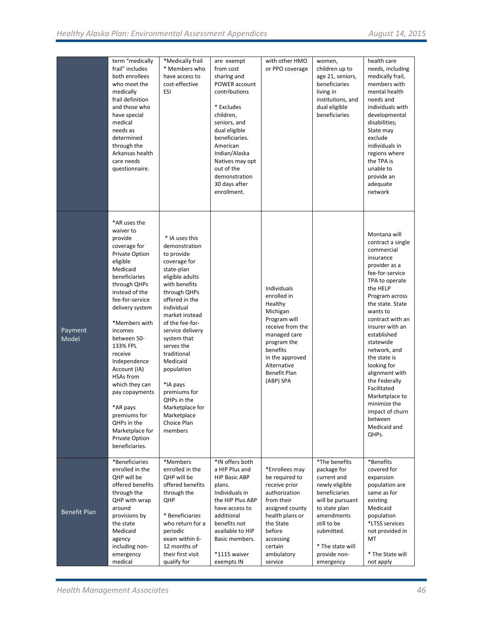|                  | term "medically<br>frail" includes<br>both enrollees<br>who meet the<br>medically<br>frail definition<br>and those who<br>have special<br>medical<br>needs as<br>determined<br>through the<br>Arkansas health<br>care needs<br>questionnaire.                                                                                                                                                                                                       | *Medically frail<br>* Members who<br>have access to<br>cost-effective<br><b>ESI</b>                                                                                                                                                                                                                                                                                                                   | are exempt<br>from cost<br>sharing and<br>POWER account<br>contributions<br>* Excludes<br>children,<br>seniors, and<br>dual eligible<br>beneficiaries.<br>American<br>Indian/Alaska<br>Natives may opt<br>out of the<br>demonstration<br>30 days after<br>enrollment. | with other HMO<br>or PPO coverage                                                                                                                                                               | women,<br>children up to<br>age 21, seniors,<br>beneficiaries<br>living in<br>institutions, and<br>dual eligible<br>beneficiaries                                                                               | health care<br>needs, including<br>medically frail,<br>members with<br>mental health<br>needs and<br>individuals with<br>developmental<br>disabilities;<br>State may<br>exclude<br>individuals in<br>regions where<br>the TPA is<br>unable to<br>provide an<br>adequate<br>network                                                                                                                                                            |
|------------------|-----------------------------------------------------------------------------------------------------------------------------------------------------------------------------------------------------------------------------------------------------------------------------------------------------------------------------------------------------------------------------------------------------------------------------------------------------|-------------------------------------------------------------------------------------------------------------------------------------------------------------------------------------------------------------------------------------------------------------------------------------------------------------------------------------------------------------------------------------------------------|-----------------------------------------------------------------------------------------------------------------------------------------------------------------------------------------------------------------------------------------------------------------------|-------------------------------------------------------------------------------------------------------------------------------------------------------------------------------------------------|-----------------------------------------------------------------------------------------------------------------------------------------------------------------------------------------------------------------|-----------------------------------------------------------------------------------------------------------------------------------------------------------------------------------------------------------------------------------------------------------------------------------------------------------------------------------------------------------------------------------------------------------------------------------------------|
| Payment<br>Model | *AR uses the<br>waiver to<br>provide<br>coverage for<br>Private Option<br>eligible<br>Medicaid<br>beneficiaries<br>through QHPs<br>instead of the<br>fee-for-service<br>delivery system<br>*Members with<br>incomes<br>between 50-<br>133% FPL<br>receive<br>Independence<br>Account (IA)<br><b>HSAs from</b><br>which they can<br>pay copayments<br>*AR pays<br>premiums for<br>QHPs in the<br>Marketplace for<br>Private Option<br>beneficiaries. | * IA uses this<br>demonstration<br>to provide<br>coverage for<br>state-plan<br>eligible adults<br>with benefits<br>through QHPs<br>offered in the<br>individual<br>market instead<br>of the fee-for-<br>service delivery<br>system that<br>serves the<br>traditional<br>Medicaid<br>population<br>*IA pays<br>premiums for<br>QHPs in the<br>Marketplace for<br>Marketplace<br>Choice Plan<br>members |                                                                                                                                                                                                                                                                       | Individuals<br>enrolled in<br>Healthy<br>Michigan<br>Program will<br>receive from the<br>managed care<br>program the<br>benefits<br>in the approved<br>Alternative<br>Benefit Plan<br>(ABP) SPA |                                                                                                                                                                                                                 | Montana will<br>contract a single<br>commercial<br>insurance<br>provider as a<br>fee-for-service<br>TPA to operate<br>the HELP<br>Program across<br>the state. State<br>wants to<br>contract with an<br>insurer with an<br>established<br>statewide<br>network, and<br>the state is<br>looking for<br>alignment with<br>the Federally<br>Facilitated<br>Marketplace to<br>minimize the<br>impact of churn<br>between<br>Medicaid and<br>QHPs. |
| Benefit Plan     | *Beneficiaries<br>enrolled in the<br>OHP will be<br>offered benefits<br>through the<br>QHP with wrap<br>around<br>provisions by<br>the state<br>Medicaid<br>agency<br>including non-<br>emergency<br>medical                                                                                                                                                                                                                                        | *Members<br>enrolled in the<br>QHP will be<br>offered benefits<br>through the<br>QHP<br>* Beneficiaries<br>who return for a<br>periodic<br>exam within 6-<br>12 months of<br>their first visit<br>qualify for                                                                                                                                                                                         | *IN offers both<br>a HIP Plus and<br><b>HIP Basic ABP</b><br>plans.<br>Individuals in<br>the HIP Plus ABP<br>have access to<br>additional<br>benefits not<br>available to HIP<br>Basic members.<br>*1115 waiver<br>exempts IN                                         | *Enrollees may<br>be required to<br>receive prior<br>authorization<br>from their<br>assigned county<br>health plans or<br>the State<br>before<br>accessing<br>certain<br>ambulatory<br>service  | *The benefits<br>package for<br>current and<br>newly eligible<br>beneficiaries<br>will be pursuant<br>to state plan<br>amendments<br>still to be<br>submitted.<br>* The state will<br>provide non-<br>emergency | *Benefits<br>covered for<br>expansion<br>population are<br>same as for<br>existing<br>Medicaid<br>population<br>*LTSS services<br>not provided in<br>MT<br>* The State will<br>not apply                                                                                                                                                                                                                                                      |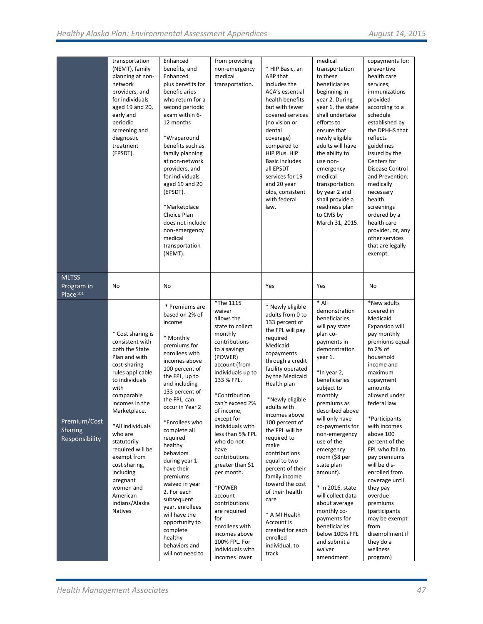|                                    | transportation<br>(NEMT), family     | Enhanced<br>benefits, and         | from providing<br>non-emergency      | * HIP Basic, an                    | medical<br>transportation             | copayments for:<br>preventive       |
|------------------------------------|--------------------------------------|-----------------------------------|--------------------------------------|------------------------------------|---------------------------------------|-------------------------------------|
|                                    | planning at non-<br>network          | Enhanced<br>plus benefits for     | medical<br>transportation.           | ABP that<br>includes the           | to these<br>beneficiaries             | health care<br>services;            |
|                                    | providers, and                       | beneficiaries                     |                                      | ACA's essential                    | beginning in                          | immunizations                       |
|                                    | for individuals                      | who return for a                  |                                      | health benefits                    | year 2. During                        | provided                            |
|                                    | aged 19 and 20,<br>early and         | second periodic<br>exam within 6- |                                      | but with fewer<br>covered services | year 1, the state<br>shall undertake  | according to a<br>schedule          |
|                                    | periodic                             | 12 months                         |                                      | (no vision or                      | efforts to                            | established by                      |
|                                    | screening and                        |                                   |                                      | dental                             | ensure that                           | the DPHHS that                      |
|                                    | diagnostic<br>treatment              | *Wraparound<br>benefits such as   |                                      | coverage)<br>compared to           | newly eligible<br>adults will have    | reflects<br>guidelines              |
|                                    | (EPSDT).                             | family planning                   |                                      | HIP Plus. HIP                      | the ability to                        | issued by the                       |
|                                    |                                      | at non-network                    |                                      | <b>Basic includes</b>              | use non-                              | Centers for                         |
|                                    |                                      | providers, and<br>for individuals |                                      | all EPSDT<br>services for 19       | emergency<br>medical                  | Disease Control<br>and Prevention;  |
|                                    |                                      | aged 19 and 20                    |                                      | and 20 year                        | transportation                        | medically                           |
|                                    |                                      | (EPSDT).                          |                                      | olds, consistent                   | by year 2 and                         | necessary                           |
|                                    |                                      | *Marketplace                      |                                      | with federal<br>law.               | shall provide a<br>readiness plan     | health<br>screenings                |
|                                    |                                      | Choice Plan                       |                                      |                                    | to CMS by                             | ordered by a                        |
|                                    |                                      | does not include                  |                                      |                                    | March 31, 2015.                       | health care                         |
|                                    |                                      | non-emergency<br>medical          |                                      |                                    |                                       | provider, or, any<br>other services |
|                                    |                                      | transportation                    |                                      |                                    |                                       | that are legally                    |
|                                    |                                      | (NEMT).                           |                                      |                                    |                                       | exempt.                             |
|                                    |                                      |                                   |                                      |                                    |                                       |                                     |
| <b>MLTSS</b>                       |                                      |                                   |                                      |                                    |                                       |                                     |
| Program in<br>Place <sup>101</sup> | No                                   | No                                |                                      | Yes                                | Yes                                   | No                                  |
|                                    |                                      | * Premiums are                    | *The 1115<br>waiver                  | * Newly eligible                   | * All<br>demonstration                | *New adults<br>covered in           |
|                                    |                                      | based on 2% of                    | allows the                           | adults from 0 to                   | beneficiaries                         | Medicaid                            |
|                                    |                                      | income                            | state to collect                     | 133 percent of<br>the FPL will pay | will pay state                        | <b>Expansion will</b>               |
|                                    | * Cost sharing is<br>consistent with | * Monthly                         | monthly<br>contributions             | required                           | plan co-<br>payments in               | pay monthly<br>premiums equal       |
|                                    | both the State                       | premiums for<br>enrollees with    | to a savings                         | Medicaid                           | demonstration                         | to 2% of                            |
|                                    | Plan and with                        | incomes above                     | (POWER)                              | copayments<br>through a credit     | year 1.                               | household                           |
|                                    | cost-sharing<br>rules applicable     | 100 percent of                    | account (from<br>individuals up to   | facility operated                  | *In year 2,                           | income and<br>maximum               |
|                                    | to individuals                       | the FPL, up to                    | 133 % FPL.                           | by the Medicaid                    | beneficiaries                         | copayment                           |
|                                    | with                                 | and including<br>133 percent of   |                                      | Health plan                        | subject to                            | amounts                             |
|                                    | comparable<br>incomes in the         | the FPL, can                      | *Contribution<br>can't exceed 2%     | *Newly eligible                    | monthly<br>premiums as                | allowed under<br>federal law        |
|                                    | Marketplace.                         | occur in Year 2                   | of income,                           | adults with                        | described above                       |                                     |
| Premium/Cost                       |                                      | *Enrollees who                    | except for                           | incomes above<br>100 percent of    | will only have                        | *Participants                       |
| Sharing                            | *All individuals<br>who are          | complete all                      | individuals with<br>less than 5% FPL | the FPL will be                    | co-payments for<br>non-emergency      | with incomes<br>above 100           |
| Responsibility                     | statutorily                          | required                          | who do not                           | required to                        | use of the                            | percent of the                      |
|                                    | required will be                     | healthy<br>behaviors              | have                                 | make<br>contributions              | emergency                             | FPL who fail to                     |
|                                    | exempt from<br>cost sharing,         | during year 1                     | contributions<br>greater than \$1    | equal to two                       | room (\$8 per<br>state plan           | pay premiums<br>will be dis-        |
|                                    | including                            | have their                        | per month.                           | percent of their                   | amount).                              | enrolled from                       |
|                                    | pregnant                             | premiums<br>waived in year        |                                      | family income<br>toward the cost   |                                       | coverage until                      |
|                                    | women and<br>American                | 2. For each                       | *POWER<br>account                    | of their health                    | * In 2016, state<br>will collect data | they pay<br>overdue                 |
|                                    | Indians/Alaska                       | subsequent                        | contributions                        | care                               | about average                         | premiums                            |
|                                    | <b>Natives</b>                       | year, enrollees<br>will have the  | are required                         | * A MI Health                      | monthly co-                           | (participants                       |
|                                    |                                      | opportunity to                    | for<br>enrollees with                | Account is                         | payments for<br>beneficiaries         | may be exempt<br>from               |
|                                    |                                      | complete                          | incomes above                        | created for each                   | below 100% FPL                        | disenrollment if                    |
|                                    |                                      | healthy<br>behaviors and          | 100% FPL. For                        | enrolled<br>individual, to         | and submit a                          | they do a                           |
|                                    |                                      | will not need to                  | individuals with<br>incomes lower    | track                              | waiver<br>amendment                   | wellness                            |
|                                    |                                      |                                   |                                      |                                    |                                       | program)                            |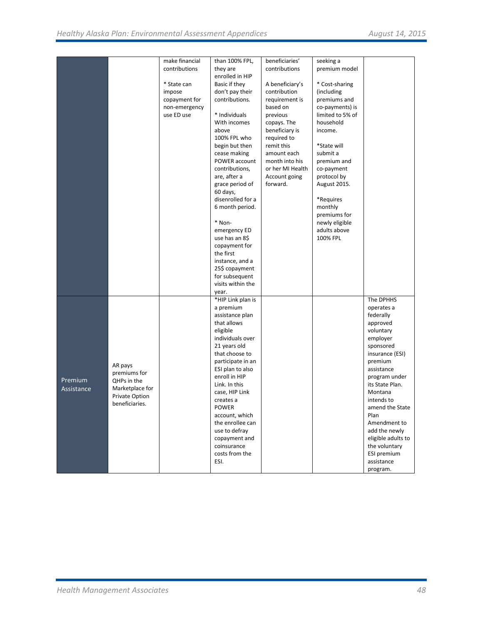|            |                 | make financial | than 100% FPL,                    | beneficiaries'   | seeking a        |                                  |
|------------|-----------------|----------------|-----------------------------------|------------------|------------------|----------------------------------|
|            |                 | contributions  | they are                          | contributions    | premium model    |                                  |
|            |                 |                | enrolled in HIP                   |                  |                  |                                  |
|            |                 | * State can    | Basic if they                     | A beneficiary's  | * Cost-sharing   |                                  |
|            |                 | impose         | don't pay their                   | contribution     | (including       |                                  |
|            |                 | copayment for  | contributions.                    | requirement is   | premiums and     |                                  |
|            |                 | non-emergency  |                                   | based on         | co-payments) is  |                                  |
|            |                 | use ED use     | * Individuals                     | previous         | limited to 5% of |                                  |
|            |                 |                | With incomes                      | copays. The      | household        |                                  |
|            |                 |                | above                             | beneficiary is   | income.          |                                  |
|            |                 |                | 100% FPL who                      | required to      |                  |                                  |
|            |                 |                | begin but then                    | remit this       | *State will      |                                  |
|            |                 |                | cease making                      | amount each      | submit a         |                                  |
|            |                 |                | POWER account                     | month into his   | premium and      |                                  |
|            |                 |                | contributions,                    | or her MI Health | co-payment       |                                  |
|            |                 |                | are, after a                      | Account going    | protocol by      |                                  |
|            |                 |                | grace period of                   | forward.         | August 2015.     |                                  |
|            |                 |                | 60 days,                          |                  |                  |                                  |
|            |                 |                | disenrolled for a                 |                  | *Requires        |                                  |
|            |                 |                | 6 month period.                   |                  | monthly          |                                  |
|            |                 |                |                                   |                  | premiums for     |                                  |
|            |                 |                | * Non-                            |                  | newly eligible   |                                  |
|            |                 |                | emergency ED                      |                  | adults above     |                                  |
|            |                 |                | use has an 8\$                    |                  | 100% FPL         |                                  |
|            |                 |                | copayment for                     |                  |                  |                                  |
|            |                 |                | the first                         |                  |                  |                                  |
|            |                 |                | instance, and a                   |                  |                  |                                  |
|            |                 |                | 25\$ copayment                    |                  |                  |                                  |
|            |                 |                | for subsequent                    |                  |                  |                                  |
|            |                 |                | visits within the                 |                  |                  |                                  |
|            |                 |                | year.                             |                  |                  |                                  |
|            |                 |                | *HIP Link plan is                 |                  |                  | The DPHHS                        |
|            |                 |                | a premium                         |                  |                  | operates a                       |
|            |                 |                | assistance plan                   |                  |                  | federally                        |
|            |                 |                | that allows                       |                  |                  | approved                         |
|            |                 |                | eligible                          |                  |                  | voluntary                        |
|            |                 |                | individuals over                  |                  |                  | employer                         |
|            |                 |                | 21 years old                      |                  |                  | sponsored                        |
|            |                 |                | that choose to                    |                  |                  | insurance (ESI)                  |
|            | AR pays         |                | participate in an                 |                  |                  | premium<br>assistance            |
|            | premiums for    |                | ESI plan to also<br>enroll in HIP |                  |                  |                                  |
| Premium    | QHPs in the     |                | Link. In this                     |                  |                  | program under<br>its State Plan. |
| Assistance | Marketplace for |                | case, HIP Link                    |                  |                  | Montana                          |
|            | Private Option  |                | creates a                         |                  |                  | intends to                       |
|            | beneficiaries.  |                | POWER                             |                  |                  | amend the State                  |
|            |                 |                | account, which                    |                  |                  | Plan                             |
|            |                 |                | the enrollee can                  |                  |                  | Amendment to                     |
|            |                 |                | use to defray                     |                  |                  | add the newly                    |
|            |                 |                | copayment and                     |                  |                  | eligible adults to               |
|            |                 |                | coinsurance                       |                  |                  | the voluntary                    |
|            |                 |                | costs from the                    |                  |                  | ESI premium                      |
|            |                 |                | ESI.                              |                  |                  | assistance                       |
|            |                 |                |                                   |                  |                  | program.                         |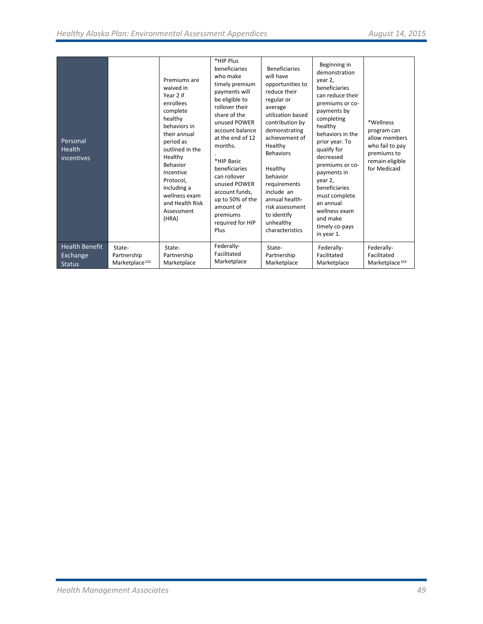| Personal<br>Health<br>incentives |                            | Premiums are<br>waived in<br>Year 2 if<br>enrollees<br>complete<br>healthy<br>behaviors in<br>their annual<br>period as<br>outlined in the<br>Healthy<br>Behavior<br>Incentive<br>Protocol.<br>including a<br>wellness exam<br>and Health Risk<br>Assessment<br>(HRA) | *HIP Plus<br>beneficiaries<br>who make<br>timely premium<br>payments will<br>be eligible to<br>rollover their<br>share of the<br>unused POWER<br>account balance<br>at the end of 12<br>months.<br>*HIP Basic<br>beneficiaries<br>can rollover<br>unused POWER<br>account funds,<br>up to 50% of the<br>amount of<br>premiums<br>required for HIP<br>Plus | <b>Beneficiaries</b><br>will have<br>opportunities to<br>reduce their<br>regular or<br>average<br>utilization based<br>contribution by<br>demonstrating<br>achievement of<br>Healthy<br><b>Behaviors</b><br>Healthy<br>behavior<br>requirements<br>include an<br>annual health-<br>risk assessment<br>to identify<br>unhealthy<br>characteristics | Beginning in<br>demonstration<br>year 2,<br>beneficiaries<br>can reduce their<br>premiums or co-<br>payments by<br>completing<br>healthy<br>behaviors in the<br>prior year. To<br>qualify for<br>decreased<br>premiums or co-<br>payments in<br>year 2,<br>beneficiaries<br>must complete<br>an annual<br>wellness exam<br>and make<br>timely co-pays<br>in year 1. | *Wellness<br>program can<br>allow members<br>who fail to pay<br>premiums to<br>remain eligible<br>for Medicaid |
|----------------------------------|----------------------------|-----------------------------------------------------------------------------------------------------------------------------------------------------------------------------------------------------------------------------------------------------------------------|-----------------------------------------------------------------------------------------------------------------------------------------------------------------------------------------------------------------------------------------------------------------------------------------------------------------------------------------------------------|---------------------------------------------------------------------------------------------------------------------------------------------------------------------------------------------------------------------------------------------------------------------------------------------------------------------------------------------------|---------------------------------------------------------------------------------------------------------------------------------------------------------------------------------------------------------------------------------------------------------------------------------------------------------------------------------------------------------------------|----------------------------------------------------------------------------------------------------------------|
| <b>Health Benefit</b>            | State-                     | State-                                                                                                                                                                                                                                                                | Federally-                                                                                                                                                                                                                                                                                                                                                | State-                                                                                                                                                                                                                                                                                                                                            | Federally-                                                                                                                                                                                                                                                                                                                                                          | Federally-                                                                                                     |
| Exchange                         | Partnership                | Partnership                                                                                                                                                                                                                                                           | Facilitated                                                                                                                                                                                                                                                                                                                                               | Partnership                                                                                                                                                                                                                                                                                                                                       | Facilitated                                                                                                                                                                                                                                                                                                                                                         | Facilitated                                                                                                    |
| <b>Status</b>                    | Marketplace <sup>102</sup> | Marketplace                                                                                                                                                                                                                                                           | Marketplace                                                                                                                                                                                                                                                                                                                                               | Marketplace                                                                                                                                                                                                                                                                                                                                       | Marketplace                                                                                                                                                                                                                                                                                                                                                         | Marketplace <sup>103</sup>                                                                                     |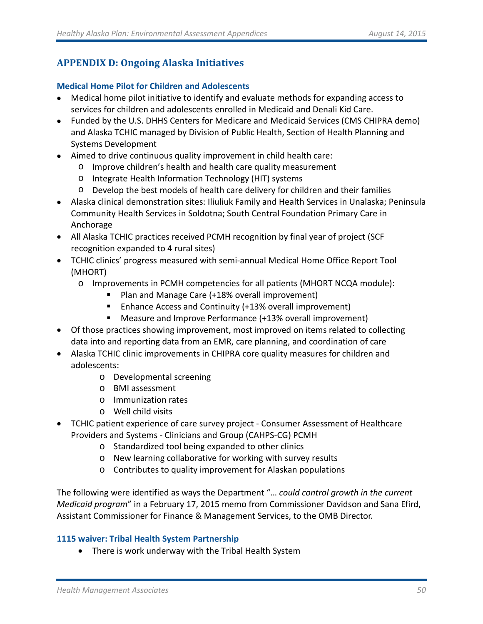# **APPENDIX D: Ongoing Alaska Initiatives**

# **Medical Home Pilot for Children and Adolescents**

- Medical home pilot initiative to identify and evaluate methods for expanding access to services for children and adolescents enrolled in Medicaid and Denali Kid Care.
- Funded by the U.S. DHHS Centers for Medicare and Medicaid Services (CMS CHIPRA demo) and Alaska TCHIC managed by Division of Public Health, Section of Health Planning and Systems Development
- Aimed to drive continuous quality improvement in child health care:
	- o Improve children's health and health care quality measurement
	- o Integrate Health Information Technology (HIT) systems
	- o Develop the best models of health care delivery for children and their families
- Alaska clinical demonstration sites: Iliuliuk Family and Health Services in Unalaska; Peninsula Community Health Services in Soldotna; South Central Foundation Primary Care in Anchorage
- All Alaska TCHIC practices received PCMH recognition by final year of project (SCF recognition expanded to 4 rural sites)
- TCHIC clinics' progress measured with semi-annual Medical Home Office Report Tool (MHORT)
	- o Improvements in PCMH competencies for all patients (MHORT NCQA module):
		- Plan and Manage Care (+18% overall improvement)
		- Enhance Access and Continuity (+13% overall improvement)
		- Measure and Improve Performance (+13% overall improvement)
- Of those practices showing improvement, most improved on items related to collecting data into and reporting data from an EMR, care planning, and coordination of care
- Alaska TCHIC clinic improvements in CHIPRA core quality measures for children and adolescents:
	- o Developmental screening
	- o BMI assessment
	- o Immunization rates
	- o Well child visits
- TCHIC patient experience of care survey project Consumer Assessment of Healthcare Providers and Systems - Clinicians and Group (CAHPS-CG) PCMH
	- o Standardized tool being expanded to other clinics
	- o New learning collaborative for working with survey results
	- o Contributes to quality improvement for Alaskan populations

The following were identified as ways the Department "… *could control growth in the current Medicaid program*" in a February 17, 2015 memo from Commissioner Davidson and Sana Efird, Assistant Commissioner for Finance & Management Services, to the OMB Director.

# **1115 waiver: Tribal Health System Partnership**

• There is work underway with the Tribal Health System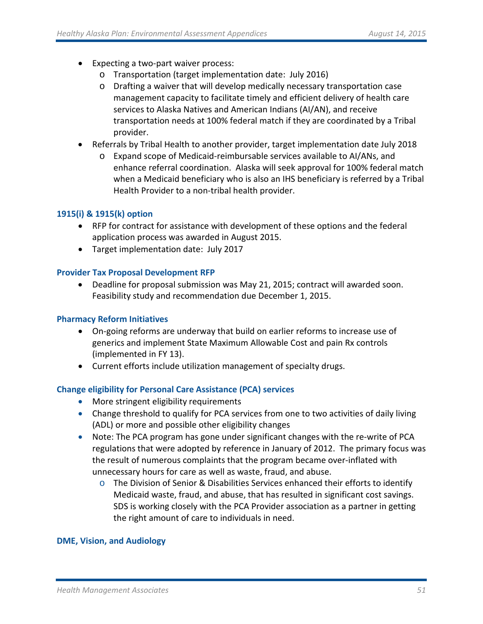- Expecting a two-part waiver process:
	- o Transportation (target implementation date: July 2016)
	- o Drafting a waiver that will develop medically necessary transportation case management capacity to facilitate timely and efficient delivery of health care services to Alaska Natives and American Indians (AI/AN), and receive transportation needs at 100% federal match if they are coordinated by a Tribal provider.
- Referrals by Tribal Health to another provider, target implementation date July 2018
	- o Expand scope of Medicaid-reimbursable services available to AI/ANs, and enhance referral coordination. Alaska will seek approval for 100% federal match when a Medicaid beneficiary who is also an IHS beneficiary is referred by a Tribal Health Provider to a non-tribal health provider.

# **1915(i) & 1915(k) option**

- RFP for contract for assistance with development of these options and the federal application process was awarded in August 2015.
- Target implementation date: July 2017

# **Provider Tax Proposal Development RFP**

• Deadline for proposal submission was May 21, 2015; contract will awarded soon. Feasibility study and recommendation due December 1, 2015.

# **Pharmacy Reform Initiatives**

- On-going reforms are underway that build on earlier reforms to increase use of generics and implement State Maximum Allowable Cost and pain Rx controls (implemented in FY 13).
- Current efforts include utilization management of specialty drugs.

# **Change eligibility for Personal Care Assistance (PCA) services**

- More stringent eligibility requirements
- Change threshold to qualify for PCA services from one to two activities of daily living (ADL) or more and possible other eligibility changes
- Note: The PCA program has gone under significant changes with the re-write of PCA regulations that were adopted by reference in January of 2012. The primary focus was the result of numerous complaints that the program became over-inflated with unnecessary hours for care as well as waste, fraud, and abuse.
	- $\circ$  The Division of Senior & Disabilities Services enhanced their efforts to identify Medicaid waste, fraud, and abuse, that has resulted in significant cost savings. SDS is working closely with the PCA Provider association as a partner in getting the right amount of care to individuals in need.

#### **DME, Vision, and Audiology**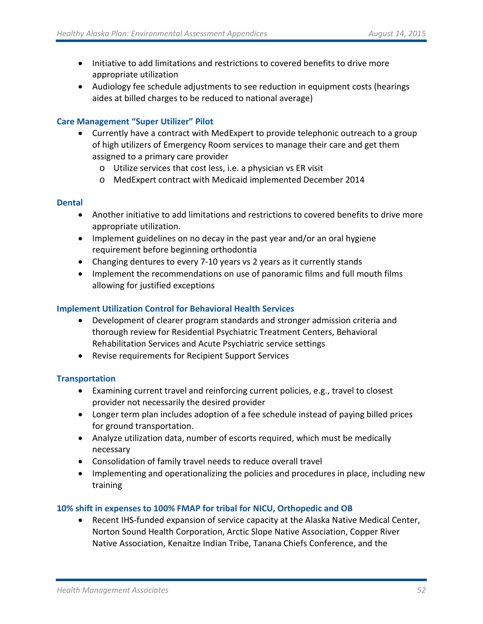- Initiative to add limitations and restrictions to covered benefits to drive more appropriate utilization
- Audiology fee schedule adjustments to see reduction in equipment costs (hearings aides at billed charges to be reduced to national average)

# **Care Management "Super Utilizer" Pilot**

- Currently have a contract with MedExpert to provide telephonic outreach to a group of high utilizers of Emergency Room services to manage their care and get them assigned to a primary care provider
	- o Utilize services that cost less, i.e. a physician vs ER visit
	- o MedExpert contract with Medicaid implemented December 2014

# **Dental**

- Another initiative to add limitations and restrictions to covered benefits to drive more appropriate utilization.
- Implement guidelines on no decay in the past year and/or an oral hygiene requirement before beginning orthodontia
- Changing dentures to every 7-10 years vs 2 years as it currently stands
- Implement the recommendations on use of panoramic films and full mouth films allowing for justified exceptions

# **Implement Utilization Control for Behavioral Health Services**

- Development of clearer program standards and stronger admission criteria and thorough review for Residential Psychiatric Treatment Centers, Behavioral Rehabilitation Services and Acute Psychiatric service settings
- Revise requirements for Recipient Support Services

# **Transportation**

- Examining current travel and reinforcing current policies, e.g., travel to closest provider not necessarily the desired provider
- Longer term plan includes adoption of a fee schedule instead of paying billed prices for ground transportation.
- Analyze utilization data, number of escorts required, which must be medically necessary
- Consolidation of family travel needs to reduce overall travel
- Implementing and operationalizing the policies and procedures in place, including new training

# **10% shift in expenses to 100% FMAP for tribal for NICU, Orthopedic and OB**

• Recent IHS-funded expansion of service capacity at the Alaska Native Medical Center, Norton Sound Health Corporation, Arctic Slope Native Association, Copper River Native Association, Kenaitze Indian Tribe, Tanana Chiefs Conference, and the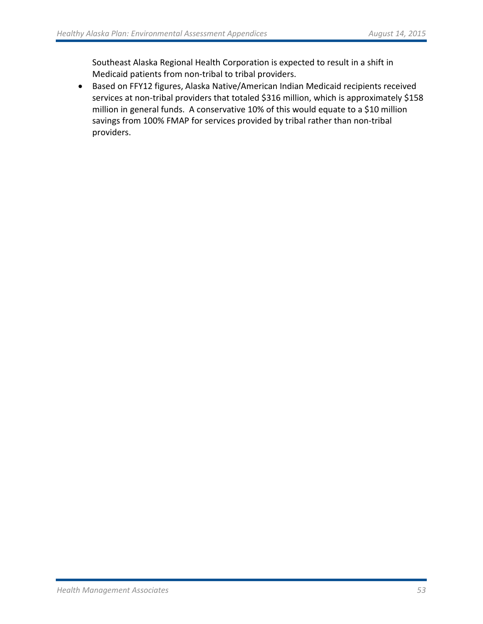Southeast Alaska Regional Health Corporation is expected to result in a shift in Medicaid patients from non-tribal to tribal providers.

• Based on FFY12 figures, Alaska Native/American Indian Medicaid recipients received services at non-tribal providers that totaled \$316 million, which is approximately \$158 million in general funds. A conservative 10% of this would equate to a \$10 million savings from 100% FMAP for services provided by tribal rather than non-tribal providers.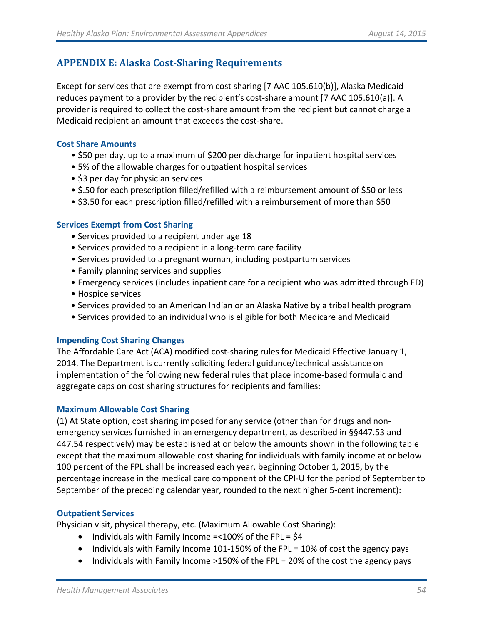# **APPENDIX E: Alaska Cost-Sharing Requirements**

Except for services that are exempt from cost sharing [7 AAC 105.610(b)], Alaska Medicaid reduces payment to a provider by the recipient's cost-share amount [7 AAC 105.610(a)]. A provider is required to collect the cost-share amount from the recipient but cannot charge a Medicaid recipient an amount that exceeds the cost-share.

#### <span id="page-53-0"></span>**Cost Share Amounts**

- \$50 per day, up to a maximum of \$200 per discharge for inpatient hospital services
- 5% of the allowable charges for outpatient hospital services
- \$3 per day for physician services
- \$.50 for each prescription filled/refilled with a reimbursement amount of \$50 or less
- \$3.50 for each prescription filled/refilled with a reimbursement of more than \$50

#### <span id="page-53-4"></span><span id="page-53-3"></span><span id="page-53-2"></span><span id="page-53-1"></span>**Services Exempt from Cost Sharing**

- Services provided to a recipient under age 18
- Services provided to a recipient in a long-term care facility
- Services provided to a pregnant woman, including postpartum services
- Family planning services and supplies
- Emergency services (includes inpatient care for a recipient who was admitted through ED)
- Hospice services
- Services provided to an American Indian or an Alaska Native by a tribal health program
- Services provided to an individual who is eligible for both Medicare and Medicaid

#### **Impending Cost Sharing Changes**

The Affordable Care Act (ACA) modified cost-sharing rules for Medicaid Effective January 1, 2014. The Department is currently soliciting federal guidance/technical assistance on implementation of the following new federal rules that place income-based formulaic and aggregate caps on cost sharing structures for recipients and families:

#### **Maximum Allowable Cost Sharing**

(1) At State option, cost sharing imposed for any service (other than for drugs and nonemergency services furnished in an emergency department, as described in §§447.53 and 447.54 respectively) may be established at or below the amounts shown in the following table except that the maximum allowable cost sharing for individuals with family income at or below 100 percent of the FPL shall be increased each year, beginning October 1, 2015, by the percentage increase in the medical care component of the CPI-U for the period of September to September of the preceding calendar year, rounded to the next higher 5-cent increment):

#### **Outpatient Services**

Physician visit, physical therapy, etc. (Maximum Allowable Cost Sharing):

- Individuals with Family Income =<100% of the FPL = \$4
- Individuals with Family Income 101-150% of the FPL = 10% of cost the agency pays
- Individuals with Family Income >150% of the FPL = 20% of the cost the agency pays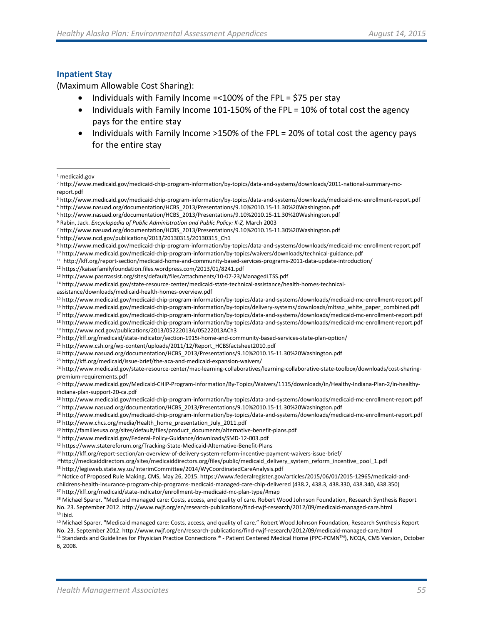#### **Inpatient Stay**

(Maximum Allowable Cost Sharing):

- Individuals with Family Income =<100% of the FPL = \$75 per stay
- Individuals with Family Income 101-150% of the FPL = 10% of total cost the agency pays for the entire stay
- Individuals with Family Income >150% of the FPL = 20% of total cost the agency pays for the entire stay

<sup>12</sup> https://kaiserfamilyfoundation.files.wordpress.com/2013/01/8241.pdf

assistance/downloads/medicaid-health-homes-overview.pdf

<sup>16</sup> http://www.medicaid.gov/medicaid-chip-program-information/by-topics/delivery-systems/downloads/mltssp\_white\_paper\_combined.pdf

<sup>21</sup> http://www.csh.org/wp-content/uploads/2011/12/Report\_HCBSfactsheet2010.pdf

- <sup>22</sup> http://www.nasuad.org/documentation/HCBS\_2013/Presentations/9.10%2010.15-11.30%20Washington.pdf
- <sup>23</sup> http://kff.org/medicaid/issue-brief/the-aca-and-medicaid-expansion-waivers/

<sup>24</sup> http://www.medicaid.gov/state-resource-center/mac-learning-collaboratives/learning-collaborative-state-toolbox/downloads/cost-sharingpremium-requirements.pdf

<sup>25</sup> http://www.medicaid.gov/Medicaid-CHIP-Program-Information/By-Topics/Waivers/1115/downloads/in/Healthy-Indiana-Plan-2/in-healthyindiana-plan-support-20-ca.pdf

<sup>26</sup> http://www.medicaid.gov/medicaid-chip-program-information/by-topics/data-and-systems/downloads/medicaid-mc-enrollment-report.pdf

<sup>27</sup> http://www.nasuad.org/documentation/HCBS\_2013/Presentations/9.10%2010.15-11.30%20Washington.pdf

<sup>28</sup> http://www.medicaid.gov/medicaid-chip-program-information/by-topics/data-and-systems/downloads/medicaid-mc-enrollment-report.pdf <sup>29</sup> http://www.chcs.org/media/Health\_home\_presentation\_July\_2011.pdf

<sup>30</sup> http://familiesusa.org/sites/default/files/product\_documents/alternative-benefit-plans.pdf

<sup>31</sup> http://www.medicaid.gov/Federal-Policy-Guidance/downloads/SMD-12-003.pdf

<sup>33</sup> http://kff.org/report-section/an-overview-of-delivery-system-reform-incentive-payment-waivers-issue-brief/

34http://medicaiddirectors.org/sites/medicaiddirectors.org/files/public/medicaid\_delivery\_system\_reform\_incentive\_pool\_1.pdf

<sup>35</sup> http://legisweb.state.wy.us/InterimCommittee/2014/WyCoordinatedCareAnalysis.pdf

<sup>36</sup> Notice of Proposed Rule Making, CMS, May 26, 2015. https://www.federalregister.gov/articles/2015/06/01/2015-12965/medicaid-and-

childrens-health-insurance-program-chip-programs-medicaid-managed-care-chip-delivered (438.2, 438.3, 438.330, 438.340, 438.350) <sup>37</sup> http://kff.org/medicaid/state-indicator/enrollment-by-medicaid-mc-plan-type/#map

38 Michael Sparer. "Medicaid managed care: Costs, access, and quality of care. Robert Wood Johnson Foundation, Research Synthesis Report No. 23. September 2012. http://www.rwjf.org/en/research-publications/find-rwjf-research/2012/09/medicaid-managed-care.html <sup>39</sup> Ibid.

<sup>1</sup> medicaid.gov l

<sup>2</sup> http://www.medicaid.gov/medicaid-chip-program-information/by-topics/data-and-systems/downloads/2011-national-summary-mcreport.pdf

<sup>3</sup> http://www.medicaid.gov/medicaid-chip-program-information/by-topics/data-and-systems/downloads/medicaid-mc-enrollment-report.pdf <sup>4</sup> http://www.nasuad.org/documentation/HCBS\_2013/Presentations/9.10%2010.15-11.30%20Washington.pdf

<sup>5</sup> http://www.nasuad.org/documentation/HCBS\_2013/Presentations/9.10%2010.15-11.30%20Washington.pdf

<span id="page-54-0"></span><sup>6</sup> Rabin, Jack. *Encyclopedia of Public Administration and Public Policy: K-Z,* March 2003

<span id="page-54-2"></span><span id="page-54-1"></span><sup>&</sup>lt;sup>7</sup> http://www.nasuad.org/documentation/HCBS\_2013/Presentations/9.10%2010.15-11.30%20Washington.pdf 8 http://www.ncd.gov/publications/2013/20130315/20130315\_Ch1

<span id="page-54-3"></span><sup>9</sup> http://www.medicaid.gov/medicaid-chip-program-information/by-topics/data-and-systems/downloads/medicaid-mc-enrollment-report.pdf <sup>10</sup> http://www.medicaid.gov/medicaid-chip-program-information/by-topics/waivers/downloads/technical-guidance.pdf

<sup>11</sup> http://kff.org/report-section/medicaid-home-and-community-based-services-programs-2011-data-update-introduction/

<sup>13</sup> http://www.pasrrassist.org/sites/default/files/attachments/10-07-23/ManagedLTSS.pdf

<sup>14</sup> http://www.medicaid.gov/state-resource-center/medicaid-state-technical-assistance/health-homes-technical-

<sup>15</sup> http://www.medicaid.gov/medicaid-chip-program-information/by-topics/data-and-systems/downloads/medicaid-mc-enrollment-report.pdf

<sup>17</sup> http://www.medicaid.gov/medicaid-chip-program-information/by-topics/data-and-systems/downloads/medicaid-mc-enrollment-report.pdf

<sup>18</sup> http://www.medicaid.gov/medicaid-chip-program-information/by-topics/data-and-systems/downloads/medicaid-mc-enrollment-report.pdf <sup>19</sup> http://www.ncd.gov/publications/2013/05222013A/05222013ACh3

<sup>20</sup> http://kff.org/medicaid/state-indicator/section-1915i-home-and-community-based-services-state-plan-option/

<sup>32</sup> https://www.statereforum.org/Tracking-State-Medicaid-Alternative-Benefit-Plans

<sup>40</sup> Michael Sparer. "Medicaid managed care: Costs, access, and quality of care." Robert Wood Johnson Foundation, Research Synthesis Report No. 23. September 2012. http://www.rwjf.org/en/research-publications/find-rwjf-research/2012/09/medicaid-managed-care.html

<sup>41</sup> Standards and Guidelines for Physician Practice Connections ® - Patient Centered Medical Home (PPC-PCMNTM), NCQA, CMS Version, October 6, 2008.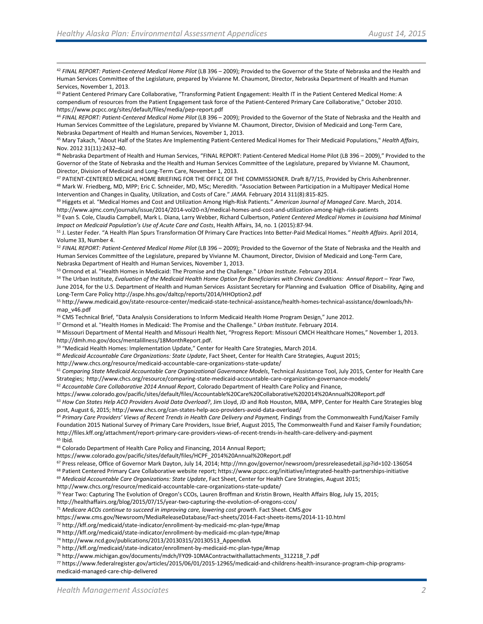42 *FINAL REPORT: Patient-Centered Medical Home Pilot* (LB 396 – 2009); Provided to the Governor of the State of Nebraska and the Health and Human Services Committee of the Legislature, prepared by Vivianne M. Chaumont, Director, Nebraska Department of Health and Human Services, November 1, 2013.

43 Patient Centered Primary Care Collaborative, "Transforming Patient Engagement: Health IT in the Patient Centered Medical Home: A compendium of resources from the Patient Engagement task force of the Patient-Centered Primary Care Collaborative," October 2010. https://www.pcpcc.org/sites/default/files/media/pep-report.pdf

<sup>44</sup> *FINAL REPORT: Patient-Centered Medical Home Pilot* (LB 396 – 2009); Provided to the Governor of the State of Nebraska and the Health and Human Services Committee of the Legislature, prepared by Vivianne M. Chaumont, Director, Division of Medicaid and Long-Term Care, Nebraska Department of Health and Human Services, November 1, 2013.

<sup>45</sup> Mary Takach, "About Half of the States Are Implementing Patient-Centered Medical Homes for Their Medicaid Populations," *Health Affairs*, Nov. 2012 31(11):2432–40.<br><sup>46</sup> Nebraska Department of Health and Human Services, "FINAL REPORT: Patient-Centered Medical Home Pilot (LB 396 – 2009)," Provided to the

Governor of the State of Nebraska and the Health and Human Services Committee of the Legislature, prepared by Vivianne M. Chaumont, Director, Division of Medicaid and Long-Term Care, November 1, 2013.

<sup>47</sup> PATIENT-CENTERED MEDICAL HOME BRIEFING FOR THE OFFICE OF THE COMMISSIONER. Draft 8/7/15, Provided by Chris Ashenbrenner. 48 Mark W. Friedberg, MD, MPP; Eric C. Schneider, MD, MSc; Meredith. "Association Between Participation in a Multipayer Medical Home Intervention and Changes in Quality, Utilization, and Costs of Care." *JAMA.* February 2014 311(8):815-825.

<sup>49</sup> Higgets et al. "Medical Homes and Cost and Utilization Among High-Risk Patients." *American Journal of Managed Care*. March, 2014. http://www.ajmc.com/journals/issue/2014/2014-vol20-n3/medical-homes-and-cost-and-utilization-among-high-risk-patients

<sup>50</sup> Evan S. Cole, Claudia Campbell, Mark L. Diana, Larry Webber, Richard Culbertson, *Patient Centered Medical Homes in Louisiana had Minimal Impact on Medicaid Population's Use of Acute Care and Costs*, Health Affairs, 34, no. 1 (2015):87-94.

<sup>51</sup> J. Lester Feder. "A Health Plan Spurs Transformation Of Primary Care Practices Into Better-Paid Medical Homes*." Health Affairs*. April 2014, Volume 33, Number 4.

<span id="page-55-0"></span><sup>52</sup> *FINAL REPORT: Patient-Centered Medical Home Pilot* (LB 396 – 2009); Provided to the Governor of the State of Nebraska and the Health and Human Services Committee of the Legislature, prepared by Vivianne M. Chaumont, Director, Division of Medicaid and Long-Term Care, Nebraska Department of Health and Human Services, November 1, 2013.

<span id="page-55-2"></span><span id="page-55-1"></span><sup>53</sup> Ormond et al. "Health Homes in Medicaid: The Promise and the Challenge." *Urban Institute*. February 2014.

<span id="page-55-4"></span><span id="page-55-3"></span><sup>54</sup> The Urban Institute, *Evaluation of the Medicaid Health Home Option for Beneficiaries with Chronic Conditions: Annual Report – Year Two*, June 2014, for the U.S. Department of Health and Human Services Assistant Secretary for Planning and Evaluation Office of Disability, Aging and Long-Term Care Policy http://aspe.hhs.gov/daltcp/reports/2014/HHOption2.pdf

<span id="page-55-6"></span><span id="page-55-5"></span><sup>55</sup> http://www.medicaid.gov/state-resource-center/medicaid-state-technical-assistance/health-homes-technical-assistance/downloads/hhmap\_v46.pdf

<span id="page-55-7"></span><sup>56</sup> CMS Technical Brief, "Data Analysis Considerations to Inform Medicaid Health Home Program Design," June 2012.

<sup>57</sup> Ormond et al. "Health Homes in Medicaid: The Promise and the Challenge." *Urban Institute*. February 2014.<br><sup>58</sup> Missouri Department of Mental Health and Missouri Health Net, "Progress Report: Missouri CMCH Healthcare http://dmh.mo.gov/docs/mentalillness/18MonthReport.pdf.

59 "Medicaid Health Homes: Implementation Update," Center for Health Care Strategies, March 2014.

<sup>60</sup> *Medicaid Accountable Care Organizations: State Update*, Fact Sheet, Center for Health Care Strategies, August 2015;

http://www.chcs.org/resource/medicaid-accountable-care-organizations-state-update/

<sup>61</sup> *Comparing State Medicaid Accountable Care Organizational Governance Models*, Technical Assistance Tool, July 2015, Center for Health Care Strategies; http://www.chcs.org/resource/comparing-state-medicaid-accountable-care-organization-governance-models/

<sup>62</sup> *Accountable Care Collaborative 2014 Annual Report*, Colorado Department of Health Care Policy and Finance,

https://www.colorado.gov/pacific/sites/default/files/Accountable%20Care%20Collaborative%202014%20Annual%20Report.pdf

<sup>63</sup> How Can States Help ACO Providers Avoid Data Overload?, Jim Lloyd, JD and Rob Houston, MBA, MPP, Center for Health Care Strategies blog post, August 6, 2015; http://www.chcs.org/can-states-help-aco-providers-avoid-data-overload/

<sup>64</sup> Primary Care Providers' Views of Recent Trends in Health Care Delivery and Payment, Findings from the Commonwealth Fund/Kaiser Family Foundation 2015 National Survey of Primary Care Providers, Issue Brief, August 2015, The Commonwealth Fund and Kaiser Family Foundation; http://files.kff.org/attachment/report-primary-care-providers-views-of-recent-trends-in-health-care-delivery-and-payment <sup>65</sup> Ibid.

<sup>66</sup> Colorado Department of Health Care Policy and Financing, 2014 Annual Report;

https://www.colorado.gov/pacific/sites/default/files/HCPF\_2014%20Annual%20Report.pdf

<sup>67</sup> Press release, Office of Governor Mark Dayton, July 14, 2014; http://mn.gov/governor/newsroom/pressreleasedetail.jsp?id=102-136054

<sup>68</sup> Patient Centered Primary Care Collaborative website report; https://www.pcpcc.org/initiative/integrated-health-partnerships-initiative

<sup>69</sup> Medicaid Accountable Care Organizations: State Update, Fact Sheet, Center for Health Care Strategies, August 2015;

http://www.chcs.org/resource/medicaid-accountable-care-organizations-state-update/

<sup>70</sup> Year Two: Capturing The Evolution of Oregon's CCOs[, Lauren Broffman](http://healthaffairs.org/blog/author/broffman/) and [Kristin Brown,](http://healthaffairs.org/blog/author/kbrown/) Health Affairs Blog, July 15, 2015;

<http://healthaffairs.org/blog/2015/07/15/year-two-capturing-the-evolution-of-oregons-ccos/>

<sup>71</sup> *Medicare ACOs continue to succeed in improving care, lowering cost growth*. Fact Sheet. CMS.gov

https://www.cms.gov/Newsroom/MediaReleaseDatabase/Fact-sheets/2014-Fact-sheets-items/2014-11-10.html

<sup>72</sup> http://kff.org/medicaid/state-indicator/enrollment-by-medicaid-mc-plan-type/#map

**<sup>73</sup>** http://kff.org/medicaid/state-indicator/enrollment-by-medicaid-mc-plan-type/#map

<sup>74</sup> http://www.ncd.gov/publications/2013/20130315/20130513\_AppendixA

<sup>75</sup> http://kff.org/medicaid/state-indicator/enrollment-by-medicaid-mc-plan-type/#map

<sup>76</sup> http://www.michigan.gov/documents/mdch/FY09-10MAContractwithallattachments\_312218\_7.pdf

<sup>77</sup> https://www.federalregister.gov/articles/2015/06/01/2015-12965/medicaid-and-childrens-health-insurance-program-chip-programsmedicaid-managed-care-chip-delivered